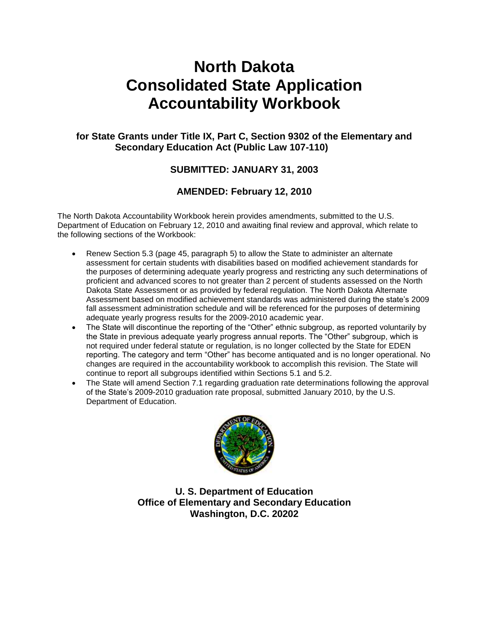# **North Dakota Consolidated State Application Accountability Workbook**

## **for State Grants under Title IX, Part C, Section 9302 of the Elementary and Secondary Education Act (Public Law 107-110)**

## **SUBMITTED: JANUARY 31, 2003**

## **AMENDED: February 12, 2010**

The North Dakota Accountability Workbook herein provides amendments, submitted to the U.S. Department of Education on February 12, 2010 and awaiting final review and approval, which relate to the following sections of the Workbook:

- Renew Section 5.3 (page 45, paragraph 5) to allow the State to administer an alternate assessment for certain students with disabilities based on modified achievement standards for the purposes of determining adequate yearly progress and restricting any such determinations of proficient and advanced scores to not greater than 2 percent of students assessed on the North Dakota State Assessment or as provided by federal regulation. The North Dakota Alternate Assessment based on modified achievement standards was administered during the state's 2009 fall assessment administration schedule and will be referenced for the purposes of determining adequate yearly progress results for the 2009-2010 academic year.
- The State will discontinue the reporting of the "Other" ethnic subgroup, as reported voluntarily by the State in previous adequate yearly progress annual reports. The "Other" subgroup, which is not required under federal statute or regulation, is no longer collected by the State for EDEN reporting. The category and term "Other" has become antiquated and is no longer operational. No changes are required in the accountability workbook to accomplish this revision. The State will continue to report all subgroups identified within Sections 5.1 and 5.2.
- The State will amend Section 7.1 regarding graduation rate determinations following the approval of the State's 2009-2010 graduation rate proposal, submitted January 2010, by the U.S. Department of Education.



**U. S. Department of Education Office of Elementary and Secondary Education Washington, D.C. 20202**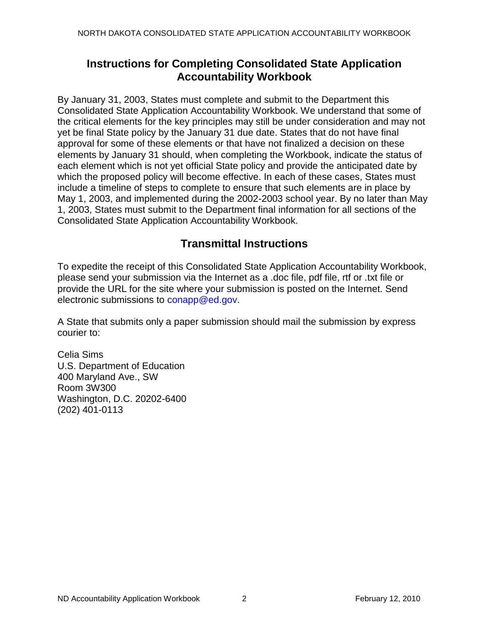## **Instructions for Completing Consolidated State Application Accountability Workbook**

By January 31, 2003, States must complete and submit to the Department this Consolidated State Application Accountability Workbook. We understand that some of the critical elements for the key principles may still be under consideration and may not yet be final State policy by the January 31 due date. States that do not have final approval for some of these elements or that have not finalized a decision on these elements by January 31 should, when completing the Workbook, indicate the status of each element which is not yet official State policy and provide the anticipated date by which the proposed policy will become effective. In each of these cases, States must include a timeline of steps to complete to ensure that such elements are in place by May 1, 2003, and implemented during the 2002-2003 school year. By no later than May 1, 2003, States must submit to the Department final information for all sections of the Consolidated State Application Accountability Workbook.

## **Transmittal Instructions**

To expedite the receipt of this Consolidated State Application Accountability Workbook, please send your submission via the Internet as a .doc file, pdf file, rtf or .txt file or provide the URL for the site where your submission is posted on the Internet. Send electronic submissions to conapp@ed.gov.

A State that submits only a paper submission should mail the submission by express courier to:

Celia Sims U.S. Department of Education 400 Maryland Ave., SW Room 3W300 Washington, D.C. 20202-6400 (202) 401-0113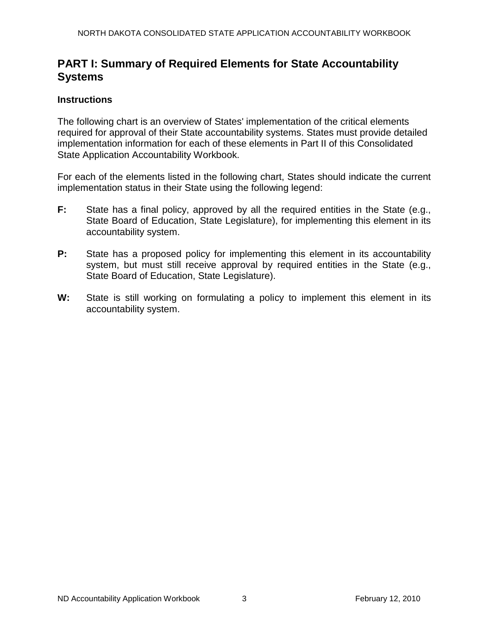## **PART I: Summary of Required Elements for State Accountability Systems**

## **Instructions**

The following chart is an overview of States' implementation of the critical elements required for approval of their State accountability systems. States must provide detailed implementation information for each of these elements in Part II of this Consolidated State Application Accountability Workbook.

For each of the elements listed in the following chart, States should indicate the current implementation status in their State using the following legend:

- **F:** State has a final policy, approved by all the required entities in the State (e.g., State Board of Education, State Legislature), for implementing this element in its accountability system.
- **P:** State has a proposed policy for implementing this element in its accountability system, but must still receive approval by required entities in the State (e.g., State Board of Education, State Legislature).
- **W:** State is still working on formulating a policy to implement this element in its accountability system.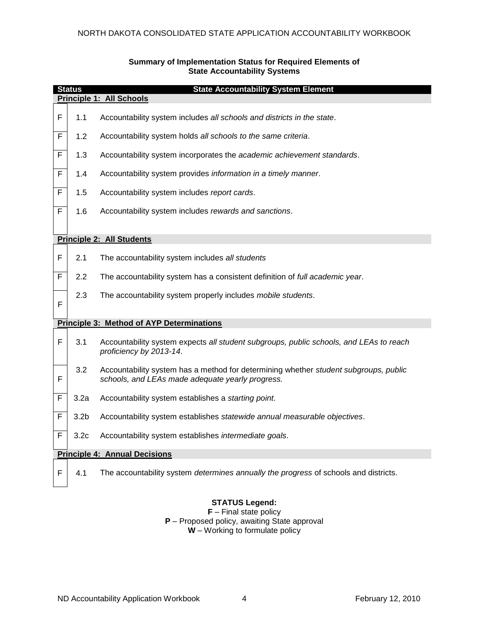|   | <b>Status</b><br><b>State Accountability System Element</b> |                                                                                                                                          |  |  |  |  |
|---|-------------------------------------------------------------|------------------------------------------------------------------------------------------------------------------------------------------|--|--|--|--|
|   | Principle 1: All Schools                                    |                                                                                                                                          |  |  |  |  |
| F | 1.1                                                         | Accountability system includes all schools and districts in the state.                                                                   |  |  |  |  |
| F | 1.2                                                         | Accountability system holds all schools to the same criteria.                                                                            |  |  |  |  |
| F | 1.3                                                         | Accountability system incorporates the academic achievement standards.                                                                   |  |  |  |  |
| F | 1.4                                                         | Accountability system provides information in a timely manner.                                                                           |  |  |  |  |
| F | 1.5                                                         | Accountability system includes report cards.                                                                                             |  |  |  |  |
| F | 1.6                                                         | Accountability system includes rewards and sanctions.                                                                                    |  |  |  |  |
|   |                                                             |                                                                                                                                          |  |  |  |  |
|   |                                                             | <b>Principle 2: All Students</b>                                                                                                         |  |  |  |  |
| F | 2.1                                                         | The accountability system includes all students                                                                                          |  |  |  |  |
| F | 2.2                                                         | The accountability system has a consistent definition of full academic year.                                                             |  |  |  |  |
| F | 2.3                                                         | The accountability system properly includes mobile students.                                                                             |  |  |  |  |
|   |                                                             | <b>Principle 3: Method of AYP Determinations</b>                                                                                         |  |  |  |  |
| F | 3.1                                                         | Accountability system expects all student subgroups, public schools, and LEAs to reach<br>proficiency by 2013-14.                        |  |  |  |  |
| F | $3.2\,$                                                     | Accountability system has a method for determining whether student subgroups, public<br>schools, and LEAs made adequate yearly progress. |  |  |  |  |
| F | 3.2a                                                        | Accountability system establishes a starting point.                                                                                      |  |  |  |  |
| F | 3.2 <sub>b</sub>                                            | Accountability system establishes statewide annual measurable objectives.                                                                |  |  |  |  |
| F | 3.2 <sub>c</sub>                                            | Accountability system establishes intermediate goals.                                                                                    |  |  |  |  |
|   | <b>Principle 4: Annual Decisions</b>                        |                                                                                                                                          |  |  |  |  |
| F | 4.1                                                         | The accountability system determines annually the progress of schools and districts.                                                     |  |  |  |  |

#### **Summary of Implementation Status for Required Elements of State Accountability Systems**

### **STATUS Legend:**

**F** – Final state policy **P** – Proposed policy, awaiting State approval **W** – Working to formulate policy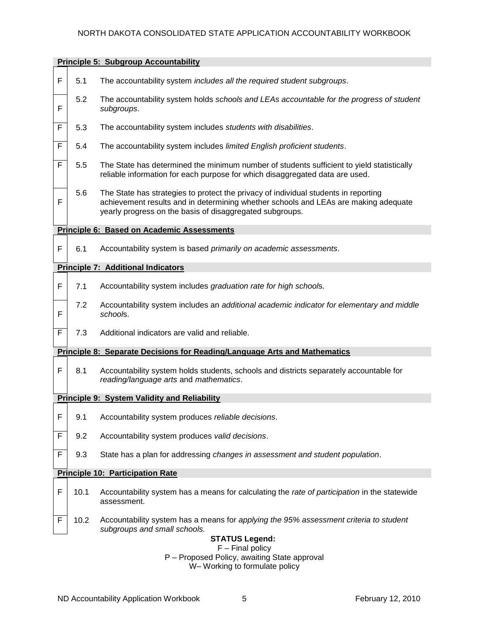|   | <b>Principle 5: Subgroup Accountability</b> |                                                                                                                                                                                                                                        |  |  |  |  |
|---|---------------------------------------------|----------------------------------------------------------------------------------------------------------------------------------------------------------------------------------------------------------------------------------------|--|--|--|--|
| F | 5.1                                         | The accountability system includes all the required student subgroups.                                                                                                                                                                 |  |  |  |  |
| F | 5.2                                         | The accountability system holds schools and LEAs accountable for the progress of student<br>subgroups.                                                                                                                                 |  |  |  |  |
| F | 5.3                                         | The accountability system includes students with disabilities.                                                                                                                                                                         |  |  |  |  |
| F | 5.4                                         | The accountability system includes limited English proficient students.                                                                                                                                                                |  |  |  |  |
| F | 5.5                                         | The State has determined the minimum number of students sufficient to yield statistically<br>reliable information for each purpose for which disaggregated data are used.                                                              |  |  |  |  |
| F | 5.6                                         | The State has strategies to protect the privacy of individual students in reporting<br>achievement results and in determining whether schools and LEAs are making adequate<br>yearly progress on the basis of disaggregated subgroups. |  |  |  |  |
|   |                                             | <b>Principle 6: Based on Academic Assessments</b>                                                                                                                                                                                      |  |  |  |  |
| F | 6.1                                         | Accountability system is based primarily on academic assessments.                                                                                                                                                                      |  |  |  |  |
|   |                                             | <b>Principle 7: Additional Indicators</b>                                                                                                                                                                                              |  |  |  |  |
| F | 7.1                                         | Accountability system includes graduation rate for high schools.                                                                                                                                                                       |  |  |  |  |
| F | 7.2                                         | Accountability system includes an additional academic indicator for elementary and middle<br>schools.                                                                                                                                  |  |  |  |  |
| F | 7.3                                         | Additional indicators are valid and reliable.                                                                                                                                                                                          |  |  |  |  |
|   |                                             | <b>Principle 8: Separate Decisions for Reading/Language Arts and Mathematics</b>                                                                                                                                                       |  |  |  |  |
| F | 8.1                                         | Accountability system holds students, schools and districts separately accountable for<br>reading/language arts and mathematics.                                                                                                       |  |  |  |  |
|   |                                             | <b>Principle 9: System Validity and Reliability</b>                                                                                                                                                                                    |  |  |  |  |
| F | 9.1                                         | Accountability system produces reliable decisions.                                                                                                                                                                                     |  |  |  |  |
| F | 9.2                                         | Accountability system produces valid decisions.                                                                                                                                                                                        |  |  |  |  |
| F | 9.3                                         | State has a plan for addressing changes in assessment and student population.                                                                                                                                                          |  |  |  |  |
|   |                                             | <b>Principle 10: Participation Rate</b>                                                                                                                                                                                                |  |  |  |  |
| F | 10.1                                        | Accountability system has a means for calculating the rate of participation in the statewide<br>assessment.                                                                                                                            |  |  |  |  |
| F | 10.2                                        | Accountability system has a means for applying the 95% assessment criteria to student<br>subgroups and small schools.                                                                                                                  |  |  |  |  |
|   | <b>STATUS Legend:</b><br>$F$ – Final policy |                                                                                                                                                                                                                                        |  |  |  |  |
|   |                                             | P - Proposed Policy, awaiting State approval<br>W-Working to formulate policy                                                                                                                                                          |  |  |  |  |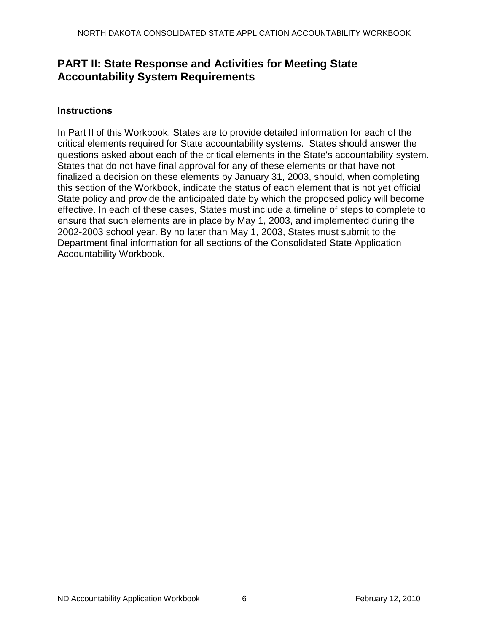## **PART II: State Response and Activities for Meeting State Accountability System Requirements**

## **Instructions**

In Part II of this Workbook, States are to provide detailed information for each of the critical elements required for State accountability systems. States should answer the questions asked about each of the critical elements in the State's accountability system. States that do not have final approval for any of these elements or that have not finalized a decision on these elements by January 31, 2003, should, when completing this section of the Workbook, indicate the status of each element that is not yet official State policy and provide the anticipated date by which the proposed policy will become effective. In each of these cases, States must include a timeline of steps to complete to ensure that such elements are in place by May 1, 2003, and implemented during the 2002-2003 school year. By no later than May 1, 2003, States must submit to the Department final information for all sections of the Consolidated State Application Accountability Workbook.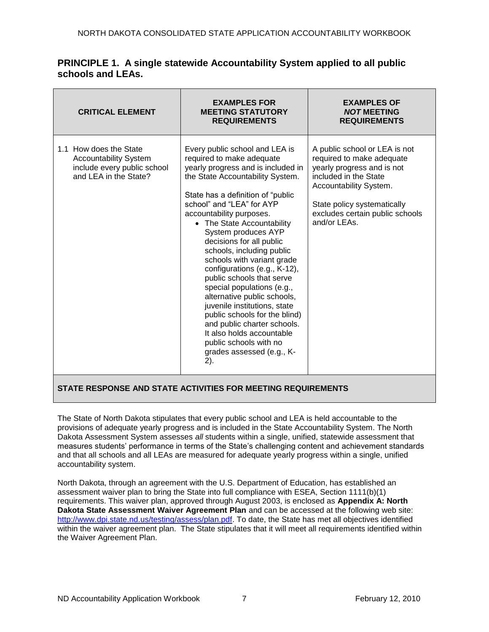| <b>CRITICAL ELEMENT</b>                                                                                        | <b>EXAMPLES FOR</b><br><b>MEETING STATUTORY</b><br><b>REQUIREMENTS</b>                                                                                                                                                                                                                                                                                                                                                                                                                                                                                                                                                                                                                                | <b>EXAMPLES OF</b><br><b>NOT MEETING</b><br><b>REQUIREMENTS</b>                                                                                                                                                               |
|----------------------------------------------------------------------------------------------------------------|-------------------------------------------------------------------------------------------------------------------------------------------------------------------------------------------------------------------------------------------------------------------------------------------------------------------------------------------------------------------------------------------------------------------------------------------------------------------------------------------------------------------------------------------------------------------------------------------------------------------------------------------------------------------------------------------------------|-------------------------------------------------------------------------------------------------------------------------------------------------------------------------------------------------------------------------------|
| 1.1 How does the State<br><b>Accountability System</b><br>include every public school<br>and LEA in the State? | Every public school and LEA is<br>required to make adequate<br>yearly progress and is included in<br>the State Accountability System.<br>State has a definition of "public"<br>school" and "LEA" for AYP<br>accountability purposes.<br>• The State Accountability<br>System produces AYP<br>decisions for all public<br>schools, including public<br>schools with variant grade<br>configurations (e.g., K-12),<br>public schools that serve<br>special populations (e.g.,<br>alternative public schools,<br>juvenile institutions, state<br>public schools for the blind)<br>and public charter schools.<br>It also holds accountable<br>public schools with no<br>grades assessed (e.g., K-<br>2). | A public school or LEA is not<br>required to make adequate<br>yearly progress and is not<br>included in the State<br>Accountability System.<br>State policy systematically<br>excludes certain public schools<br>and/or LEAs. |

## **PRINCIPLE 1. A single statewide Accountability System applied to all public schools and LEAs.**

### **STATE RESPONSE AND STATE ACTIVITIES FOR MEETING REQUIREMENTS**

The State of North Dakota stipulates that every public school and LEA is held accountable to the provisions of adequate yearly progress and is included in the State Accountability System. The North Dakota Assessment System assesses *all* students within a single, unified, statewide assessment that measures students' performance in terms of the State's challenging content and achievement standards and that all schools and all LEAs are measured for adequate yearly progress within a single, unified accountability system.

North Dakota, through an agreement with the U.S. Department of Education, has established an assessment waiver plan to bring the State into full compliance with ESEA, Section 1111(b)(1) requirements. This waiver plan, approved through August 2003, is enclosed as **Appendix A: North Dakota State Assessment Waiver Agreement Plan** and can be accessed at the following web site: [http://www.dpi.state.nd.us/testing/assess/plan.pdf.](http://www.dpi.state.nd.us/testing/assess/plan.pdf) To date, the State has met all objectives identified within the waiver agreement plan. The State stipulates that it will meet all requirements identified within the Waiver Agreement Plan.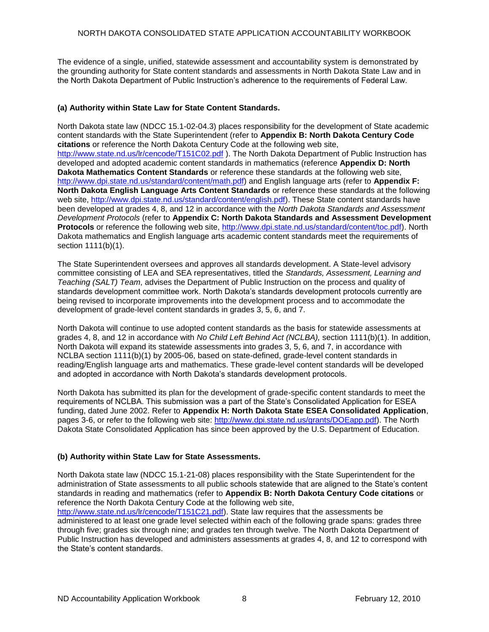The evidence of a single, unified, statewide assessment and accountability system is demonstrated by the grounding authority for State content standards and assessments in North Dakota State Law and in the North Dakota Department of Public Instruction's adherence to the requirements of Federal Law.

#### **(a) Authority within State Law for State Content Standards.**

North Dakota state law (NDCC 15.1-02-04.3) places responsibility for the development of State academic content standards with the State Superintendent (refer to **Appendix B: North D[akota Century Code](http://www.state.nd.us/lr/cencode/t151)  citations** or reference the North Dakota Century Code at the following web site, [http://www.state.nd.us/lr/cencode/T151C02.pdf](http://www.state.nd.us/lr/cencode/t151) ). The North Dakota Department of Public Instruction has developed and adopted academic content standards in mathematics (reference **Appendix D: North Dakota Mathematics Content Standards** or reference these standards at the following web site, [http://www.dpi.state.nd.us/standard/content/math.pdf\)](http://www.dpi.state.nd.us/standard/content/math.pdf) and English language arts (refer to **Appendix F: North Dakota English Language Arts Content Standards** or reference these standards at the following web site, [http://www.dpi.state.nd.us/standard/content/english.pdf\)](http://www.dpi.state.nd.us/standard/content/english.pdf). These State content standards have been developed at grades 4, 8, and 12 in accordance with the *North Dakota Standards and Assessment Development Protocols* (refer to **Appendix C: North Dakota Standards and Assessment Development Protocols** or reference the following web site, [http://www.dpi.state.nd.us/standard/content/toc.pdf\)](http://www.dpi.state.nd.us/standard/content/toc.pdf). North Dakota mathematics and English language arts academic content standards meet the requirements of section 1111(b)(1).

The State Superintendent oversees and approves all standards development. A State-level advisory committee consisting of LEA and SEA representatives, titled the *Standards, Assessment, Learning and Teaching (SALT) Team*, advises the Department of Public Instruction on the process and quality of standards development committee work. North Dakota's standards development protocols currently are being revised to incorporate improvements into the development process and to accommodate the development of grade-level content standards in grades 3, 5, 6, and 7.

North Dakota will continue to use adopted content standards as the basis for statewide assessments at grades 4, 8, and 12 in accordance with *No Child Left Behind Act (NCLBA),* section 1111(b)(1). In addition, North Dakota will expand its statewide assessments into grades 3, 5, 6, and 7, in accordance with NCLBA section 1111(b)(1) by 2005-06, based on state-defined, grade-level content standards in reading/English language arts and mathematics. These grade-level content standards will be developed and adopted in accordance with North Dakota's standards development protocols.

North Dakota has submitted its plan for the development of grade-specific content standards to meet the requirements of NCLBA. This submission was a part of the State's Consolidated Application for ESEA funding, dated June 2002. Refer to **Appendix H: North Dakota State ESEA Consolidated Application**, pages 3-6, or refer to the following web site: [http://www.dpi.state.nd.us/grants/DOEapp.pdf\)](http://www.dpi.state.nd.us/grants/DOEapp.pdf). The North Dakota State Consolidated Application has since been approved by the U.S. Department of Education.

#### **(b) Authority within State Law for State Assessments.**

North Dakota state law (NDCC 15.1-21-08) places responsibility with the State Superintendent for the administration of State assessments to all public schools statewide that are aligned to the State's content standards in reading and mathematics (refer to **Appendix B: North Dakota Century Code citations** or reference the North Dakota Century Code at the following web site,

[http://www.state.nd.us/lr/cencode/T151C21.pdf\)](http://www.state.nd.us/lr/cencode/T151C21.pdf). State law requires that the assessments be administered to at least one grade level selected within each of the following grade spans: grades three through five; grades six through nine; and grades ten through twelve. The North Dakota Department of Public Instruction has developed and administers assessments at grades 4, 8, and 12 to correspond with the State's content standards.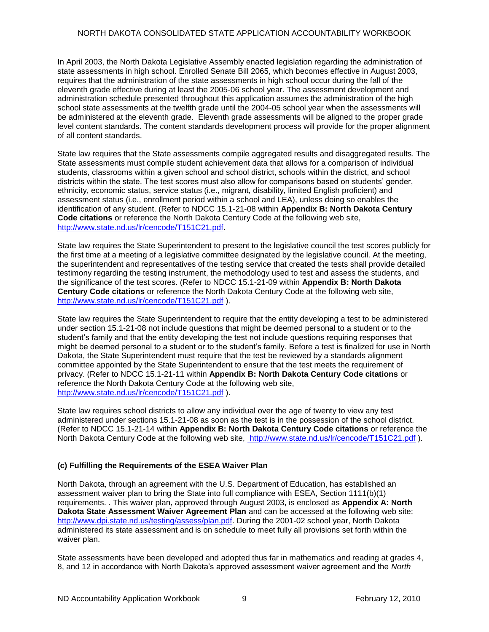In April 2003, the North Dakota Legislative Assembly enacted legislation regarding the administration of state assessments in high school. Enrolled Senate Bill 2065, which becomes effective in August 2003, requires that the administration of the state assessments in high school occur during the fall of the eleventh grade effective during at least the 2005-06 school year. The assessment development and administration schedule presented throughout this application assumes the administration of the high school state assessments at the twelfth grade until the 2004-05 school year when the assessments will be administered at the eleventh grade. Eleventh grade assessments will be aligned to the proper grade level content standards. The content standards development process will provide for the proper alignment of all content standards.

State law requires that the State assessments compile aggregated results and disaggregated results. The State assessments must compile student achievement data that allows for a comparison of individual students, classrooms within a given school and school district, schools within the district, and school districts within the state. The test scores must also allow for comparisons based on students' gender, ethnicity, economic status, service status (i.e., migrant, disability, limited English proficient) and assessment status (i.e., enrollment period within a school and LEA), unless doing so enables the identification of any student. (Refer to NDCC 15.1-21-08 within **Appendix B: North Dakota Century Code citations** or reference the North Dakota Century Code at the following web site, [http://www.state.nd.us/lr/cencode/T151C21.pdf.](http://www.state.nd.us/lr/cencode/T151C21.pdf)

State law requires the State Superintendent to present to the legislative council the test scores publicly for the first time at a meeting of a legislative committee designated by the legislative council. At the meeting, the superintendent and representatives of the testing service that created the tests shall provide detailed testimony regarding the testing instrument, the methodology used to test and assess the students, and the significance of the test scores. (Refer to NDCC 15.1-21-09 within **Appendix B: North Dakota Century Code citations** or reference the North Dakota Century Code at the following web site, [http://www.state.nd.us/lr/cencode/T151C21.pdf](http://www.state.nd.us/lr/assembly/57-2001/cencode/CCT15x1.pdf) ).

State law requires the State Superintendent to require that the entity developing a test to be administered under section 15.1-21-08 not include questions that might be deemed personal to a student or to the student's family and that the entity developing the test not include questions requiring responses that might be deemed personal to a student or to the student's family. Before a test is finalized for use in North Dakota, the State Superintendent must require that the test be reviewed by a standards alignment committee appointed by the State Superintendent to ensure that the test meets the requirement of privacy. (Refer to NDCC 15.1-21-11 within **Appendix B: North Dakota Century Code citations** or reference the North Dakota Century Code at the following web site, [http://www.state.nd.us/lr/cencode/T151C21.pdf](http://www.state.nd.us/lr/assembly/57-2001/cencode/CCT15x1.pdf) ).

State law requires school districts to allow any individual over the age of twenty to view any test administered under sections 15.1-21-08 as soon as the test is in the possession of the school district. (Refer to NDCC 15.1-21-14 within **Appendix B: North Dakota Century Code citations** or reference the North Dakota Century Code at the following web site, [http://www.state.nd.us/lr/cencode/T151C21.pdf](http://www.state.nd.us/lr/assembly/57-2001/cencode/CCT15x1.pdf) ).

#### **(c) Fulfilling the Requirements of the ESEA Waiver Plan**

North Dakota, through an agreement with the U.S. Department of Education, has established an assessment waiver plan to bring the State into full compliance with ESEA, Section 1111(b)(1) requirements. . This waiver plan, approved through August 2003, is enclosed as **Appendix A: North Dakota State Assessment Waiver Agreement Plan** and can be accessed at the following web site: [http://www.dpi.state.nd.us/testing/assess/plan.pdf.](http://www.dpi.state.nd.us/testing/assess/plan.pdf) During the 2001-02 school year, North Dakota administered its state assessment and is on schedule to meet fully all provisions set forth within the waiver plan.

State assessments have been developed and adopted thus far in mathematics and reading at grades 4, 8, and 12 in accordance with North Dakota's approved assessment waiver agreement and the *North*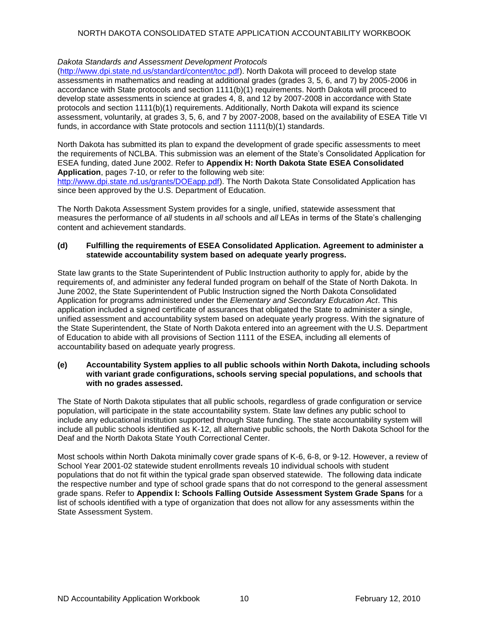#### *Dakota Standards and Assessment Development Protocols*

[\(http://www.dpi.state.nd.us/standard/content/toc.pdf\)](http://www.dpi.state.nd.us/standard/content/toc.pdf). North Dakota will proceed to develop state assessments in mathematics and reading at additional grades (grades 3, 5, 6, and 7) by 2005-2006 in accordance with State protocols and section 1111(b)(1) requirements. North Dakota will proceed to develop state assessments in science at grades 4, 8, and 12 by 2007-2008 in accordance with State protocols and section 1111(b)(1) requirements. Additionally, North Dakota will expand its science assessment, voluntarily, at grades 3, 5, 6, and 7 by 2007-2008, based on the availability of ESEA Title VI funds, in accordance with State protocols and section 1111(b)(1) standards.

North Dakota has submitted its plan to expand the development of grade specific assessments to meet the requirements of NCLBA. This submission was an element of the State's Consolidated Application for ESEA funding, dated June 2002. Refer to **Appendix H: North Dakota State ESEA Consolidated Application**, pages 7-10, or refer to the following web site:

[http://www.dpi.state.nd.us/grants/DOEapp.pdf\)](http://www.dpi.state.nd.us/grants/DOEapp.pdf). The North Dakota State Consolidated Application has since been approved by the U.S. Department of Education.

The North Dakota Assessment System provides for a single, unified, statewide assessment that measures the performance of *all* students in *all* schools and *all* LEAs in terms of the State's challenging content and achievement standards.

#### **(d) Fulfilling the requirements of ESEA Consolidated Application. Agreement to administer a statewide accountability system based on adequate yearly progress.**

State law grants to the State Superintendent of Public Instruction authority to apply for, abide by the requirements of, and administer any federal funded program on behalf of the State of North Dakota. In June 2002, the State Superintendent of Public Instruction signed the North Dakota Consolidated Application for programs administered under the *Elementary and Secondary Education Act*. This application included a signed certificate of assurances that obligated the State to administer a single, unified assessment and accountability system based on adequate yearly progress. With the signature of the State Superintendent, the State of North Dakota entered into an agreement with the U.S. Department of Education to abide with all provisions of Section 1111 of the ESEA, including all elements of accountability based on adequate yearly progress.

#### **(e) Accountability System applies to all public schools within North Dakota, including schools with variant grade configurations, schools serving special populations, and schools that with no grades assessed.**

The State of North Dakota stipulates that all public schools, regardless of grade configuration or service population, will participate in the state accountability system. State law defines any public school to include any educational institution supported through State funding. The state accountability system will include all public schools identified as K-12, all alternative public schools, the North Dakota School for the Deaf and the North Dakota State Youth Correctional Center.

Most schools within North Dakota minimally cover grade spans of K-6, 6-8, or 9-12. However, a review of School Year 2001-02 statewide student enrollments reveals 10 individual schools with student populations that do not fit within the typical grade span observed statewide. The following data indicate the respective number and type of school grade spans that do not correspond to the general assessment grade spans. Refer to **Appendix I: Schools Falling Outside Assessment System Grade Spans** for a list of schools identified with a type of organization that does not allow for any assessments within the State Assessment System.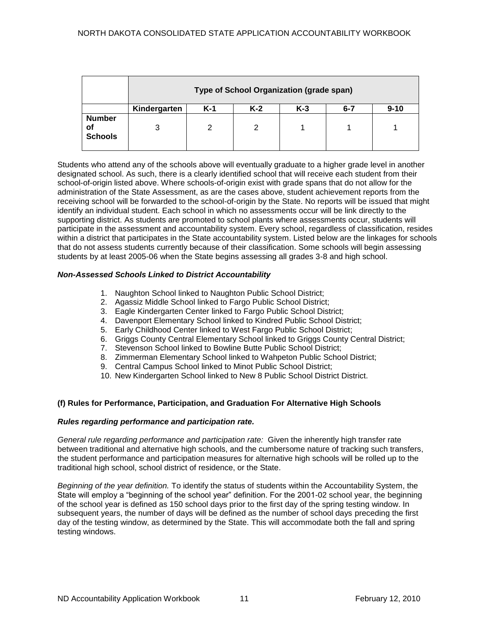|                                       | Type of School Organization (grade span) |       |       |       |         |          |
|---------------------------------------|------------------------------------------|-------|-------|-------|---------|----------|
|                                       | Kindergarten                             | $K-1$ | $K-2$ | $K-3$ | $6 - 7$ | $9 - 10$ |
| <b>Number</b><br>Οt<br><b>Schools</b> | 3                                        | 2     | 2     |       |         |          |

Students who attend any of the schools above will eventually graduate to a higher grade level in another designated school. As such, there is a clearly identified school that will receive each student from their school-of-origin listed above. Where schools-of-origin exist with grade spans that do not allow for the administration of the State Assessment, as are the cases above, student achievement reports from the receiving school will be forwarded to the school-of-origin by the State. No reports will be issued that might identify an individual student. Each school in which no assessments occur will be link directly to the supporting district. As students are promoted to school plants where assessments occur, students will participate in the assessment and accountability system. Every school, regardless of classification, resides within a district that participates in the State accountability system. Listed below are the linkages for schools that do not assess students currently because of their classification. Some schools will begin assessing students by at least 2005-06 when the State begins assessing all grades 3-8 and high school.

#### *Non-Assessed Schools Linked to District Accountability*

- 1. Naughton School linked to Naughton Public School District;
- 2. Agassiz Middle School linked to Fargo Public School District;
- 3. Eagle Kindergarten Center linked to Fargo Public School District;
- 4. Davenport Elementary School linked to Kindred Public School District;
- 5. Early Childhood Center linked to West Fargo Public School District;
- 6. Griggs County Central Elementary School linked to Griggs County Central District;
- 7. Stevenson School linked to Bowline Butte Public School District;
- 8. Zimmerman Elementary School linked to Wahpeton Public School District;
- 9. Central Campus School linked to Minot Public School District;
- 10. New Kindergarten School linked to New 8 Public School District District.

#### **(f) Rules for Performance, Participation, and Graduation For Alternative High Schools**

#### *Rules regarding performance and participation rate.*

*General rule regarding performance and participation rate:*Given the inherently high transfer rate between traditional and alternative high schools, and the cumbersome nature of tracking such transfers, the student performance and participation measures for alternative high schools will be rolled up to the traditional high school, school district of residence, or the State.

*Beginning of the year definition.* To identify the status of students within the Accountability System, the State will employ a "beginning of the school year" definition. For the 2001-02 school year, the beginning of the school year is defined as 150 school days prior to the first day of the spring testing window. In subsequent years, the number of days will be defined as the number of school days preceding the first day of the testing window, as determined by the State. This will accommodate both the fall and spring testing windows.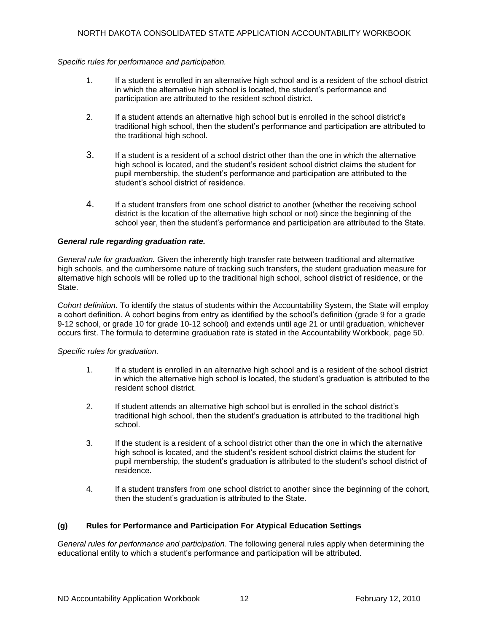#### *Specific rules for performance and participation.*

- 1. If a student is enrolled in an alternative high school and is a resident of the school district in which the alternative high school is located, the student's performance and participation are attributed to the resident school district.
- 2. If a student attends an alternative high school but is enrolled in the school district's traditional high school, then the student's performance and participation are attributed to the traditional high school.
- 3. If a student is a resident of a school district other than the one in which the alternative high school is located, and the student's resident school district claims the student for pupil membership, the student's performance and participation are attributed to the student's school district of residence.
- 4. If a student transfers from one school district to another (whether the receiving school district is the location of the alternative high school or not) since the beginning of the school year, then the student's performance and participation are attributed to the State.

#### *General rule regarding graduation rate.*

*General rule for graduation.* Given the inherently high transfer rate between traditional and alternative high schools, and the cumbersome nature of tracking such transfers, the student graduation measure for alternative high schools will be rolled up to the traditional high school, school district of residence, or the **State.** 

*Cohort definition.* To identify the status of students within the Accountability System, the State will employ a cohort definition. A cohort begins from entry as identified by the school's definition (grade 9 for a grade 9-12 school, or grade 10 for grade 10-12 school) and extends until age 21 or until graduation, whichever occurs first. The formula to determine graduation rate is stated in the Accountability Workbook, page 50.

#### *Specific rules for graduation.*

- 1. If a student is enrolled in an alternative high school and is a resident of the school district in which the alternative high school is located, the student's graduation is attributed to the resident school district.
- 2. If student attends an alternative high school but is enrolled in the school district's traditional high school, then the student's graduation is attributed to the traditional high school.
- 3. If the student is a resident of a school district other than the one in which the alternative high school is located, and the student's resident school district claims the student for pupil membership, the student's graduation is attributed to the student's school district of residence.
- 4. If a student transfers from one school district to another since the beginning of the cohort, then the student's graduation is attributed to the State.

#### **(g) Rules for Performance and Participation For Atypical Education Settings**

*General rules for performance and participation.* The following general rules apply when determining the educational entity to which a student's performance and participation will be attributed.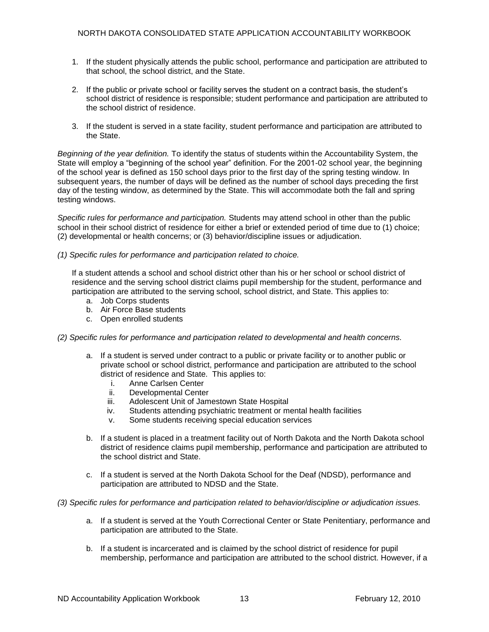- 1. If the student physically attends the public school, performance and participation are attributed to that school, the school district, and the State.
- 2. If the public or private school or facility serves the student on a contract basis, the student's school district of residence is responsible; student performance and participation are attributed to the school district of residence.
- 3. If the student is served in a state facility, student performance and participation are attributed to the State.

*Beginning of the year definition.* To identify the status of students within the Accountability System, the State will employ a "beginning of the school year" definition. For the 2001-02 school year, the beginning of the school year is defined as 150 school days prior to the first day of the spring testing window. In subsequent years, the number of days will be defined as the number of school days preceding the first day of the testing window, as determined by the State. This will accommodate both the fall and spring testing windows.

*Specific rules for performance and participation.* Students may attend school in other than the public school in their school district of residence for either a brief or extended period of time due to (1) choice; (2) developmental or health concerns; or (3) behavior/discipline issues or adjudication.

#### *(1) Specific rules for performance and participation related to choice.*

If a student attends a school and school district other than his or her school or school district of residence and the serving school district claims pupil membership for the student, performance and participation are attributed to the serving school, school district, and State. This applies to:

- a. Job Corps students
- b. Air Force Base students
- c. Open enrolled students

#### *(2) Specific rules for performance and participation related to developmental and health concerns.*

- a. If a student is served under contract to a public or private facility or to another public or private school or school district, performance and participation are attributed to the school district of residence and State. This applies to:
	- i. Anne Carlsen Center
	- ii. Developmental Center
	- iii. Adolescent Unit of Jamestown State Hospital
	- iv. Students attending psychiatric treatment or mental health facilities
	- v. Some students receiving special education services
- b. If a student is placed in a treatment facility out of North Dakota and the North Dakota school district of residence claims pupil membership, performance and participation are attributed to the school district and State.
- c. If a student is served at the North Dakota School for the Deaf (NDSD), performance and participation are attributed to NDSD and the State.
- *(3) Specific rules for performance and participation related to behavior/discipline or adjudication issues.*
	- a. If a student is served at the Youth Correctional Center or State Penitentiary, performance and participation are attributed to the State.
	- b. If a student is incarcerated and is claimed by the school district of residence for pupil membership, performance and participation are attributed to the school district. However, if a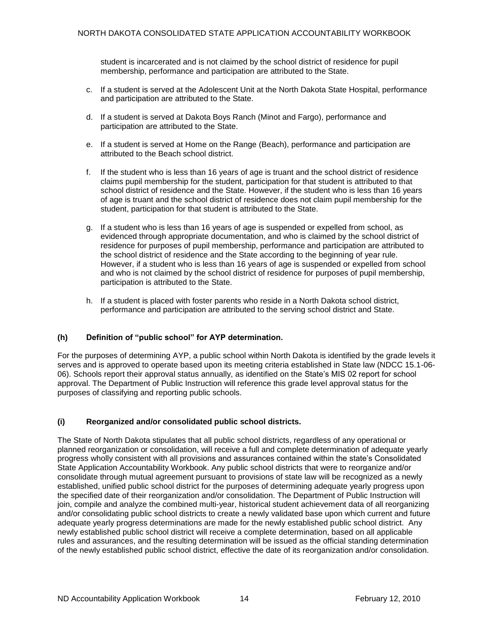student is incarcerated and is not claimed by the school district of residence for pupil membership, performance and participation are attributed to the State.

- c. If a student is served at the Adolescent Unit at the North Dakota State Hospital, performance and participation are attributed to the State.
- d. If a student is served at Dakota Boys Ranch (Minot and Fargo), performance and participation are attributed to the State.
- e. If a student is served at Home on the Range (Beach), performance and participation are attributed to the Beach school district.
- f. If the student who is less than 16 years of age is truant and the school district of residence claims pupil membership for the student, participation for that student is attributed to that school district of residence and the State. However, if the student who is less than 16 years of age is truant and the school district of residence does not claim pupil membership for the student, participation for that student is attributed to the State.
- g. If a student who is less than 16 years of age is suspended or expelled from school, as evidenced through appropriate documentation, and who is claimed by the school district of residence for purposes of pupil membership, performance and participation are attributed to the school district of residence and the State according to the beginning of year rule. However, if a student who is less than 16 years of age is suspended or expelled from school and who is not claimed by the school district of residence for purposes of pupil membership, participation is attributed to the State.
- h. If a student is placed with foster parents who reside in a North Dakota school district, performance and participation are attributed to the serving school district and State.

#### **(h) Definition of "public school" for AYP determination.**

For the purposes of determining AYP, a public school within North Dakota is identified by the grade levels it serves and is approved to operate based upon its meeting criteria established in State law (NDCC 15.1-06- 06). Schools report their approval status annually, as identified on the State's MIS 02 report for school approval. The Department of Public Instruction will reference this grade level approval status for the purposes of classifying and reporting public schools.

#### **(i) Reorganized and/or consolidated public school districts.**

The State of North Dakota stipulates that all public school districts, regardless of any operational or planned reorganization or consolidation, will receive a full and complete determination of adequate yearly progress wholly consistent with all provisions and assurances contained within the state's Consolidated State Application Accountability Workbook. Any public school districts that were to reorganize and/or consolidate through mutual agreement pursuant to provisions of state law will be recognized as a newly established, unified public school district for the purposes of determining adequate yearly progress upon the specified date of their reorganization and/or consolidation. The Department of Public Instruction will join, compile and analyze the combined multi-year, historical student achievement data of all reorganizing and/or consolidating public school districts to create a newly validated base upon which current and future adequate yearly progress determinations are made for the newly established public school district. Any newly established public school district will receive a complete determination, based on all applicable rules and assurances, and the resulting determination will be issued as the official standing determination of the newly established public school district, effective the date of its reorganization and/or consolidation.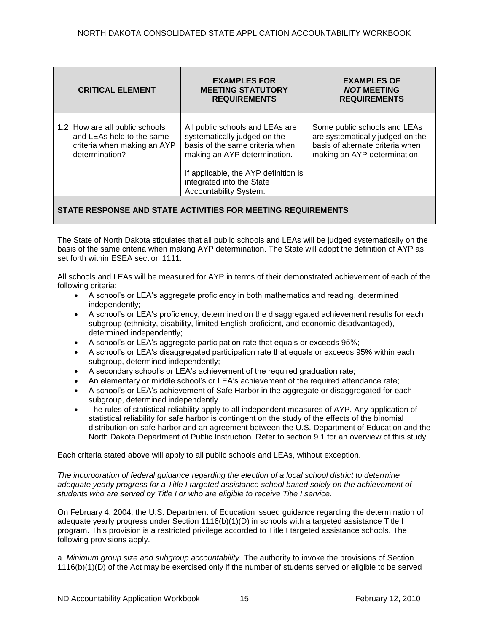| <b>CRITICAL ELEMENT</b>                                                                                      | <b>EXAMPLES FOR</b><br><b>MEETING STATUTORY</b><br><b>REQUIREMENTS</b>                                                                                                                                                            | <b>EXAMPLES OF</b><br><b>NOT MEETING</b><br><b>REQUIREMENTS</b>                                                                      |
|--------------------------------------------------------------------------------------------------------------|-----------------------------------------------------------------------------------------------------------------------------------------------------------------------------------------------------------------------------------|--------------------------------------------------------------------------------------------------------------------------------------|
| 1.2 How are all public schools<br>and LEAs held to the same<br>criteria when making an AYP<br>determination? | All public schools and LEAs are<br>systematically judged on the<br>basis of the same criteria when<br>making an AYP determination.<br>If applicable, the AYP definition is<br>integrated into the State<br>Accountability System. | Some public schools and LEAs<br>are systematically judged on the<br>basis of alternate criteria when<br>making an AYP determination. |

The State of North Dakota stipulates that all public schools and LEAs will be judged systematically on the basis of the same criteria when making AYP determination. The State will adopt the definition of AYP as set forth within ESEA section 1111.

All schools and LEAs will be measured for AYP in terms of their demonstrated achievement of each of the following criteria:

- A school's or LEA's aggregate proficiency in both mathematics and reading, determined independently;
- A school's or LEA's proficiency, determined on the disaggregated achievement results for each subgroup (ethnicity, disability, limited English proficient, and economic disadvantaged), determined independently;
- A school's or LEA's aggregate participation rate that equals or exceeds 95%;
- A school's or LEA's disaggregated participation rate that equals or exceeds 95% within each subgroup, determined independently;
- A secondary school's or LEA's achievement of the required graduation rate;
- An elementary or middle school's or LEA's achievement of the required attendance rate;
- A school's or LEA's achievement of Safe Harbor in the aggregate or disaggregated for each subgroup, determined independently.
- The rules of statistical reliability apply to all independent measures of AYP. Any application of statistical reliability for safe harbor is contingent on the study of the effects of the binomial distribution on safe harbor and an agreement between the U.S. Department of Education and the North Dakota Department of Public Instruction. Refer to section 9.1 for an overview of this study.

Each criteria stated above will apply to all public schools and LEAs, without exception.

*The incorporation of federal guidance regarding the election of a local school district to determine adequate yearly progress for a Title I targeted assistance school based solely on the achievement of students who are served by Title I or who are eligible to receive Title I service.*

On February 4, 2004, the U.S. Department of Education issued guidance regarding the determination of adequate yearly progress under Section 1116(b)(1)(D) in schools with a targeted assistance Title I program. This provision is a restricted privilege accorded to Title I targeted assistance schools. The following provisions apply.

a. *Minimum group size and subgroup accountability.* The authority to invoke the provisions of Section 1116(b)(1)(D) of the Act may be exercised only if the number of students served or eligible to be served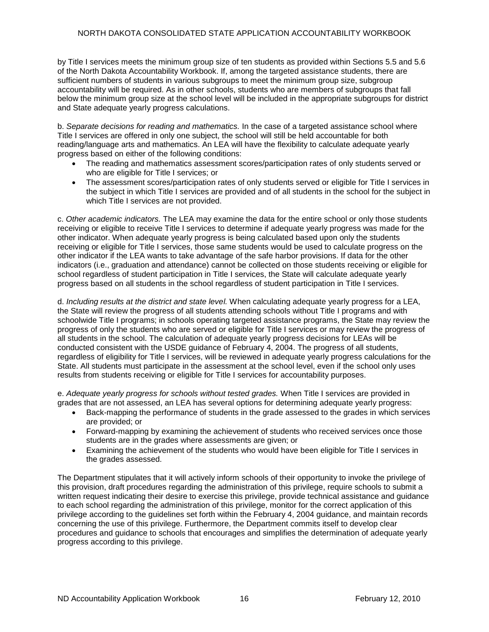by Title I services meets the minimum group size of ten students as provided within Sections 5.5 and 5.6 of the North Dakota Accountability Workbook. If, among the targeted assistance students, there are sufficient numbers of students in various subgroups to meet the minimum group size, subgroup accountability will be required. As in other schools, students who are members of subgroups that fall below the minimum group size at the school level will be included in the appropriate subgroups for district and State adequate yearly progress calculations.

b. *Separate decisions for reading and mathematics.* In the case of a targeted assistance school where Title I services are offered in only one subject, the school will still be held accountable for both reading/language arts and mathematics. An LEA will have the flexibility to calculate adequate yearly progress based on either of the following conditions:

- The reading and mathematics assessment scores/participation rates of only students served or who are eligible for Title I services; or
- The assessment scores/participation rates of only students served or eligible for Title I services in the subject in which Title I services are provided and of all students in the school for the subject in which Title I services are not provided.

c. *Other academic indicators.* The LEA may examine the data for the entire school or only those students receiving or eligible to receive Title I services to determine if adequate yearly progress was made for the other indicator. When adequate yearly progress is being calculated based upon only the students receiving or eligible for Title I services, those same students would be used to calculate progress on the other indicator if the LEA wants to take advantage of the safe harbor provisions. If data for the other indicators (i.e., graduation and attendance) cannot be collected on those students receiving or eligible for school regardless of student participation in Title I services, the State will calculate adequate yearly progress based on all students in the school regardless of student participation in Title I services.

d. *Including results at the district and state level.* When calculating adequate yearly progress for a LEA, the State will review the progress of all students attending schools without Title I programs and with schoolwide Title I programs; in schools operating targeted assistance programs, the State may review the progress of only the students who are served or eligible for Title I services or may review the progress of all students in the school. The calculation of adequate yearly progress decisions for LEAs will be conducted consistent with the USDE guidance of February 4, 2004. The progress of all students, regardless of eligibility for Title I services, will be reviewed in adequate yearly progress calculations for the State. All students must participate in the assessment at the school level, even if the school only uses results from students receiving or eligible for Title I services for accountability purposes.

e. *Adequate yearly progress for schools without tested grades.* When Title I services are provided in grades that are not assessed, an LEA has several options for determining adequate yearly progress:

- Back-mapping the performance of students in the grade assessed to the grades in which services are provided; or
- Forward-mapping by examining the achievement of students who received services once those students are in the grades where assessments are given; or
- Examining the achievement of the students who would have been eligible for Title I services in the grades assessed.

The Department stipulates that it will actively inform schools of their opportunity to invoke the privilege of this provision, draft procedures regarding the administration of this privilege, require schools to submit a written request indicating their desire to exercise this privilege, provide technical assistance and guidance to each school regarding the administration of this privilege, monitor for the correct application of this privilege according to the guidelines set forth within the February 4, 2004 guidance, and maintain records concerning the use of this privilege. Furthermore, the Department commits itself to develop clear procedures and guidance to schools that encourages and simplifies the determination of adequate yearly progress according to this privilege.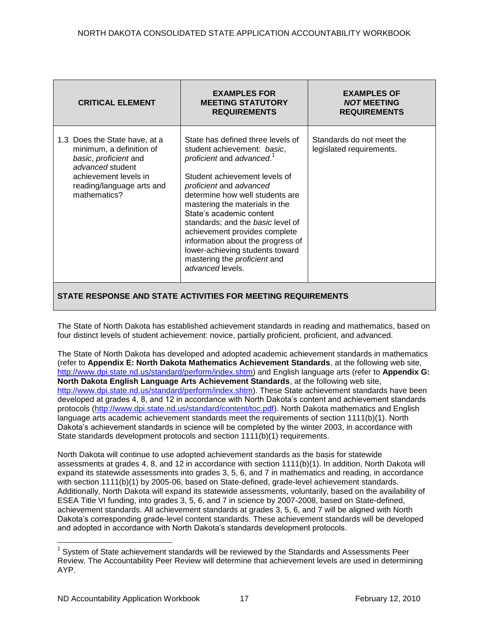| <b>CRITICAL ELEMENT</b>                                                                                                                                                      | <b>EXAMPLES FOR</b><br><b>MEETING STATUTORY</b><br><b>REQUIREMENTS</b>                                                                                                                                                                                                                                                                                                                                                                                                   | <b>EXAMPLES OF</b><br><b>NOT MEETING</b><br><b>REQUIREMENTS</b> |  |  |
|------------------------------------------------------------------------------------------------------------------------------------------------------------------------------|--------------------------------------------------------------------------------------------------------------------------------------------------------------------------------------------------------------------------------------------------------------------------------------------------------------------------------------------------------------------------------------------------------------------------------------------------------------------------|-----------------------------------------------------------------|--|--|
| 1.3 Does the State have, at a<br>minimum, a definition of<br>basic, proficient and<br>advanced student<br>achievement levels in<br>reading/language arts and<br>mathematics? | State has defined three levels of<br>student achievement: basic,<br>proficient and advanced. <sup>1</sup><br>Student achievement levels of<br>proficient and advanced<br>determine how well students are<br>mastering the materials in the<br>State's academic content<br>standards; and the basic level of<br>achievement provides complete<br>information about the progress of<br>lower-achieving students toward<br>mastering the proficient and<br>advanced levels. | Standards do not meet the<br>legislated requirements.           |  |  |
| STATE RESPONSE AND STATE ACTIVITIES FOR MEETING REQUIREMENTS                                                                                                                 |                                                                                                                                                                                                                                                                                                                                                                                                                                                                          |                                                                 |  |  |

The State of North Dakota has established achievement standards in reading and mathematics, based on four distinct levels of student achievement: novice, partially proficient, proficient, and advanced.

The State of North Dakota has developed and adopted academic achievement standards in mathematics (refer to **Appendix E: North Dakota Mathematics Achievement Standards**, at the following web site, [http://www.dpi.state.nd.us/standard/perform/index.shtm\)](http://www.dpi.state.nd.us/standard/perform/index.shtm) and English language arts (refer to **Appendix G: North Dakota English Language Arts Achievement Standards**, at the following web site, [http://www.dpi.state.nd.us/standard/perform/index.shtm\)](http://www.dpi.state.nd.us/standard/perform/index.shtm). These State achievement standards have been developed at grades 4, 8, and 12 in accordance with North Dakota's content and achievement standards protocols [\(http://www.dpi.state.nd.us/standard/content/toc.pdf\)](http://www.dpi.state.nd.us/standard/content/toc.pdf). North Dakota mathematics and English language arts academic achievement standards meet the requirements of section 1111(b)(1). North Dakota's achievement standards in science will be completed by the winter 2003, in accordance with State standards development protocols and section 1111(b)(1) requirements.

North Dakota will continue to use adopted achievement standards as the basis for statewide assessments at grades 4, 8, and 12 in accordance with section 1111(b)(1). In addition, North Dakota will expand its statewide assessments into grades 3, 5, 6, and 7 in mathematics and reading, in accordance with section 1111(b)(1) by 2005-06, based on State-defined, grade-level achievement standards. Additionally, North Dakota will expand its statewide assessments, voluntarily, based on the availability of ESEA Title VI funding, into grades 3, 5, 6, and 7 in science by 2007-2008, based on State-defined, achievement standards. All achievement standards at grades 3, 5, 6, and 7 will be aligned with North Dakota's corresponding grade-level content standards. These achievement standards will be developed and adopted in accordance with North Dakota's standards development protocols.

 $\overline{a}$ 

 $1$  System of State achievement standards will be reviewed by the Standards and Assessments Peer Review. The Accountability Peer Review will determine that achievement levels are used in determining AYP.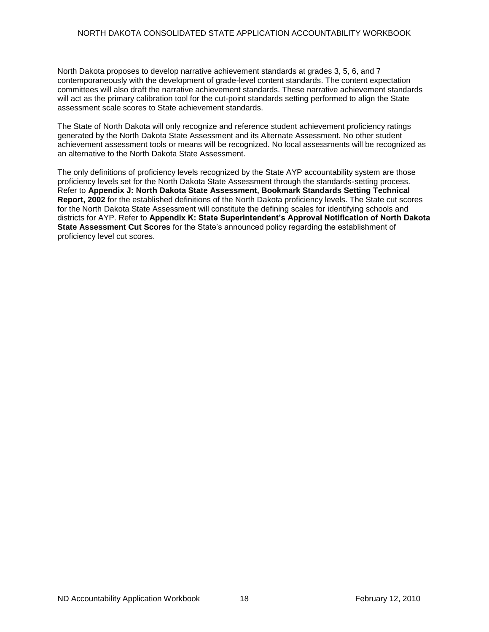North Dakota proposes to develop narrative achievement standards at grades 3, 5, 6, and 7 contemporaneously with the development of grade-level content standards. The content expectation committees will also draft the narrative achievement standards. These narrative achievement standards will act as the primary calibration tool for the cut-point standards setting performed to align the State assessment scale scores to State achievement standards.

The State of North Dakota will only recognize and reference student achievement proficiency ratings generated by the North Dakota State Assessment and its Alternate Assessment. No other student achievement assessment tools or means will be recognized. No local assessments will be recognized as an alternative to the North Dakota State Assessment.

The only definitions of proficiency levels recognized by the State AYP accountability system are those proficiency levels set for the North Dakota State Assessment through the standards-setting process. Refer to **Appendix J: North Dakota State Assessment, Bookmark Standards Setting Technical Report, 2002** for the established definitions of the North Dakota proficiency levels. The State cut scores for the North Dakota State Assessment will constitute the defining scales for identifying schools and districts for AYP. Refer to **Appendix K: State Superintendent's Approval Notification of North Dakota State Assessment Cut Scores** for the State's announced policy regarding the establishment of proficiency level cut scores.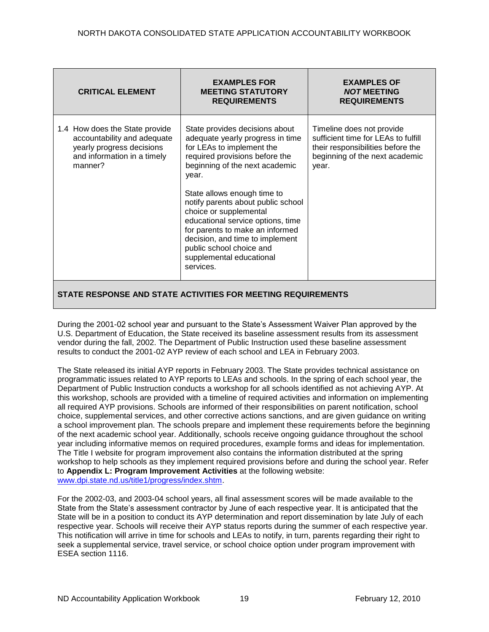| 1.4 How does the State provide<br>State provides decisions about<br>Timeline does not provide<br>sufficient time for LEAs to fulfill<br>accountability and adequate<br>adequate yearly progress in time<br>yearly progress decisions<br>for LEAs to implement the<br>their responsibilities before the<br>beginning of the next academic<br>and information in a timely<br>required provisions before the<br>manner?<br>beginning of the next academic<br>year.<br>year.<br>State allows enough time to<br>notify parents about public school<br>choice or supplemental<br>educational service options, time<br>for parents to make an informed<br>decision, and time to implement<br>public school choice and<br>supplemental educational<br>services. | <b>CRITICAL ELEMENT</b> | <b>EXAMPLES FOR</b><br><b>MEETING STATUTORY</b><br><b>REQUIREMENTS</b> | <b>EXAMPLES OF</b><br><b>NOT MEETING</b><br><b>REQUIREMENTS</b> |
|---------------------------------------------------------------------------------------------------------------------------------------------------------------------------------------------------------------------------------------------------------------------------------------------------------------------------------------------------------------------------------------------------------------------------------------------------------------------------------------------------------------------------------------------------------------------------------------------------------------------------------------------------------------------------------------------------------------------------------------------------------|-------------------------|------------------------------------------------------------------------|-----------------------------------------------------------------|
|                                                                                                                                                                                                                                                                                                                                                                                                                                                                                                                                                                                                                                                                                                                                                         |                         |                                                                        |                                                                 |

During the 2001-02 school year and pursuant to the State's Assessment Waiver Plan approved by the U.S. Department of Education, the State received its baseline assessment results from its assessment vendor during the fall, 2002. The Department of Public Instruction used these baseline assessment results to conduct the 2001-02 AYP review of each school and LEA in February 2003.

The State released its initial AYP reports in February 2003. The State provides technical assistance on programmatic issues related to AYP reports to LEAs and schools. In the spring of each school year, the Department of Public Instruction conducts a workshop for all schools identified as not achieving AYP. At this workshop, schools are provided with a timeline of required activities and information on implementing all required AYP provisions. Schools are informed of their responsibilities on parent notification, school choice, supplemental services, and other corrective actions sanctions, and are given guidance on writing a school improvement plan. The schools prepare and implement these requirements before the beginning of the next academic school year. Additionally, schools receive ongoing guidance throughout the school year including informative memos on required procedures, example forms and ideas for implementation. The Title I website for program improvement also contains the information distributed at the spring workshop to help schools as they implement required provisions before and during the school year. Refer to **Appendix L: Program Improvement Activities** at the following website: [www.dpi.state.nd.us/title1/progress/index.shtm.](http://www.dpi.state.nd.us/title1/progress/index.shtm)

For the 2002-03, and 2003-04 school years, all final assessment scores will be made available to the State from the State's assessment contractor by June of each respective year. It is anticipated that the State will be in a position to conduct its AYP determination and report dissemination by late July of each respective year. Schools will receive their AYP status reports during the summer of each respective year. This notification will arrive in time for schools and LEAs to notify, in turn, parents regarding their right to seek a supplemental service, travel service, or school choice option under program improvement with ESEA section 1116.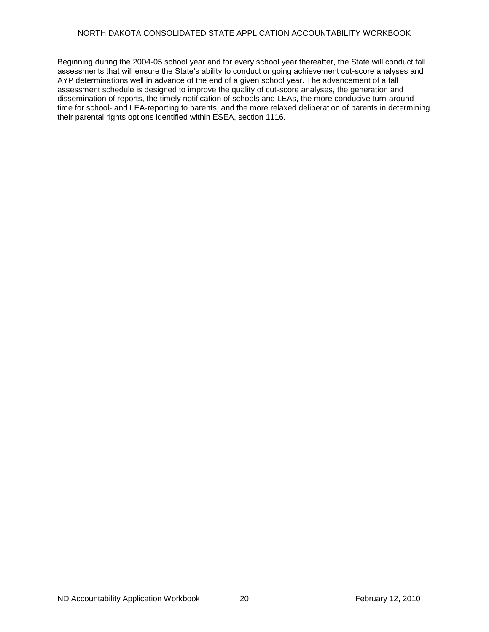Beginning during the 2004-05 school year and for every school year thereafter, the State will conduct fall assessments that will ensure the State's ability to conduct ongoing achievement cut-score analyses and AYP determinations well in advance of the end of a given school year. The advancement of a fall assessment schedule is designed to improve the quality of cut-score analyses, the generation and dissemination of reports, the timely notification of schools and LEAs, the more conducive turn-around time for school- and LEA-reporting to parents, and the more relaxed deliberation of parents in determining their parental rights options identified within ESEA, section 1116.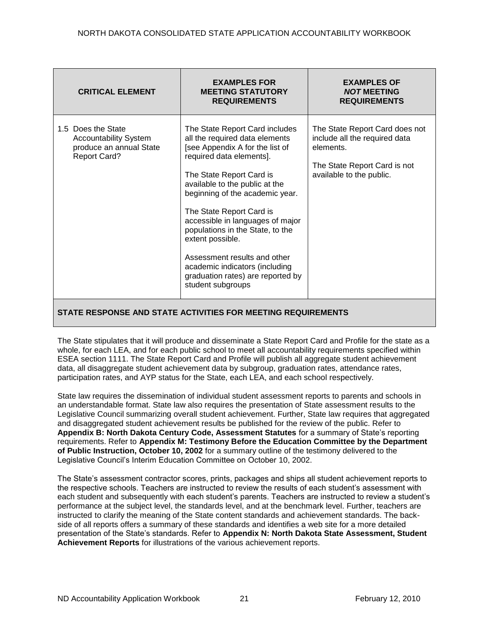| <b>CRITICAL ELEMENT</b>                                                                              | <b>EXAMPLES FOR</b><br><b>MEETING STATUTORY</b><br><b>REQUIREMENTS</b>                                                                                                                                                                                                                                                                                                                                                                                                               | <b>EXAMPLES OF</b><br><b>NOT MEETING</b><br><b>REQUIREMENTS</b>                                                                          |
|------------------------------------------------------------------------------------------------------|--------------------------------------------------------------------------------------------------------------------------------------------------------------------------------------------------------------------------------------------------------------------------------------------------------------------------------------------------------------------------------------------------------------------------------------------------------------------------------------|------------------------------------------------------------------------------------------------------------------------------------------|
| 1.5 Does the State<br><b>Accountability System</b><br>produce an annual State<br><b>Report Card?</b> | The State Report Card includes<br>all the required data elements<br>[see Appendix A for the list of<br>required data elements].<br>The State Report Card is<br>available to the public at the<br>beginning of the academic year.<br>The State Report Card is<br>accessible in languages of major<br>populations in the State, to the<br>extent possible.<br>Assessment results and other<br>academic indicators (including<br>graduation rates) are reported by<br>student subgroups | The State Report Card does not<br>include all the required data<br>elements.<br>The State Report Card is not<br>available to the public. |

The State stipulates that it will produce and disseminate a State Report Card and Profile for the state as a whole, for each LEA, and for each public school to meet all accountability requirements specified within ESEA section 1111. The State Report Card and Profile will publish all aggregate student achievement data, all disaggregate student achievement data by subgroup, graduation rates, attendance rates, participation rates, and AYP status for the State, each LEA, and each school respectively.

State law requires the dissemination of individual student assessment reports to parents and schools in an understandable format. State law also requires the presentation of State assessment results to the Legislative Council summarizing overall student achievement. Further, State law requires that aggregated and disaggregated student achievement results be published for the review of the public. Refer to **Appendix B: North Dakota Century Code, Assessment Statutes** for a summary of State's reporting requirements. Refer to **Appendix M: Testimony Before the Education Committee by the Department of Public Instruction, October 10, 2002** for a summary outline of the testimony delivered to the Legislative Council's Interim Education Committee on October 10, 2002.

The State's assessment contractor scores, prints, packages and ships all student achievement reports to the respective schools. Teachers are instructed to review the results of each student's assessment with each student and subsequently with each student's parents. Teachers are instructed to review a student's performance at the subject level, the standards level, and at the benchmark level. Further, teachers are instructed to clarify the meaning of the State content standards and achievement standards. The backside of all reports offers a summary of these standards and identifies a web site for a more detailed presentation of the State's standards. Refer to **Appendix N: North Dakota State Assessment, Student Achievement Reports** for illustrations of the various achievement reports.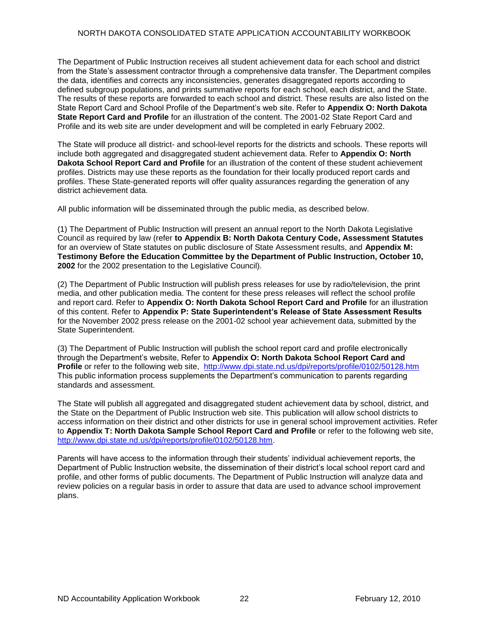The Department of Public Instruction receives all student achievement data for each school and district from the State's assessment contractor through a comprehensive data transfer. The Department compiles the data, identifies and corrects any inconsistencies, generates disaggregated reports according to defined subgroup populations, and prints summative reports for each school, each district, and the State. The results of these reports are forwarded to each school and district. These results are also listed on the State Report Card and School Profile of the Department's web site. Refer to **Appendix O: North Dakota State Report Card and Profile** for an illustration of the content. The 2001-02 State Report Card and Profile and its web site are under development and will be completed in early February 2002.

The State will produce all district- and school-level reports for the districts and schools. These reports will include both aggregated and disaggregated student achievement data. Refer to **Appendix O: North Dakota School Report Card and Profile** for an illustration of the content of these student achievement profiles. Districts may use these reports as the foundation for their locally produced report cards and profiles. These State-generated reports will offer quality assurances regarding the generation of any district achievement data.

All public information will be disseminated through the public media, as described below.

(1) The Department of Public Instruction will present an annual report to the North Dakota Legislative Council as required by law (refer **to Appendix B: North Dakota Century Code, Assessment Statutes** for an overview of State statutes on public disclosure of State Assessment results, and **Appendix M: Testimony Before the Education Committee by the Department of Public Instruction, October 10, 2002** for the 2002 presentation to the Legislative Council).

(2) The Department of Public Instruction will publish press releases for use by radio/television, the print media, and other publication media. The content for these press releases will reflect the school profile and report card. Refer to **Appendix O: North Dakota School Report Card and Profile** for an illustration of this content. Refer to **Appendix P: State Superintendent's Release of State Assessment Results**  for the November 2002 press release on the 2001-02 school year achievement data, submitted by the State Superintendent.

(3) The Department of Public Instruction will publish the school report card and profile electronically through the Department's website, Refer to **Appendix O: North Dakota School Report Card and Profile** or refer to the following web site, <http://www.dpi.state.nd.us/dpi/reports/profile/0102/50128.htm> This public information process supplements the Department's communication to parents regarding standards and assessment.

The State will publish all aggregated and disaggregated student achievement data by school, district, and the State on the Department of Public Instruction web site. This publication will allow school districts to access information on their district and other districts for use in general school improvement activities. Refer to **Appendix T: North Dakota Sample School Report Card and Profile** or refer to the following web site, [http://www.dpi.state.nd.us/dpi/reports/profile/0102/50128.htm.](http://www.dpi.state.nd.us/dpi/reports/profile/0102/50128.htm)

Parents will have access to the information through their students' individual achievement reports, the Department of Public Instruction website, the dissemination of their district's local school report card and profile, and other forms of public documents. The Department of Public Instruction will analyze data and review policies on a regular basis in order to assure that data are used to advance school improvement plans.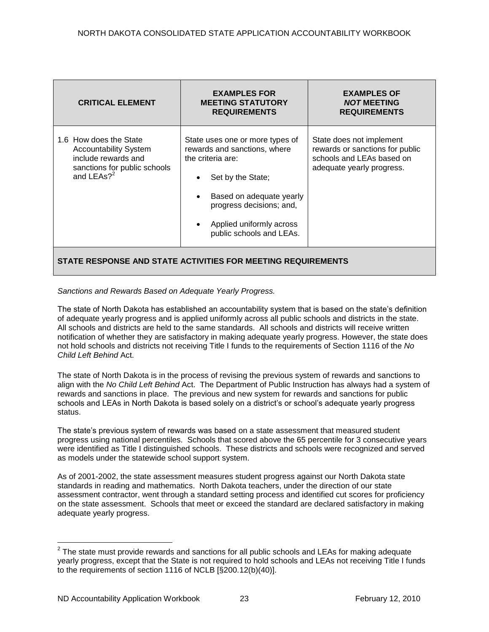| <b>CRITICAL ELEMENT</b>                                                                                                                 | <b>EXAMPLES FOR</b><br><b>MEETING STATUTORY</b><br><b>REQUIREMENTS</b>                                                                                                                                                                              | <b>EXAMPLES OF</b><br><b>NOT MEETING</b><br><b>REQUIREMENTS</b>                                                       |  |  |
|-----------------------------------------------------------------------------------------------------------------------------------------|-----------------------------------------------------------------------------------------------------------------------------------------------------------------------------------------------------------------------------------------------------|-----------------------------------------------------------------------------------------------------------------------|--|--|
| 1.6 How does the State<br><b>Accountability System</b><br>include rewards and<br>sanctions for public schools<br>and LEAs? <sup>2</sup> | State uses one or more types of<br>rewards and sanctions, where<br>the criteria are:<br>Set by the State;<br>$\bullet$<br>Based on adequate yearly<br>progress decisions; and,<br>Applied uniformly across<br>$\bullet$<br>public schools and LEAs. | State does not implement<br>rewards or sanctions for public<br>schools and LEAs based on<br>adequate yearly progress. |  |  |
| STATE RESPONSE AND STATE ACTIVITIES FOR MEETING REQUIREMENTS                                                                            |                                                                                                                                                                                                                                                     |                                                                                                                       |  |  |

*Sanctions and Rewards Based on Adequate Yearly Progress.*

The state of North Dakota has established an accountability system that is based on the state's definition of adequate yearly progress and is applied uniformly across all public schools and districts in the state. All schools and districts are held to the same standards. All schools and districts will receive written notification of whether they are satisfactory in making adequate yearly progress. However, the state does not hold schools and districts not receiving Title I funds to the requirements of Section 1116 of the *No Child Left Behind* Act.

The state of North Dakota is in the process of revising the previous system of rewards and sanctions to align with the *No Child Left Behind* Act. The Department of Public Instruction has always had a system of rewards and sanctions in place. The previous and new system for rewards and sanctions for public schools and LEAs in North Dakota is based solely on a district's or school's adequate yearly progress status.

The state's previous system of rewards was based on a state assessment that measured student progress using national percentiles. Schools that scored above the 65 percentile for 3 consecutive years were identified as Title I distinguished schools. These districts and schools were recognized and served as models under the statewide school support system.

As of 2001-2002, the state assessment measures student progress against our North Dakota state standards in reading and mathematics. North Dakota teachers, under the direction of our state assessment contractor, went through a standard setting process and identified cut scores for proficiency on the state assessment. Schools that meet or exceed the standard are declared satisfactory in making adequate yearly progress.

 $\overline{a}$ 

 $2$  The state must provide rewards and sanctions for all public schools and LEAs for making adequate yearly progress, except that the State is not required to hold schools and LEAs not receiving Title I funds to the requirements of section 1116 of NCLB [§200.12(b)(40)].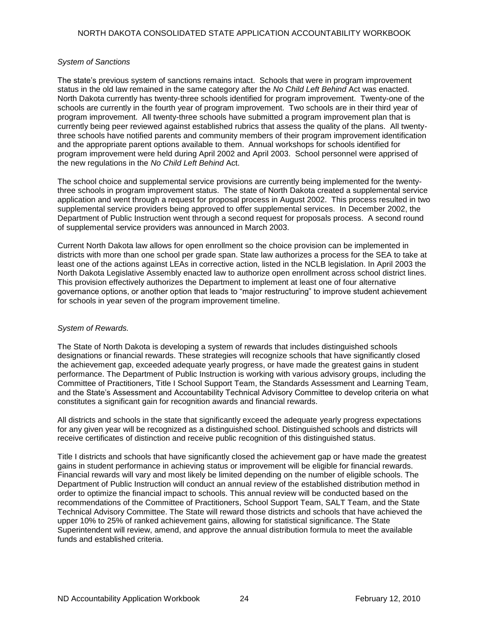#### *System of Sanctions*

The state's previous system of sanctions remains intact. Schools that were in program improvement status in the old law remained in the same category after the *No Child Left Behind* Act was enacted. North Dakota currently has twenty-three schools identified for program improvement. Twenty-one of the schools are currently in the fourth year of program improvement. Two schools are in their third year of program improvement. All twenty-three schools have submitted a program improvement plan that is currently being peer reviewed against established rubrics that assess the quality of the plans. All twentythree schools have notified parents and community members of their program improvement identification and the appropriate parent options available to them. Annual workshops for schools identified for program improvement were held during April 2002 and April 2003. School personnel were apprised of the new regulations in the *No Child Left Behind* Act.

The school choice and supplemental service provisions are currently being implemented for the twentythree schools in program improvement status. The state of North Dakota created a supplemental service application and went through a request for proposal process in August 2002. This process resulted in two supplemental service providers being approved to offer supplemental services. In December 2002, the Department of Public Instruction went through a second request for proposals process. A second round of supplemental service providers was announced in March 2003.

Current North Dakota law allows for open enrollment so the choice provision can be implemented in districts with more than one school per grade span. State law authorizes a process for the SEA to take at least one of the actions against LEAs in corrective action, listed in the NCLB legislation. In April 2003 the North Dakota Legislative Assembly enacted law to authorize open enrollment across school district lines. This provision effectively authorizes the Department to implement at least one of four alternative governance options, or another option that leads to "major restructuring" to improve student achievement for schools in year seven of the program improvement timeline.

#### *System of Rewards.*

The State of North Dakota is developing a system of rewards that includes distinguished schools designations or financial rewards. These strategies will recognize schools that have significantly closed the achievement gap, exceeded adequate yearly progress, or have made the greatest gains in student performance. The Department of Public Instruction is working with various advisory groups, including the Committee of Practitioners, Title I School Support Team, the Standards Assessment and Learning Team, and the State's Assessment and Accountability Technical Advisory Committee to develop criteria on what constitutes a significant gain for recognition awards and financial rewards.

All districts and schools in the state that significantly exceed the adequate yearly progress expectations for any given year will be recognized as a distinguished school. Distinguished schools and districts will receive certificates of distinction and receive public recognition of this distinguished status.

Title I districts and schools that have significantly closed the achievement gap or have made the greatest gains in student performance in achieving status or improvement will be eligible for financial rewards. Financial rewards will vary and most likely be limited depending on the number of eligible schools. The Department of Public Instruction will conduct an annual review of the established distribution method in order to optimize the financial impact to schools. This annual review will be conducted based on the recommendations of the Committee of Practitioners, School Support Team, SALT Team, and the State Technical Advisory Committee. The State will reward those districts and schools that have achieved the upper 10% to 25% of ranked achievement gains, allowing for statistical significance. The State Superintendent will review, amend, and approve the annual distribution formula to meet the available funds and established criteria.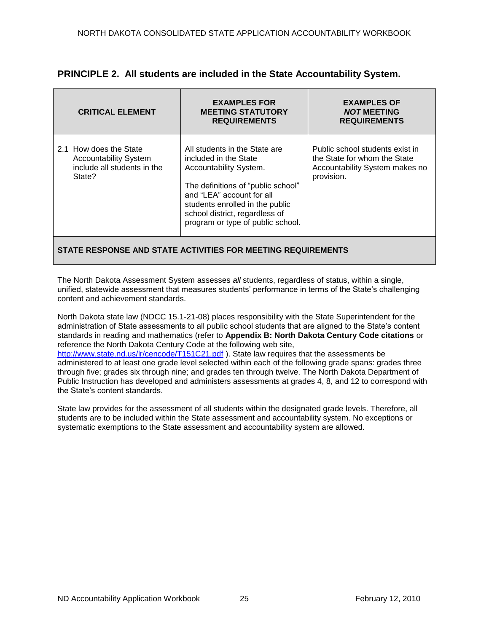| <b>CRITICAL ELEMENT</b>                                                                         | <b>EXAMPLES FOR</b><br><b>MEETING STATUTORY</b><br><b>REQUIREMENTS</b>                                                                                                                                                                                        | <b>EXAMPLES OF</b><br><b>NOT MEETING</b><br><b>REQUIREMENTS</b>                                                 |  |  |
|-------------------------------------------------------------------------------------------------|---------------------------------------------------------------------------------------------------------------------------------------------------------------------------------------------------------------------------------------------------------------|-----------------------------------------------------------------------------------------------------------------|--|--|
| 2.1 How does the State<br><b>Accountability System</b><br>include all students in the<br>State? | All students in the State are<br>included in the State<br>Accountability System.<br>The definitions of "public school"<br>and "LEA" account for all<br>students enrolled in the public<br>school district, regardless of<br>program or type of public school. | Public school students exist in<br>the State for whom the State<br>Accountability System makes no<br>provision. |  |  |
| STATE RESPONSE AND STATE ACTIVITIES FOR MEETING REQUIREMENTS                                    |                                                                                                                                                                                                                                                               |                                                                                                                 |  |  |

## **PRINCIPLE 2. All students are included in the State Accountability System.**

The North Dakota Assessment System assesses *all* students, regardless of status, within a single, unified, statewide assessment that measures students' performance in terms of the State's challenging content and achievement standards.

North Dakota state law (NDCC 15.1-21-08) places responsibility with the State Superintendent for the administration of State assessments to all public school students that are aligned to the State's content standards in reading and mathematics (refer to **Appendix B: North Dakota Century Code citations** or reference the North Dakota Century Code at the following web site, [http://www.state.nd.us/lr/cencode/T151C21.pdf](http://www.state.nd.us/lr/assembly/57-2001/cencode/CCT15x1.pdf) ). State law requires that the assessments be administered to at least one grade level selected within each of the following grade spans: grades three through five; grades six through nine; and grades ten through twelve. The North Dakota Department of Public Instruction has developed and administers assessments at grades 4, 8, and 12 to correspond with the State's content standards.

State law provides for the assessment of all students within the designated grade levels. Therefore, all students are to be included within the State assessment and accountability system. No exceptions or systematic exemptions to the State assessment and accountability system are allowed.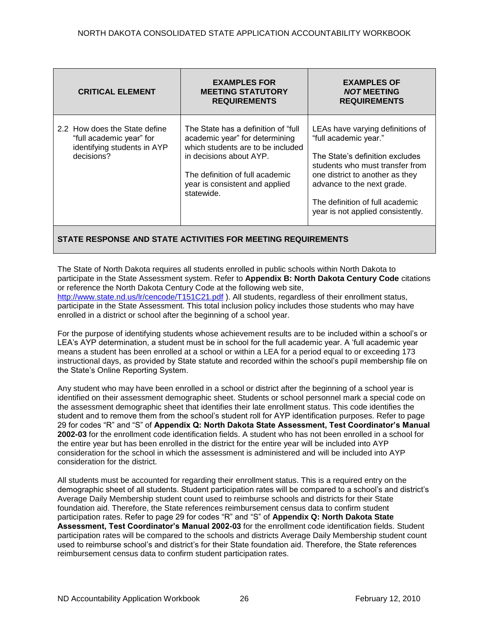| <b>CRITICAL ELEMENT</b>                                                                                | <b>EXAMPLES FOR</b><br><b>MEETING STATUTORY</b><br><b>REQUIREMENTS</b>                                                                                                                                                    | <b>EXAMPLES OF</b><br><b>NOT MEETING</b><br><b>REQUIREMENTS</b>                                                                                                                                                                                                          |
|--------------------------------------------------------------------------------------------------------|---------------------------------------------------------------------------------------------------------------------------------------------------------------------------------------------------------------------------|--------------------------------------------------------------------------------------------------------------------------------------------------------------------------------------------------------------------------------------------------------------------------|
| 2.2 How does the State define<br>"full academic year" for<br>identifying students in AYP<br>decisions? | The State has a definition of "full"<br>academic year" for determining<br>which students are to be included<br>in decisions about AYP.<br>The definition of full academic<br>year is consistent and applied<br>statewide. | LEAs have varying definitions of<br>"full academic year."<br>The State's definition excludes<br>students who must transfer from<br>one district to another as they<br>advance to the next grade.<br>The definition of full academic<br>year is not applied consistently. |

The State of North Dakota requires all students enrolled in public schools within North Dakota to participate in the State Assessment system. Refer to **Appendix B: North Dakota Century Code** citations or reference the North Dakota Century Code at the following web site, [http://www.state.nd.us/lr/cencode/T151C21.pdf](http://www.state.nd.us/lr/assembly/57-2001/cencode/CCT15x1.pdf) ). All students, regardless of their enrollment status, participate in the State Assessment. This total inclusion policy includes those students who may have enrolled in a district or school after the beginning of a school year.

For the purpose of identifying students whose achievement results are to be included within a school's or LEA's AYP determination, a student must be in school for the full academic year. A ‗full academic year means a student has been enrolled at a school or within a LEA for a period equal to or exceeding 173 instructional days, as provided by State statute and recorded within the school's pupil membership file on the State's Online Reporting System.

Any student who may have been enrolled in a school or district after the beginning of a school year is identified on their assessment demographic sheet. Students or school personnel mark a special code on the assessment demographic sheet that identifies their late enrollment status. This code identifies the student and to remove them from the school's student roll for AYP identification purposes. Refer to page 29 for codes "R" and "S" of Appendix Q: North Dakota State Assessment, Test Coordinator's Manual **2002-03** for the enrollment code identification fields. A student who has not been enrolled in a school for the entire year but has been enrolled in the district for the entire year will be included into AYP consideration for the school in which the assessment is administered and will be included into AYP consideration for the district.

All students must be accounted for regarding their enrollment status. This is a required entry on the demographic sheet of all students. Student participation rates will be compared to a school's and district's Average Daily Membership student count used to reimburse schools and districts for their State foundation aid. Therefore, the State references reimbursement census data to confirm student participation rates. Refer to page 29 for codes "R" and "S" of **Appendix Q: North Dakota State Assessment, Test Coordinator's Manual 2002-03** for the enrollment code identification fields. Student participation rates will be compared to the schools and districts Average Daily Membership student count used to reimburse school's and district's for their State foundation aid. Therefore, the State references reimbursement census data to confirm student participation rates.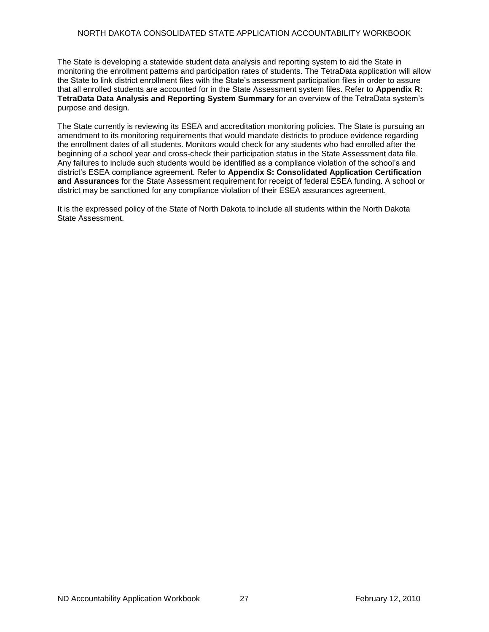The State is developing a statewide student data analysis and reporting system to aid the State in monitoring the enrollment patterns and participation rates of students. The TetraData application will allow the State to link district enrollment files with the State's assessment participation files in order to assure that all enrolled students are accounted for in the State Assessment system files. Refer to **Appendix R: TetraData Data Analysis and Reporting System Summary** for an overview of the TetraData system's purpose and design.

The State currently is reviewing its ESEA and accreditation monitoring policies. The State is pursuing an amendment to its monitoring requirements that would mandate districts to produce evidence regarding the enrollment dates of all students. Monitors would check for any students who had enrolled after the beginning of a school year and cross-check their participation status in the State Assessment data file. Any failures to include such students would be identified as a compliance violation of the school's and district's ESEA compliance agreement. Refer to **Appendix S: Consolidated Application Certification and Assurances** for the State Assessment requirement for receipt of federal ESEA funding. A school or district may be sanctioned for any compliance violation of their ESEA assurances agreement.

It is the expressed policy of the State of North Dakota to include all students within the North Dakota State Assessment.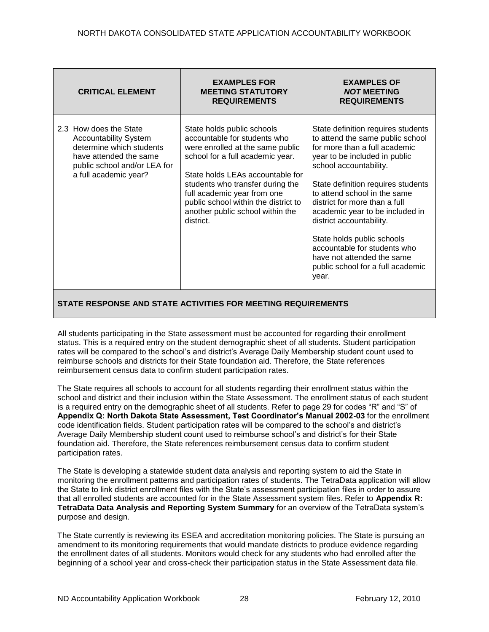| <b>CRITICAL ELEMENT</b>                                                                                                                                               | <b>EXAMPLES FOR</b><br><b>MEETING STATUTORY</b><br><b>REQUIREMENTS</b>                                                                                                                                                                                                                                                             | <b>EXAMPLES OF</b><br><b>NOT MEETING</b><br><b>REQUIREMENTS</b>                                                                                                                                                                                                                                                                                                                                                                                                                    |
|-----------------------------------------------------------------------------------------------------------------------------------------------------------------------|------------------------------------------------------------------------------------------------------------------------------------------------------------------------------------------------------------------------------------------------------------------------------------------------------------------------------------|------------------------------------------------------------------------------------------------------------------------------------------------------------------------------------------------------------------------------------------------------------------------------------------------------------------------------------------------------------------------------------------------------------------------------------------------------------------------------------|
| 2.3 How does the State<br><b>Accountability System</b><br>determine which students<br>have attended the same<br>public school and/or LEA for<br>a full academic year? | State holds public schools<br>accountable for students who<br>were enrolled at the same public<br>school for a full academic year.<br>State holds LEAs accountable for<br>students who transfer during the<br>full academic year from one<br>public school within the district to<br>another public school within the<br>district. | State definition requires students<br>to attend the same public school<br>for more than a full academic<br>year to be included in public<br>school accountability.<br>State definition requires students<br>to attend school in the same<br>district for more than a full<br>academic year to be included in<br>district accountability.<br>State holds public schools<br>accountable for students who<br>have not attended the same<br>public school for a full academic<br>year. |

All students participating in the State assessment must be accounted for regarding their enrollment status. This is a required entry on the student demographic sheet of all students. Student participation rates will be compared to the school's and district's Average Daily Membership student count used to reimburse schools and districts for their State foundation aid. Therefore, the State references reimbursement census data to confirm student participation rates.

The State requires all schools to account for all students regarding their enrollment status within the school and district and their inclusion within the State Assessment. The enrollment status of each student is a required entry on the demographic sheet of all students. Refer to page 29 for codes "R" and "S" of **Appendix Q: North Dakota State Assessment, Test Coordinator's Manual 2002-03** for the enrollment code identification fields. Student participation rates will be compared to the school's and district's Average Daily Membership student count used to reimburse school's and district's for their State foundation aid. Therefore, the State references reimbursement census data to confirm student participation rates.

The State is developing a statewide student data analysis and reporting system to aid the State in monitoring the enrollment patterns and participation rates of students. The TetraData application will allow the State to link district enrollment files with the State's assessment participation files in order to assure that all enrolled students are accounted for in the State Assessment system files. Refer to **Appendix R: TetraData Data Analysis and Reporting System Summary** for an overview of the TetraData system's purpose and design.

The State currently is reviewing its ESEA and accreditation monitoring policies. The State is pursuing an amendment to its monitoring requirements that would mandate districts to produce evidence regarding the enrollment dates of all students. Monitors would check for any students who had enrolled after the beginning of a school year and cross-check their participation status in the State Assessment data file.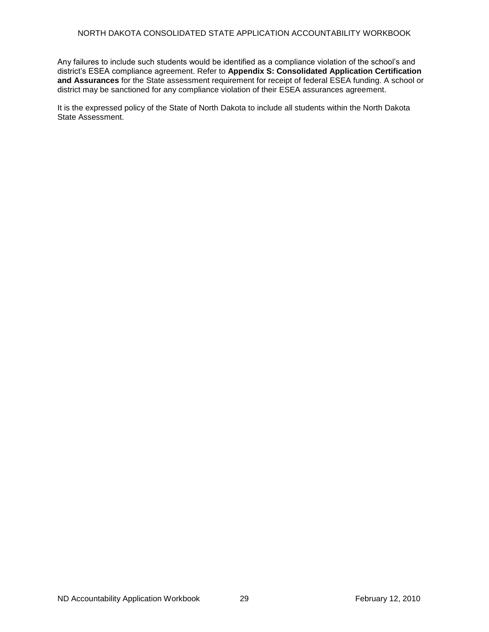Any failures to include such students would be identified as a compliance violation of the school's and district's ESEA compliance agreement. Refer to **Appendix S: Consolidated Application Certification and Assurances** for the State assessment requirement for receipt of federal ESEA funding. A school or district may be sanctioned for any compliance violation of their ESEA assurances agreement.

It is the expressed policy of the State of North Dakota to include all students within the North Dakota State Assessment.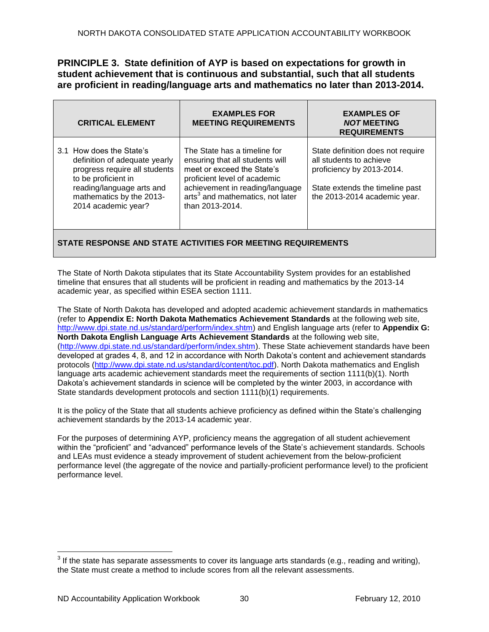**PRINCIPLE 3. State definition of AYP is based on expectations for growth in student achievement that is continuous and substantial, such that all students are proficient in reading/language arts and mathematics no later than 2013-2014.**

| <b>CRITICAL ELEMENT</b>                                                                                                                                                                           | <b>EXAMPLES FOR</b><br><b>MEETING REQUIREMENTS</b>                                                                                                           | <b>EXAMPLES OF</b><br><b>NOT MEETING</b><br><b>REQUIREMENTS</b> |  |  |  |  |  |
|---------------------------------------------------------------------------------------------------------------------------------------------------------------------------------------------------|--------------------------------------------------------------------------------------------------------------------------------------------------------------|-----------------------------------------------------------------|--|--|--|--|--|
| 3.1 How does the State's<br>definition of adequate yearly<br>progress require all students<br>to be proficient in<br>reading/language arts and<br>mathematics by the 2013-<br>2014 academic year? | State definition does not require<br>all students to achieve<br>proficiency by 2013-2014.<br>State extends the timeline past<br>the 2013-2014 academic year. |                                                                 |  |  |  |  |  |
| STATE RESPONSE AND STATE ACTIVITIES FOR MEETING REQUIREMENTS                                                                                                                                      |                                                                                                                                                              |                                                                 |  |  |  |  |  |

The State of North Dakota stipulates that its State Accountability System provides for an established timeline that ensures that all students will be proficient in reading and mathematics by the 2013-14 academic year, as specified within ESEA section 1111.

The State of North Dakota has developed and adopted academic achievement standards in mathematics (refer to **Appendix E: North Dakota Mathematics Achievement Standards** at the following web site, [http://www.dpi.state.nd.us/standard/perform/index.shtm\)](http://www.dpi.state.nd.us/standard/perform/index.shtm) and English language arts (refer to **Appendix G: North Dakota English Language Arts Achievement Standards** at the following web site, [\(http://www.dpi.state.nd.us/standard/perform/index.shtm\)](http://www.dpi.state.nd.us/standard/perform/index.shtm). These State achievement standards have been developed at grades 4, 8, and 12 in accordance with North Dakota's content and achievement standards protocols [\(http://www.dpi.state.nd.us/standard/content/toc.pdf\)](http://www.dpi.state.nd.us/standard/content/toc.pdf). North Dakota mathematics and English language arts academic achievement standards meet the requirements of section 1111(b)(1). North Dakota's achievement standards in science will be completed by the winter 2003, in accordance with State standards development protocols and section 1111(b)(1) requirements.

It is the policy of the State that all students achieve proficiency as defined within the State's challenging achievement standards by the 2013-14 academic year.

For the purposes of determining AYP, proficiency means the aggregation of all student achievement within the "proficient" and "advanced" performance levels of the State's achievement standards. Schools and LEAs must evidence a steady improvement of student achievement from the below-proficient performance level (the aggregate of the novice and partially-proficient performance level) to the proficient performance level.

 $\overline{a}$ 

 $^3$  If the state has separate assessments to cover its language arts standards (e.g., reading and writing), the State must create a method to include scores from all the relevant assessments.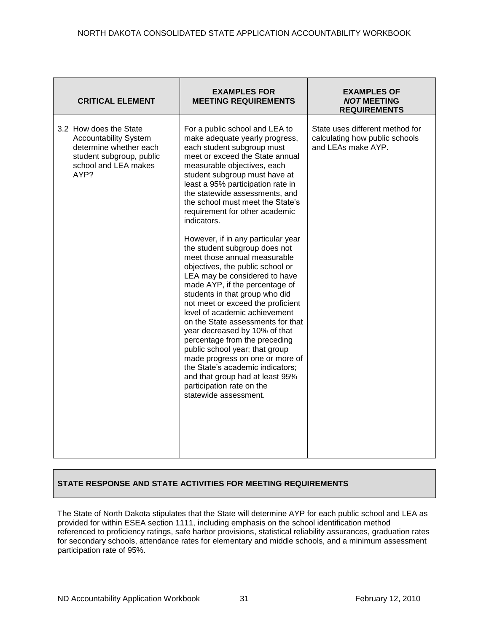| <b>CRITICAL ELEMENT</b>                                                                                                                      | <b>EXAMPLES FOR</b><br><b>MEETING REQUIREMENTS</b>                                                                                                                                                                                                                                                                                                                                                                                                                                                                                                                                                                                                                                                                                                                                                                                                                                                                                                                                           | <b>EXAMPLES OF</b><br><b>NOT MEETING</b><br><b>REQUIREMENTS</b>                         |
|----------------------------------------------------------------------------------------------------------------------------------------------|----------------------------------------------------------------------------------------------------------------------------------------------------------------------------------------------------------------------------------------------------------------------------------------------------------------------------------------------------------------------------------------------------------------------------------------------------------------------------------------------------------------------------------------------------------------------------------------------------------------------------------------------------------------------------------------------------------------------------------------------------------------------------------------------------------------------------------------------------------------------------------------------------------------------------------------------------------------------------------------------|-----------------------------------------------------------------------------------------|
| 3.2 How does the State<br><b>Accountability System</b><br>determine whether each<br>student subgroup, public<br>school and LEA makes<br>AYP? | For a public school and LEA to<br>make adequate yearly progress,<br>each student subgroup must<br>meet or exceed the State annual<br>measurable objectives, each<br>student subgroup must have at<br>least a 95% participation rate in<br>the statewide assessments, and<br>the school must meet the State's<br>requirement for other academic<br>indicators.<br>However, if in any particular year<br>the student subgroup does not<br>meet those annual measurable<br>objectives, the public school or<br>LEA may be considered to have<br>made AYP, if the percentage of<br>students in that group who did<br>not meet or exceed the proficient<br>level of academic achievement<br>on the State assessments for that<br>year decreased by 10% of that<br>percentage from the preceding<br>public school year; that group<br>made progress on one or more of<br>the State's academic indicators;<br>and that group had at least 95%<br>participation rate on the<br>statewide assessment. | State uses different method for<br>calculating how public schools<br>and LEAs make AYP. |

The State of North Dakota stipulates that the State will determine AYP for each public school and LEA as provided for within ESEA section 1111, including emphasis on the school identification method referenced to proficiency ratings, safe harbor provisions, statistical reliability assurances, graduation rates for secondary schools, attendance rates for elementary and middle schools, and a minimum assessment participation rate of 95%.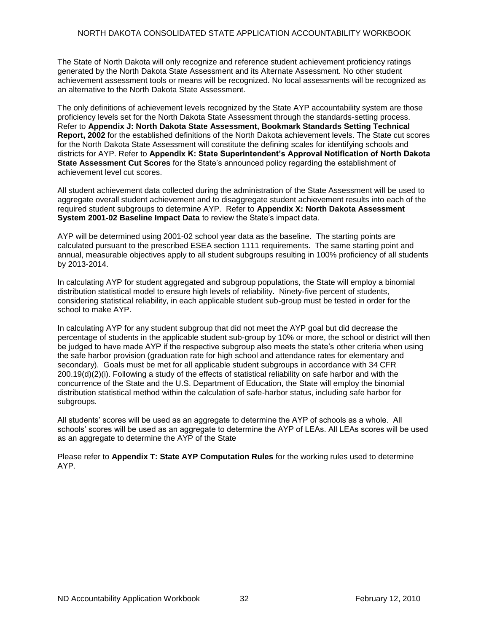The State of North Dakota will only recognize and reference student achievement proficiency ratings generated by the North Dakota State Assessment and its Alternate Assessment. No other student achievement assessment tools or means will be recognized. No local assessments will be recognized as an alternative to the North Dakota State Assessment.

The only definitions of achievement levels recognized by the State AYP accountability system are those proficiency levels set for the North Dakota State Assessment through the standards-setting process. Refer to **Appendix J: North Dakota State Assessment, Bookmark Standards Setting Technical Report, 2002** for the established definitions of the North Dakota achievement levels. The State cut scores for the North Dakota State Assessment will constitute the defining scales for identifying schools and districts for AYP. Refer to **Appendix K: State Superintendent's Approval Notification of North Dakota State Assessment Cut Scores** for the State's announced policy regarding the establishment of achievement level cut scores.

All student achievement data collected during the administration of the State Assessment will be used to aggregate overall student achievement and to disaggregate student achievement results into each of the required student subgroups to determine AYP. Refer to **Appendix X: North Dakota Assessment System 2001-02 Baseline Impact Data** to review the State's impact data.

AYP will be determined using 2001-02 school year data as the baseline. The starting points are calculated pursuant to the prescribed ESEA section 1111 requirements. The same starting point and annual, measurable objectives apply to all student subgroups resulting in 100% proficiency of all students by 2013-2014.

In calculating AYP for student aggregated and subgroup populations, the State will employ a binomial distribution statistical model to ensure high levels of reliability. Ninety-five percent of students, considering statistical reliability, in each applicable student sub-group must be tested in order for the school to make AYP.

In calculating AYP for any student subgroup that did not meet the AYP goal but did decrease the percentage of students in the applicable student sub-group by 10% or more, the school or district will then be judged to have made AYP if the respective subgroup also meets the state's other criteria when using the safe harbor provision (graduation rate for high school and attendance rates for elementary and secondary). Goals must be met for all applicable student subgroups in accordance with 34 CFR 200.19(d)(2)(i). Following a study of the effects of statistical reliability on safe harbor and with the concurrence of the State and the U.S. Department of Education, the State will employ the binomial distribution statistical method within the calculation of safe-harbor status, including safe harbor for subgroups.

All students' scores will be used as an aggregate to determine the AYP of schools as a whole. All schools' scores will be used as an aggregate to determine the AYP of LEAs. All LEAs scores will be used as an aggregate to determine the AYP of the State

Please refer to **Appendix T: State AYP Computation Rules** for the working rules used to determine AYP.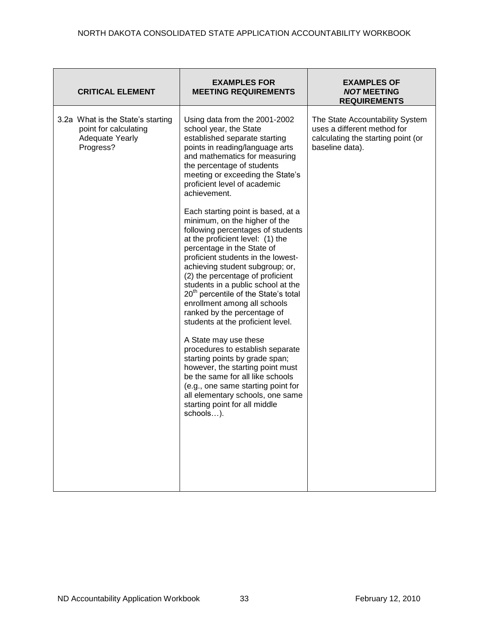| <b>CRITICAL ELEMENT</b>                                                                           | <b>EXAMPLES FOR</b><br><b>MEETING REQUIREMENTS</b>                                                                                                                                                                                                                                                                                                                                                                                                                                    | EXAMPLES OF<br><b>NOT MEETING</b><br><b>REQUIREMENTS</b>                                                                |
|---------------------------------------------------------------------------------------------------|---------------------------------------------------------------------------------------------------------------------------------------------------------------------------------------------------------------------------------------------------------------------------------------------------------------------------------------------------------------------------------------------------------------------------------------------------------------------------------------|-------------------------------------------------------------------------------------------------------------------------|
| 3.2a What is the State's starting<br>point for calculating<br><b>Adequate Yearly</b><br>Progress? | Using data from the 2001-2002<br>school year, the State<br>established separate starting<br>points in reading/language arts<br>and mathematics for measuring<br>the percentage of students<br>meeting or exceeding the State's<br>proficient level of academic<br>achievement.                                                                                                                                                                                                        | The State Accountability System<br>uses a different method for<br>calculating the starting point (or<br>baseline data). |
|                                                                                                   | Each starting point is based, at a<br>minimum, on the higher of the<br>following percentages of students<br>at the proficient level: (1) the<br>percentage in the State of<br>proficient students in the lowest-<br>achieving student subgroup; or,<br>(2) the percentage of proficient<br>students in a public school at the<br>20 <sup>th</sup> percentile of the State's total<br>enrollment among all schools<br>ranked by the percentage of<br>students at the proficient level. |                                                                                                                         |
|                                                                                                   | A State may use these<br>procedures to establish separate<br>starting points by grade span;<br>however, the starting point must<br>be the same for all like schools<br>(e.g., one same starting point for<br>all elementary schools, one same<br>starting point for all middle<br>schools).                                                                                                                                                                                           |                                                                                                                         |
|                                                                                                   |                                                                                                                                                                                                                                                                                                                                                                                                                                                                                       |                                                                                                                         |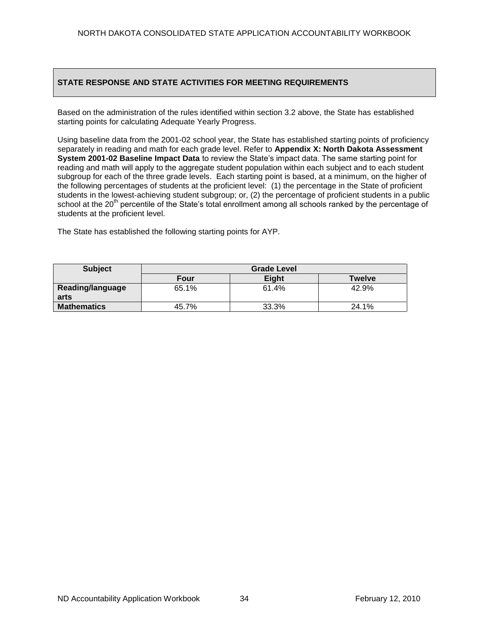Based on the administration of the rules identified within section 3.2 above, the State has established starting points for calculating Adequate Yearly Progress.

Using baseline data from the 2001-02 school year, the State has established starting points of proficiency separately in reading and math for each grade level. Refer to **Appendix X: North Dakota Assessment System 2001-02 Baseline Impact Data** to review the State's impact data. The same starting point for reading and math will apply to the aggregate student population within each subject and to each student subgroup for each of the three grade levels. Each starting point is based, at a minimum, on the higher of the following percentages of students at the proficient level: (1) the percentage in the State of proficient students in the lowest-achieving student subgroup; or, (2) the percentage of proficient students in a public school at the 20<sup>th</sup> percentile of the State's total enrollment among all schools ranked by the percentage of students at the proficient level.

The State has established the following starting points for AYP.

| <b>Subject</b>           | <b>Grade Level</b> |       |        |  |  |  |  |  |  |
|--------------------------|--------------------|-------|--------|--|--|--|--|--|--|
|                          | Four               | Eight | Twelve |  |  |  |  |  |  |
| Reading/language<br>arts | 65.1%              | 61.4% | 42.9%  |  |  |  |  |  |  |
|                          |                    |       |        |  |  |  |  |  |  |
| <b>Mathematics</b>       | 45.7%              | 33.3% | 24.1%  |  |  |  |  |  |  |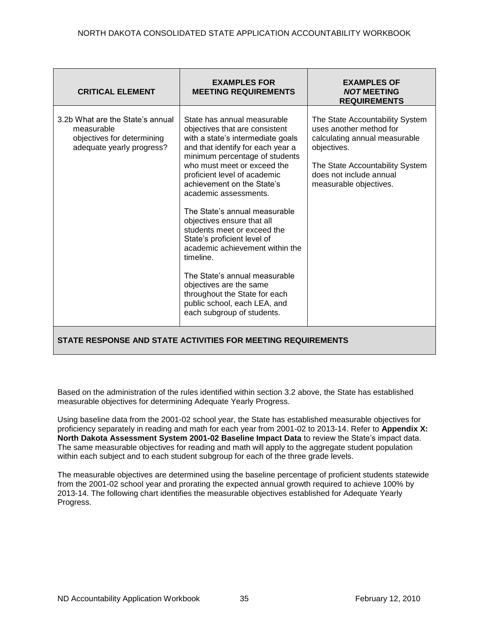| 3.2b What are the State's annual<br>State has annual measurable<br>The State Accountability System<br>uses another method for<br>measurable<br>objectives that are consistent<br>objectives for determining<br>with a state's intermediate goals<br>calculating annual measurable<br>and that identify for each year a<br>adequate yearly progress?<br>objectives.<br>minimum percentage of students<br>who must meet or exceed the<br>The State Accountability System<br>does not include annual<br>proficient level of academic<br>achievement on the State's<br>measurable objectives.<br>academic assessments.<br>The State's annual measurable<br>objectives ensure that all<br>students meet or exceed the<br>State's proficient level of<br>academic achievement within the<br>timeline.<br>The State's annual measurable<br>objectives are the same<br>throughout the State for each | <b>CRITICAL ELEMENT</b> | <b>EXAMPLES FOR</b><br><b>MEETING REQUIREMENTS</b> | <b>EXAMPLES OF</b><br><b>NOT MEETING</b><br><b>REQUIREMENTS</b> |
|----------------------------------------------------------------------------------------------------------------------------------------------------------------------------------------------------------------------------------------------------------------------------------------------------------------------------------------------------------------------------------------------------------------------------------------------------------------------------------------------------------------------------------------------------------------------------------------------------------------------------------------------------------------------------------------------------------------------------------------------------------------------------------------------------------------------------------------------------------------------------------------------|-------------------------|----------------------------------------------------|-----------------------------------------------------------------|
| each subgroup of students.                                                                                                                                                                                                                                                                                                                                                                                                                                                                                                                                                                                                                                                                                                                                                                                                                                                                   |                         | public school, each LEA, and                       |                                                                 |

Based on the administration of the rules identified within section 3.2 above, the State has established measurable objectives for determining Adequate Yearly Progress.

Using baseline data from the 2001-02 school year, the State has established measurable objectives for proficiency separately in reading and math for each year from 2001-02 to 2013-14. Refer to **Appendix X: North Dakota Assessment System 2001-02 Baseline Impact Data** to review the State's impact data. The same measurable objectives for reading and math will apply to the aggregate student population within each subject and to each student subgroup for each of the three grade levels.

The measurable objectives are determined using the baseline percentage of proficient students statewide from the 2001-02 school year and prorating the expected annual growth required to achieve 100% by 2013-14. The following chart identifies the measurable objectives established for Adequate Yearly Progress.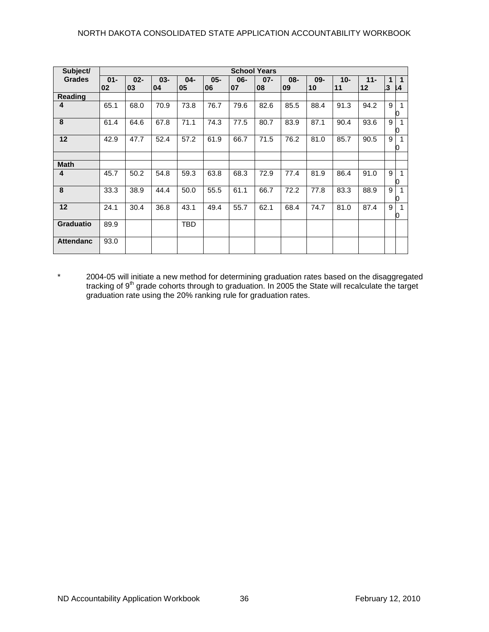| Subject/         | <b>School Years</b> |              |              |              |              |              |              |           |              |             |              |                                        |                   |
|------------------|---------------------|--------------|--------------|--------------|--------------|--------------|--------------|-----------|--------------|-------------|--------------|----------------------------------------|-------------------|
| <b>Grades</b>    | $01 -$<br>02        | $02 -$<br>03 | $03 -$<br>04 | $04 -$<br>05 | $05 -$<br>06 | $06 -$<br>07 | $07 -$<br>08 | 08-<br>09 | $09 -$<br>10 | $10-$<br>11 | $11 -$<br>12 | $\mathbf 1$<br>$\overline{\mathbf{3}}$ | $\mathbf 1$<br>14 |
| Reading          |                     |              |              |              |              |              |              |           |              |             |              |                                        |                   |
| 4                | 65.1                | 68.0         | 70.9         | 73.8         | 76.7         | 79.6         | 82.6         | 85.5      | 88.4         | 91.3        | 94.2         | 9                                      | 0                 |
| 8                | 61.4                | 64.6         | 67.8         | 71.1         | 74.3         | 77.5         | 80.7         | 83.9      | 87.1         | 90.4        | 93.6         | 9                                      | 0                 |
| 12               | 42.9                | 47.7         | 52.4         | 57.2         | 61.9         | 66.7         | 71.5         | 76.2      | 81.0         | 85.7        | 90.5         | 9                                      | 0                 |
|                  |                     |              |              |              |              |              |              |           |              |             |              |                                        |                   |
| <b>Math</b>      |                     |              |              |              |              |              |              |           |              |             |              |                                        |                   |
| 4                | 45.7                | 50.2         | 54.8         | 59.3         | 63.8         | 68.3         | 72.9         | 77.4      | 81.9         | 86.4        | 91.0         | 9                                      | 0                 |
| 8                | 33.3                | 38.9         | 44.4         | 50.0         | 55.5         | 61.1         | 66.7         | 72.2      | 77.8         | 83.3        | 88.9         | 9                                      | 0                 |
| 12               | 24.1                | 30.4         | 36.8         | 43.1         | 49.4         | 55.7         | 62.1         | 68.4      | 74.7         | 81.0        | 87.4         | 9                                      | 0                 |
| <b>Graduatio</b> | 89.9                |              |              | <b>TBD</b>   |              |              |              |           |              |             |              |                                        |                   |
| <b>Attendanc</b> | 93.0                |              |              |              |              |              |              |           |              |             |              |                                        |                   |

\* 2004-05 will initiate a new method for determining graduation rates based on the disaggregated tracking of 9<sup>th</sup> grade cohorts through to graduation. In 2005 the State will recalculate the target graduation rate using the 20% ranking rule for graduation rates.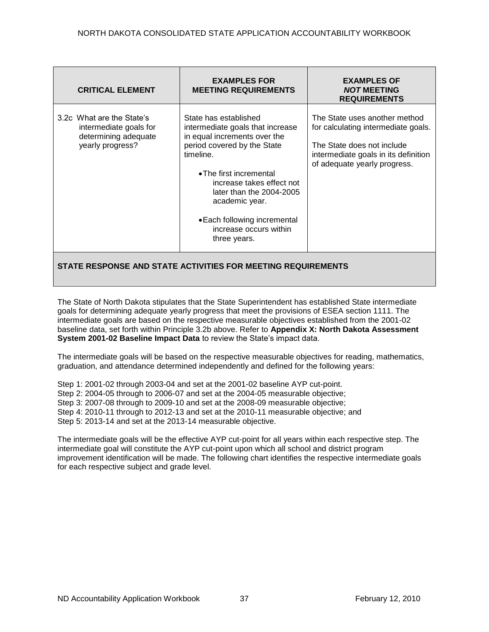| <b>CRITICAL ELEMENT</b>                                                                         | <b>EXAMPLES FOR</b><br><b>MEETING REQUIREMENTS</b>                                                                                                                                                                                                                                                                      | <b>EXAMPLES OF</b><br><b>NOT MEETING</b><br><b>REQUIREMENTS</b>                                                                                                            |  |
|-------------------------------------------------------------------------------------------------|-------------------------------------------------------------------------------------------------------------------------------------------------------------------------------------------------------------------------------------------------------------------------------------------------------------------------|----------------------------------------------------------------------------------------------------------------------------------------------------------------------------|--|
| 3.2c What are the State's<br>intermediate goals for<br>determining adequate<br>yearly progress? | State has established<br>intermediate goals that increase<br>in equal increments over the<br>period covered by the State<br>timeline.<br>• The first incremental<br>increase takes effect not<br>later than the $2004-2005$<br>academic year.<br>• Each following incremental<br>increase occurs within<br>three years. | The State uses another method<br>for calculating intermediate goals.<br>The State does not include<br>intermediate goals in its definition<br>of adequate yearly progress. |  |
| STATE RESPONSE AND STATE ACTIVITIES FOR MEETING REQUIREMENTS                                    |                                                                                                                                                                                                                                                                                                                         |                                                                                                                                                                            |  |

The State of North Dakota stipulates that the State Superintendent has established State intermediate goals for determining adequate yearly progress that meet the provisions of ESEA section 1111. The intermediate goals are based on the respective measurable objectives established from the 2001-02 baseline data, set forth within Principle 3.2b above. Refer to **Appendix X: North Dakota Assessment System 2001-02 Baseline Impact Data** to review the State's impact data.

The intermediate goals will be based on the respective measurable objectives for reading, mathematics, graduation, and attendance determined independently and defined for the following years:

Step 1: 2001-02 through 2003-04 and set at the 2001-02 baseline AYP cut-point. Step 2: 2004-05 through to 2006-07 and set at the 2004-05 measurable objective; Step 3: 2007-08 through to 2009-10 and set at the 2008-09 measurable objective; Step 4: 2010-11 through to 2012-13 and set at the 2010-11 measurable objective; and Step 5: 2013-14 and set at the 2013-14 measurable objective.

The intermediate goals will be the effective AYP cut-point for all years within each respective step. The intermediate goal will constitute the AYP cut-point upon which all school and district program improvement identification will be made. The following chart identifies the respective intermediate goals for each respective subject and grade level.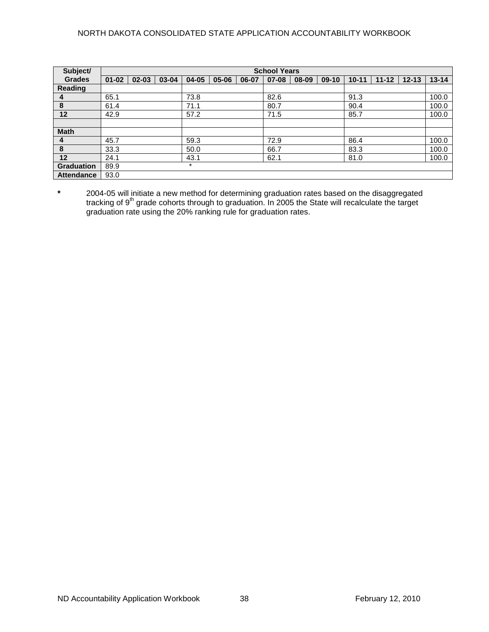## NORTH DAKOTA CONSOLIDATED STATE APPLICATION ACCOUNTABILITY WORKBOOK

| Subject/          |           | <b>School Years</b> |       |           |       |       |           |       |         |           |           |           |           |
|-------------------|-----------|---------------------|-------|-----------|-------|-------|-----------|-------|---------|-----------|-----------|-----------|-----------|
| <b>Grades</b>     | $01 - 02$ | $02 - 03$           | 03-04 | $04 - 05$ | 05-06 | 06-07 | $07 - 08$ | 08-09 | $09-10$ | $10 - 11$ | $11 - 12$ | $12 - 13$ | $13 - 14$ |
| Reading           |           |                     |       |           |       |       |           |       |         |           |           |           |           |
| 4                 | 65.1      |                     |       | 73.8      |       |       | 82.6      |       |         | 91.3      |           |           | 100.0     |
| 8                 | 61.4      |                     |       | 71.1      |       |       | 80.7      |       |         | 90.4      |           |           | 100.0     |
| 12                | 42.9      |                     |       | 57.2      |       |       | 71.5      |       |         | 85.7      |           |           | 100.0     |
|                   |           |                     |       |           |       |       |           |       |         |           |           |           |           |
| <b>Math</b>       |           |                     |       |           |       |       |           |       |         |           |           |           |           |
| 4                 | 45.7      |                     |       | 59.3      |       |       | 72.9      |       |         | 86.4      |           |           | 100.0     |
| 8                 | 33.3      |                     |       | 50.0      |       |       | 66.7      |       |         | 83.3      |           |           | 100.0     |
| 12                | 24.1      |                     |       | 43.1      |       |       | 62.1      |       |         | 81.0      |           |           | 100.0     |
| Graduation        | 89.9      |                     |       | $\star$   |       |       |           |       |         |           |           |           |           |
| <b>Attendance</b> | 93.0      |                     |       |           |       |       |           |       |         |           |           |           |           |

**\*** 2004-05 will initiate a new method for determining graduation rates based on the disaggregated tracking of 9<sup>th</sup> grade cohorts through to graduation. In 2005 the State will recalculate the target graduation rate using the 20% ranking rule for graduation rates.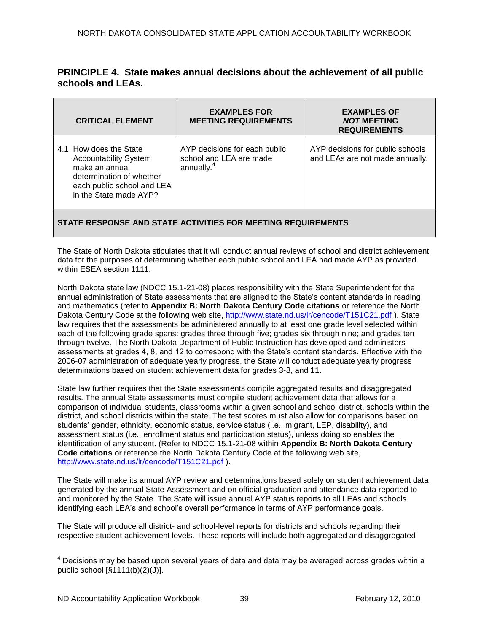|                   | <b>PRINCIPLE 4. State makes annual decisions about the achievement of all public</b> |
|-------------------|--------------------------------------------------------------------------------------|
| schools and LEAs. |                                                                                      |

| <b>CRITICAL ELEMENT</b>                                                                                                                                      | <b>EXAMPLES FOR</b><br><b>MEETING REQUIREMENTS</b>                                 | <b>EXAMPLES OF</b><br><b>NOT MEETING</b><br><b>REQUIREMENTS</b>     |  |
|--------------------------------------------------------------------------------------------------------------------------------------------------------------|------------------------------------------------------------------------------------|---------------------------------------------------------------------|--|
| 4.1 How does the State<br><b>Accountability System</b><br>make an annual<br>determination of whether<br>each public school and LEA<br>in the State made AYP? | AYP decisions for each public<br>school and LEA are made<br>annually. <sup>4</sup> | AYP decisions for public schools<br>and LEAs are not made annually. |  |
| <b>DECOONICE AND CTATE ACTIVITIES EOD MEETING DEQUIDEMENTS</b>                                                                                               |                                                                                    |                                                                     |  |

## **STATE RESPONSE AND STATE ACTIVITIES FOR MEETING REQUIREMENTS**

The State of North Dakota stipulates that it will conduct annual reviews of school and district achievement data for the purposes of determining whether each public school and LEA had made AYP as provided within ESEA section 1111.

North Dakota state law (NDCC 15.1-21-08) places responsibility with the State Superintendent for the annual administration of State assessments that are aligned to the State's content standards in reading and mathematics (refer to **Appendix B: North Dakota Century Code citations** or reference the North Dakota Century Code at the following web site,<http://www.state.nd.us/lr/cencode/T151C21.pdf>). State law requires that the assessments be administered annually to at least one grade level selected within each of the following grade spans: grades three through five; grades six through nine; and grades ten through twelve. The North Dakota Department of Public Instruction has developed and administers assessments at grades 4, 8, and 12 to correspond with the State's content standards. Effective with the 2006-07 administration of adequate yearly progress, the State will conduct adequate yearly progress determinations based on student achievement data for grades 3-8, and 11.

State law further requires that the State assessments compile aggregated results and disaggregated results. The annual State assessments must compile student achievement data that allows for a comparison of individual students, classrooms within a given school and school district, schools within the district, and school districts within the state. The test scores must also allow for comparisons based on students' gender, ethnicity, economic status, service status (i.e., migrant, LEP, disability), and assessment status (i.e., enrollment status and participation status), unless doing so enables the identification of any student. (Refer to NDCC 15.1-21-08 within **Appendix B: North Dakota Century Code citations** or reference the North Dakota Century Code at the following web site, [http://www.state.nd.us/lr/cencode/T151C21.pdf](http://www.state.nd.us/lr/assembly/57-2001/cencode/CCT15x1.pdf) ).

The State will make its annual AYP review and determinations based solely on student achievement data generated by the annual State Assessment and on official graduation and attendance data reported to and monitored by the State. The State will issue annual AYP status reports to all LEAs and schools identifying each LEA's and school's overall performance in terms of AYP performance goals.

The State will produce all district- and school-level reports for districts and schools regarding their respective student achievement levels. These reports will include both aggregated and disaggregated

 $\overline{a}$ 

 $4$  Decisions may be based upon several years of data and data may be averaged across grades within a public school  $[\S1111(b)(2)(J)].$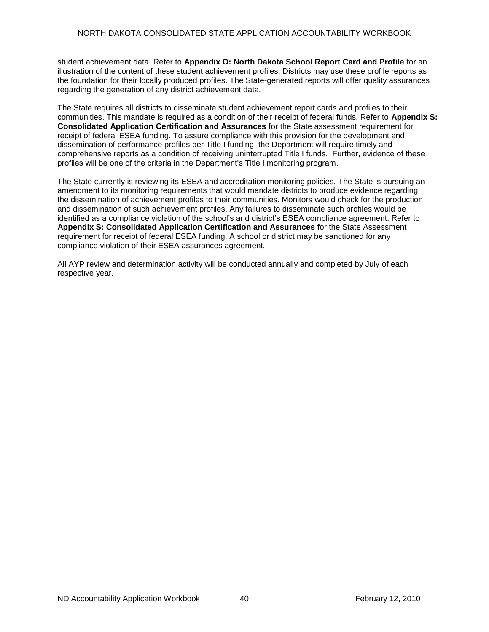student achievement data. Refer to **Appendix O: North Dakota School Report Card and Profile** for an illustration of the content of these student achievement profiles. Districts may use these profile reports as the foundation for their locally produced profiles. The State-generated reports will offer quality assurances regarding the generation of any district achievement data.

The State requires all districts to disseminate student achievement report cards and profiles to their communities. This mandate is required as a condition of their receipt of federal funds. Refer to **Appendix S: Consolidated Application Certification and Assurances** for the State assessment requirement for receipt of federal ESEA funding. To assure compliance with this provision for the development and dissemination of performance profiles per Title I funding, the Department will require timely and comprehensive reports as a condition of receiving uninterrupted Title I funds. Further, evidence of these profiles will be one of the criteria in the Department's Title I monitoring program.

The State currently is reviewing its ESEA and accreditation monitoring policies. The State is pursuing an amendment to its monitoring requirements that would mandate districts to produce evidence regarding the dissemination of achievement profiles to their communities. Monitors would check for the production and dissemination of such achievement profiles. Any failures to disseminate such profiles would be identified as a compliance violation of the school's and district's ESEA compliance agreement. Refer to **Appendix S: Consolidated Application Certification and Assurances** for the State Assessment requirement for receipt of federal ESEA funding. A school or district may be sanctioned for any compliance violation of their ESEA assurances agreement.

All AYP review and determination activity will be conducted annually and completed by July of each respective year.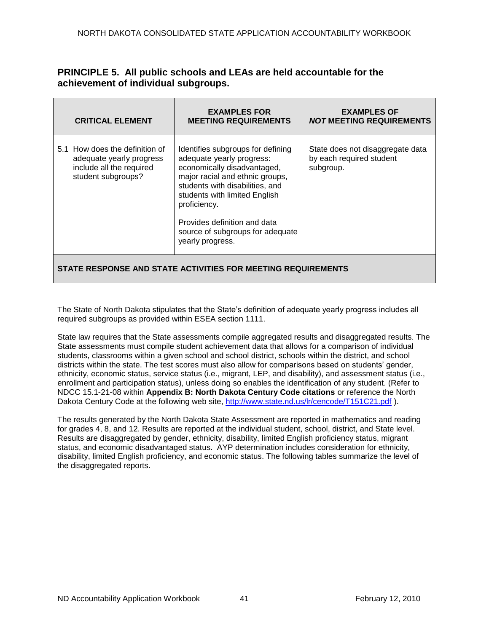# **PRINCIPLE 5. All public schools and LEAs are held accountable for the achievement of individual subgroups.**

| <b>CRITICAL ELEMENT</b>                                                                                      | <b>EXAMPLES FOR</b><br><b>MEETING REQUIREMENTS</b>                                                                                                                                                                                                                                                           | <b>EXAMPLES OF</b><br><b>NOT MEETING REQUIREMENTS</b>                     |  |
|--------------------------------------------------------------------------------------------------------------|--------------------------------------------------------------------------------------------------------------------------------------------------------------------------------------------------------------------------------------------------------------------------------------------------------------|---------------------------------------------------------------------------|--|
| 5.1 How does the definition of<br>adequate yearly progress<br>include all the required<br>student subgroups? | Identifies subgroups for defining<br>adequate yearly progress:<br>economically disadvantaged,<br>major racial and ethnic groups,<br>students with disabilities, and<br>students with limited English<br>proficiency.<br>Provides definition and data<br>source of subgroups for adequate<br>yearly progress. | State does not disaggregate data<br>by each required student<br>subgroup. |  |
| STATE RESPONSE AND STATE ACTIVITIES FOR MEETING REQUIREMENTS                                                 |                                                                                                                                                                                                                                                                                                              |                                                                           |  |

The State of North Dakota stipulates that the State's definition of adequate yearly progress includes all required subgroups as provided within ESEA section 1111.

State law requires that the State assessments compile aggregated results and disaggregated results. The State assessments must compile student achievement data that allows for a comparison of individual students, classrooms within a given school and school district, schools within the district, and school districts within the state. The test scores must also allow for comparisons based on students' gender, ethnicity, economic status, service status (i.e., migrant, LEP, and disability), and assessment status (i.e., enrollment and participation status), unless doing so enables the identification of any student. (Refer to NDCC 15.1-21-08 within **Appendix B: North Dakota Century Code citations** or reference the North Dakota Century Code at the following web site,<http://www.state.nd.us/lr/cencode/T151C21.pdf>).

The results generated by the North Dakota State Assessment are reported in mathematics and reading for grades 4, 8, and 12. Results are reported at the individual student, school, district, and State level. Results are disaggregated by gender, ethnicity, disability, limited English proficiency status, migrant status, and economic disadvantaged status. AYP determination includes consideration for ethnicity, disability, limited English proficiency, and economic status. The following tables summarize the level of the disaggregated reports.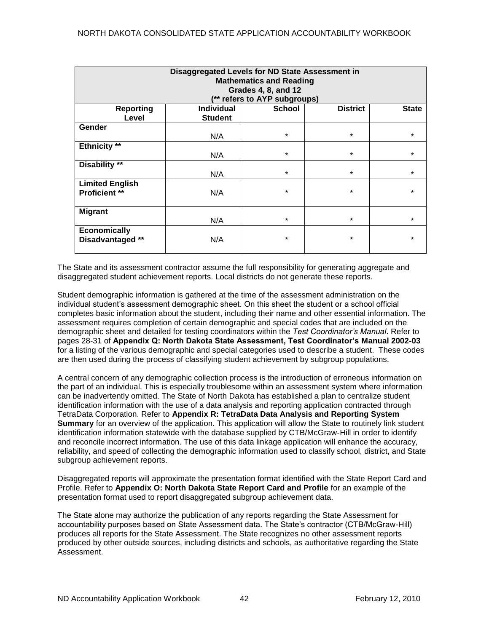| Disaggregated Levels for ND State Assessment in<br><b>Mathematics and Reading</b><br><b>Grades 4, 8, and 12</b><br>(** refers to AYP subgroups) |                   |               |                 |              |
|-------------------------------------------------------------------------------------------------------------------------------------------------|-------------------|---------------|-----------------|--------------|
| <b>Reporting</b>                                                                                                                                | <b>Individual</b> | <b>School</b> | <b>District</b> | <b>State</b> |
| Level                                                                                                                                           | <b>Student</b>    |               |                 |              |
| <b>Gender</b>                                                                                                                                   |                   |               |                 |              |
|                                                                                                                                                 | N/A               | $\star$       | $\star$         | $\star$      |
| Ethnicity **                                                                                                                                    |                   |               |                 |              |
|                                                                                                                                                 | N/A               | $\star$       | $\star$         | $\star$      |
| Disability **                                                                                                                                   |                   |               |                 |              |
|                                                                                                                                                 | N/A               | $\star$       | $\star$         | $\star$      |
| <b>Limited English</b>                                                                                                                          |                   |               |                 |              |
| <b>Proficient **</b>                                                                                                                            | N/A               | $\star$       | $\star$         | $\star$      |
|                                                                                                                                                 |                   |               |                 |              |
| <b>Migrant</b>                                                                                                                                  |                   |               |                 |              |
|                                                                                                                                                 | N/A               | $\star$       | $\star$         | $\star$      |
| <b>Economically</b><br>Disadvantaged **                                                                                                         | N/A               | $\star$       | $\star$         | $\star$      |

The State and its assessment contractor assume the full responsibility for generating aggregate and disaggregated student achievement reports. Local districts do not generate these reports.

Student demographic information is gathered at the time of the assessment administration on the individual student's assessment demographic sheet. On this sheet the student or a school official completes basic information about the student, including their name and other essential information. The assessment requires completion of certain demographic and special codes that are included on the demographic sheet and detailed for testing coordinators within the *Test Coordinator's Manual*. Refer to pages 28-31 of **Appendix Q: North Dakota State Assessment, Test Coordinator's Manual 2002-03**  for a listing of the various demographic and special categories used to describe a student. These codes are then used during the process of classifying student achievement by subgroup populations.

A central concern of any demographic collection process is the introduction of erroneous information on the part of an individual. This is especially troublesome within an assessment system where information can be inadvertently omitted. The State of North Dakota has established a plan to centralize student identification information with the use of a data analysis and reporting application contracted through TetraData Corporation. Refer to **Appendix R: TetraData Data Analysis and Reporting System Summary** for an overview of the application. This application will allow the State to routinely link student identification information statewide with the database supplied by CTB/McGraw-Hill in order to identify and reconcile incorrect information. The use of this data linkage application will enhance the accuracy, reliability, and speed of collecting the demographic information used to classify school, district, and State subgroup achievement reports.

Disaggregated reports will approximate the presentation format identified with the State Report Card and Profile. Refer to **Appendix O: North Dakota State Report Card and Profile** for an example of the presentation format used to report disaggregated subgroup achievement data.

The State alone may authorize the publication of any reports regarding the State Assessment for accountability purposes based on State Assessment data. The State's contractor (CTB/McGraw-Hill) produces all reports for the State Assessment. The State recognizes no other assessment reports produced by other outside sources, including districts and schools, as authoritative regarding the State Assessment.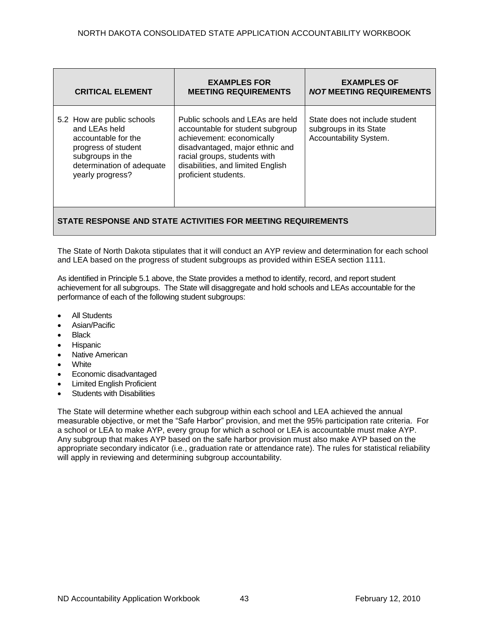| <b>CRITICAL ELEMENT</b>                                                                                                                                        | <b>EXAMPLES FOR</b><br><b>MEETING REQUIREMENTS</b>                                                                                                                                                                                | <b>EXAMPLES OF</b><br><b>NOT MEETING REQUIREMENTS</b>                              |
|----------------------------------------------------------------------------------------------------------------------------------------------------------------|-----------------------------------------------------------------------------------------------------------------------------------------------------------------------------------------------------------------------------------|------------------------------------------------------------------------------------|
| 5.2 How are public schools<br>and LEAs held<br>accountable for the<br>progress of student<br>subgroups in the<br>determination of adequate<br>yearly progress? | Public schools and LEAs are held<br>accountable for student subgroup<br>achievement: economically<br>disadvantaged, major ethnic and<br>racial groups, students with<br>disabilities, and limited English<br>proficient students. | State does not include student<br>subgroups in its State<br>Accountability System. |

# **STATE RESPONSE AND STATE ACTIVITIES FOR MEETING REQUIREMENTS**

The State of North Dakota stipulates that it will conduct an AYP review and determination for each school and LEA based on the progress of student subgroups as provided within ESEA section 1111.

As identified in Principle 5.1 above, the State provides a method to identify, record, and report student achievement for all subgroups. The State will disaggregate and hold schools and LEAs accountable for the performance of each of the following student subgroups:

- All Students
- Asian/Pacific
- Black
- Hispanic
- Native American
- White
- Economic disadvantaged
- Limited English Proficient
- Students with Disabilities

The State will determine whether each subgroup within each school and LEA achieved the annual measurable objective, or met the "Safe Harbor" provision, and met the 95% participation rate criteria. For a school or LEA to make AYP, every group for which a school or LEA is accountable must make AYP. Any subgroup that makes AYP based on the safe harbor provision must also make AYP based on the appropriate secondary indicator (i.e., graduation rate or attendance rate). The rules for statistical reliability will apply in reviewing and determining subgroup accountability.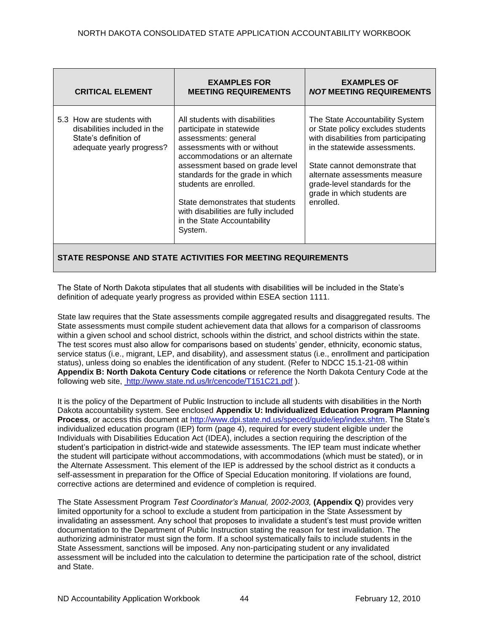| <b>CRITICAL ELEMENT</b>                                                                                         | <b>EXAMPLES FOR</b><br><b>MEETING REQUIREMENTS</b>                                                                                                                                                                                                                                                                                                                         | <b>EXAMPLES OF</b><br><b>NOT MEETING REQUIREMENTS</b>                                                                                                                                                                                                                                        |  |
|-----------------------------------------------------------------------------------------------------------------|----------------------------------------------------------------------------------------------------------------------------------------------------------------------------------------------------------------------------------------------------------------------------------------------------------------------------------------------------------------------------|----------------------------------------------------------------------------------------------------------------------------------------------------------------------------------------------------------------------------------------------------------------------------------------------|--|
| 5.3 How are students with<br>disabilities included in the<br>State's definition of<br>adequate yearly progress? | All students with disabilities<br>participate in statewide<br>assessments: general<br>assessments with or without<br>accommodations or an alternate<br>assessment based on grade level<br>standards for the grade in which<br>students are enrolled.<br>State demonstrates that students<br>with disabilities are fully included<br>in the State Accountability<br>System. | The State Accountability System<br>or State policy excludes students<br>with disabilities from participating<br>in the statewide assessments.<br>State cannot demonstrate that<br>alternate assessments measure<br>grade-level standards for the<br>grade in which students are<br>enrolled. |  |
| STATE RESPONSE AND STATE ACTIVITIES FOR MEETING REQUIREMENTS                                                    |                                                                                                                                                                                                                                                                                                                                                                            |                                                                                                                                                                                                                                                                                              |  |

The State of North Dakota stipulates that all students with disabilities will be included in the State's definition of adequate yearly progress as provided within ESEA section 1111.

State law requires that the State assessments compile aggregated results and disaggregated results. The State assessments must compile student achievement data that allows for a comparison of classrooms within a given school and school district, schools within the district, and school districts within the state. The test scores must also allow for comparisons based on students' gender, ethnicity, economic status, service status (i.e., migrant, LEP, and disability), and assessment status (i.e., enrollment and participation status), unless doing so enables the identification of any student. (Refer to NDCC 15.1-21-08 within **Appendix B: North Dakota Century Code citations** or reference the North Dakota Century Code at the following web site, [http://www.state.nd.us/lr/cencode/T151C21.pdf](http://www.state.nd.us/lr/assembly/57-2001/cencode/CCT15x1.pdf) ).

It is the policy of the Department of Public Instruction to include all students with disabilities in the North Dakota accountability system. See enclosed **Appendix U: Individualized Education Program Planning Proces***s,* or access this document at [http://www.dpi.state.nd.us/speced/guide/iep/index.shtm.](http://www.dpi.state.nd.us/speced/guide/iep/index.shtm) The State's individualized education program (IEP) form (page 4), required for every student eligible under the Individuals with Disabilities Education Act (IDEA), includes a section requiring the description of the student's participation in district-wide and statewide assessments. The IEP team must indicate whether the student will participate without accommodations, with accommodations (which must be stated), or in the Alternate Assessment. This element of the IEP is addressed by the school district as it conducts a self-assessment in preparation for the Office of Special Education monitoring. If violations are found, corrective actions are determined and evidence of completion is required.

The State Assessment Program *Test Coordinator's Manual, 2002-2003,* **(Appendix Q**) provides very limited opportunity for a school to exclude a student from participation in the State Assessment by invalidating an assessment. Any school that proposes to invalidate a student's test must provide written documentation to the Department of Public Instruction stating the reason for test invalidation. The authorizing administrator must sign the form. If a school systematically fails to include students in the State Assessment, sanctions will be imposed. Any non-participating student or any invalidated assessment will be included into the calculation to determine the participation rate of the school, district and State.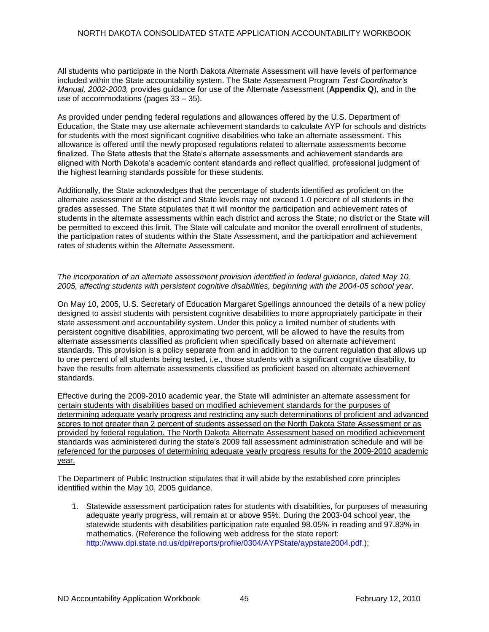All students who participate in the North Dakota Alternate Assessment will have levels of performance included within the State accountability system. The State Assessment Program *Test Coordinator's Manual, 2002-2003,* provides guidance for use of the Alternate Assessment (**Appendix Q**), and in the use of accommodations (pages 33 – 35).

As provided under pending federal regulations and allowances offered by the U.S. Department of Education, the State may use alternate achievement standards to calculate AYP for schools and districts for students with the most significant cognitive disabilities who take an alternate assessment. This allowance is offered until the newly proposed regulations related to alternate assessments become finalized. The State attests that the State's alternate assessments and achievement standards are aligned with North Dakota's academic content standards and reflect qualified, professional judgment of the highest learning standards possible for these students.

Additionally, the State acknowledges that the percentage of students identified as proficient on the alternate assessment at the district and State levels may not exceed 1.0 percent of all students in the grades assessed. The State stipulates that it will monitor the participation and achievement rates of students in the alternate assessments within each district and across the State; no district or the State will be permitted to exceed this limit. The State will calculate and monitor the overall enrollment of students, the participation rates of students within the State Assessment, and the participation and achievement rates of students within the Alternate Assessment.

### *The incorporation of an alternate assessment provision identified in federal guidance, dated May 10, 2005, affecting students with persistent cognitive disabilities, beginning with the 2004-05 school year.*

On May 10, 2005, U.S. Secretary of Education Margaret Spellings announced the details of a new policy designed to assist students with persistent cognitive disabilities to more appropriately participate in their state assessment and accountability system. Under this policy a limited number of students with persistent cognitive disabilities, approximating two percent, will be allowed to have the results from alternate assessments classified as proficient when specifically based on alternate achievement standards. This provision is a policy separate from and in addition to the current regulation that allows up to one percent of all students being tested, i.e., those students with a significant cognitive disability, to have the results from alternate assessments classified as proficient based on alternate achievement standards.

Effective during the 2009-2010 academic year, the State will administer an alternate assessment for certain students with disabilities based on modified achievement standards for the purposes of determining adequate yearly progress and restricting any such determinations of proficient and advanced scores to not greater than 2 percent of students assessed on the North Dakota State Assessment or as provided by federal regulation. The North Dakota Alternate Assessment based on modified achievement standards was administered during the state's 2009 fall assessment administration schedule and will be referenced for the purposes of determining adequate yearly progress results for the 2009-2010 academic year.

The Department of Public Instruction stipulates that it will abide by the established core principles identified within the May 10, 2005 guidance.

1. Statewide assessment participation rates for students with disabilities, for purposes of measuring adequate yearly progress, will remain at or above 95%. During the 2003-04 school year, the statewide students with disabilities participation rate equaled 98.05% in reading and 97.83% in mathematics. (Reference the following web address for the state report: [http://www.dpi.state.nd.us/dpi/reports/profile/0304/AYPState/aypstate2004.pdf.](http://www.dpi.state.nd.us/dpi/reports/profile/0304/AYPState/aypstate2004.pdf));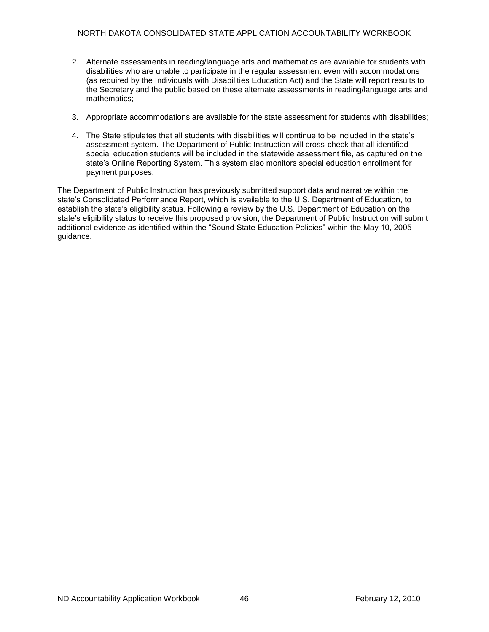- 2. Alternate assessments in reading/language arts and mathematics are available for students with disabilities who are unable to participate in the regular assessment even with accommodations (as required by the Individuals with Disabilities Education Act) and the State will report results to the Secretary and the public based on these alternate assessments in reading/language arts and mathematics;
- 3. Appropriate accommodations are available for the state assessment for students with disabilities;
- 4. The State stipulates that all students with disabilities will continue to be included in the state's assessment system. The Department of Public Instruction will cross-check that all identified special education students will be included in the statewide assessment file, as captured on the state's Online Reporting System. This system also monitors special education enrollment for payment purposes.

The Department of Public Instruction has previously submitted support data and narrative within the state's Consolidated Performance Report, which is available to the U.S. Department of Education, to establish the state's eligibility status. Following a review by the U.S. Department of Education on the state's eligibility status to receive this proposed provision, the Department of Public Instruction will submit additional evidence as identified within the "Sound State Education Policies" within the May 10, 2005 guidance.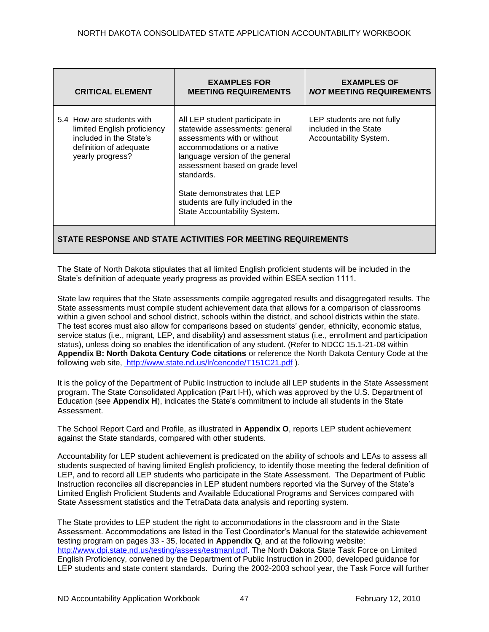| <b>CRITICAL ELEMENT</b>                                                                                                           | <b>EXAMPLES FOR</b><br><b>MEETING REQUIREMENTS</b>                                                                                                                                                                                                                                                                     | <b>EXAMPLES OF</b><br><i>NOT</i> MEETING REQUIREMENTS                         |  |
|-----------------------------------------------------------------------------------------------------------------------------------|------------------------------------------------------------------------------------------------------------------------------------------------------------------------------------------------------------------------------------------------------------------------------------------------------------------------|-------------------------------------------------------------------------------|--|
| 5.4 How are students with<br>limited English proficiency<br>included in the State's<br>definition of adequate<br>yearly progress? | All LEP student participate in<br>statewide assessments: general<br>assessments with or without<br>accommodations or a native<br>language version of the general<br>assessment based on grade level<br>standards.<br>State demonstrates that LEP<br>students are fully included in the<br>State Accountability System. | LEP students are not fully<br>included in the State<br>Accountability System. |  |
| STATE RESPONSE AND STATE ACTIVITIES FOR MEETING REQUIREMENTS                                                                      |                                                                                                                                                                                                                                                                                                                        |                                                                               |  |

The State of North Dakota stipulates that all limited English proficient students will be included in the State's definition of adequate yearly progress as provided within ESEA section 1111.

State law requires that the State assessments compile aggregated results and disaggregated results. The State assessments must compile student achievement data that allows for a comparison of classrooms within a given school and school district, schools within the district, and school districts within the state. The test scores must also allow for comparisons based on students' gender, ethnicity, economic status, service status (i.e., migrant, LEP, and disability) and assessment status (i.e., enrollment and participation status), unless doing so enables the identification of any student. (Refer to NDCC 15.1-21-08 within **Appendix B: North Dakota Century Code citations** or reference the North Dakota Century Code at the following web site, [http://www.state.nd.us/lr/cencode/T151C21.pdf](http://www.state.nd.us/lr/assembly/57-2001/cencode/CCT15x1.pdf) ).

It is the policy of the Department of Public Instruction to include all LEP students in the State Assessment program. The State Consolidated Application (Part I-H), which was approved by the U.S. Department of Education (see **Appendix H**), indicates the State's commitment to include all students in the State Assessment.

The School Report Card and Profile, as illustrated in **Appendix O**, reports LEP student achievement against the State standards, compared with other students.

Accountability for LEP student achievement is predicated on the ability of schools and LEAs to assess all students suspected of having limited English proficiency, to identify those meeting the federal definition of LEP, and to record all LEP students who participate in the State Assessment. The Department of Public Instruction reconciles all discrepancies in LEP student numbers reported via the Survey of the State's Limited English Proficient Students and Available Educational Programs and Services compared with State Assessment statistics and the TetraData data analysis and reporting system.

The State provides to LEP student the right to accommodations in the classroom and in the State Assessment. Accommodations are listed in the Test Coordinator's Manual for the statewide achievement testing program on pages 33 - 35, located in **Appendix Q**, and at the following website: [http://www.dpi.state.nd.us/testing/assess/testmanl.pdf.](http://www.dpi.state.nd.us/testing/assess/testmanl.pdf) The North Dakota State Task Force on Limited English Proficiency, convened by the Department of Public Instruction in 2000, developed guidance for LEP students and state content standards. During the 2002-2003 school year, the Task Force will further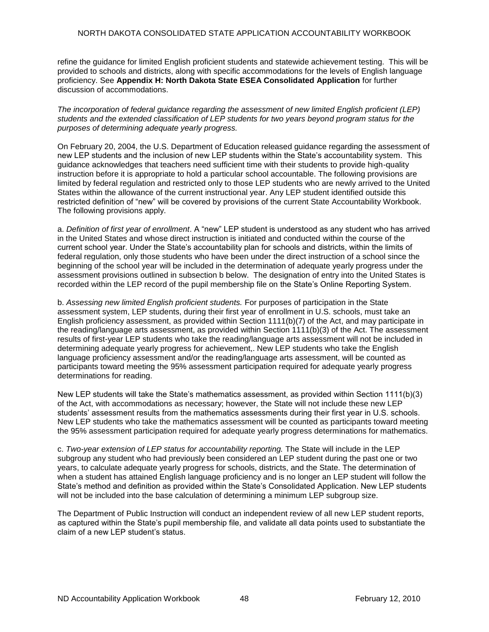refine the guidance for limited English proficient students and statewide achievement testing. This will be provided to schools and districts, along with specific accommodations for the levels of English language proficiency. See **Appendix H: North Dakota State ESEA Consolidated Application** for further discussion of accommodations.

*The incorporation of federal guidance regarding the assessment of new limited English proficient (LEP) students and the extended classification of LEP students for two years beyond program status for the purposes of determining adequate yearly progress.* 

On February 20, 2004, the U.S. Department of Education released guidance regarding the assessment of new LEP students and the inclusion of new LEP students within the State's accountability system. This guidance acknowledges that teachers need sufficient time with their students to provide high-quality instruction before it is appropriate to hold a particular school accountable. The following provisions are limited by federal regulation and restricted only to those LEP students who are newly arrived to the United States within the allowance of the current instructional year. Any LEP student identified outside this restricted definition of "new" will be covered by provisions of the current State Accountability Workbook. The following provisions apply.

a. *Definition of first year of enrollment*. A "new" LEP student is understood as any student who has arrived in the United States and whose direct instruction is initiated and conducted within the course of the current school year. Under the State's accountability plan for schools and districts, within the limits of federal regulation, only those students who have been under the direct instruction of a school since the beginning of the school year will be included in the determination of adequate yearly progress under the assessment provisions outlined in subsection b below. The designation of entry into the United States is recorded within the LEP record of the pupil membership file on the State's Online Reporting System.

b. *Assessing new limited English proficient students.* For purposes of participation in the State assessment system, LEP students, during their first year of enrollment in U.S. schools, must take an English proficiency assessment, as provided within Section 1111(b)(7) of the Act, and may participate in the reading/language arts assessment, as provided within Section 1111(b)(3) of the Act. The assessment results of first-year LEP students who take the reading/language arts assessment will not be included in determining adequate yearly progress for achievement,. New LEP students who take the English language proficiency assessment and/or the reading/language arts assessment, will be counted as participants toward meeting the 95% assessment participation required for adequate yearly progress determinations for reading.

New LEP students will take the State's mathematics assessment, as provided within Section 1111(b)(3) of the Act, with accommodations as necessary; however, the State will not include these new LEP students' assessment results from the mathematics assessments during their first year in U.S. schools. New LEP students who take the mathematics assessment will be counted as participants toward meeting the 95% assessment participation required for adequate yearly progress determinations for mathematics.

c. *Two-year extension of LEP status for accountability reporting.* The State will include in the LEP subgroup any student who had previously been considered an LEP student during the past one or two years, to calculate adequate yearly progress for schools, districts, and the State. The determination of when a student has attained English language proficiency and is no longer an LEP student will follow the State's method and definition as provided within the State's Consolidated Application. New LEP students will not be included into the base calculation of determining a minimum LEP subgroup size.

The Department of Public Instruction will conduct an independent review of all new LEP student reports, as captured within the State's pupil membership file, and validate all data points used to substantiate the claim of a new LEP student's status.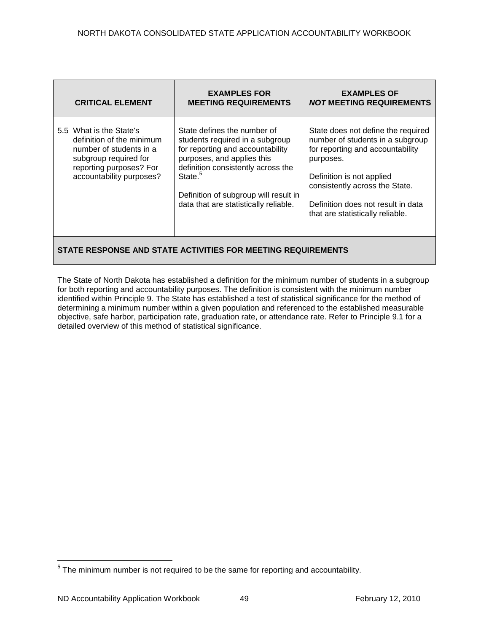| <b>CRITICAL ELEMENT</b>                                                                                                                                         | <b>EXAMPLES FOR</b><br><b>MEETING REQUIREMENTS</b>                                                                                                                                                                                                                              | <b>EXAMPLES OF</b><br><b>NOT MEETING REQUIREMENTS</b>                                                                                                                                                                                                            |  |
|-----------------------------------------------------------------------------------------------------------------------------------------------------------------|---------------------------------------------------------------------------------------------------------------------------------------------------------------------------------------------------------------------------------------------------------------------------------|------------------------------------------------------------------------------------------------------------------------------------------------------------------------------------------------------------------------------------------------------------------|--|
| 5.5 What is the State's<br>definition of the minimum<br>number of students in a<br>subgroup required for<br>reporting purposes? For<br>accountability purposes? | State defines the number of<br>students required in a subgroup<br>for reporting and accountability<br>purposes, and applies this<br>definition consistently across the<br>State. <sup>5</sup><br>Definition of subgroup will result in<br>data that are statistically reliable. | State does not define the required<br>number of students in a subgroup<br>for reporting and accountability<br>purposes.<br>Definition is not applied<br>consistently across the State.<br>Definition does not result in data<br>that are statistically reliable. |  |
| STATE RESPONSE AND STATE ACTIVITIES FOR MEETING REQUIREMENTS                                                                                                    |                                                                                                                                                                                                                                                                                 |                                                                                                                                                                                                                                                                  |  |

The State of North Dakota has established a definition for the minimum number of students in a subgroup for both reporting and accountability purposes. The definition is consistent with the minimum number identified within Principle 9. The State has established a test of statistical significance for the method of determining a minimum number within a given population and referenced to the established measurable objective, safe harbor, participation rate, graduation rate, or attendance rate. Refer to Principle 9.1 for a detailed overview of this method of statistical significance.

 5 The minimum number is not required to be the same for reporting and accountability.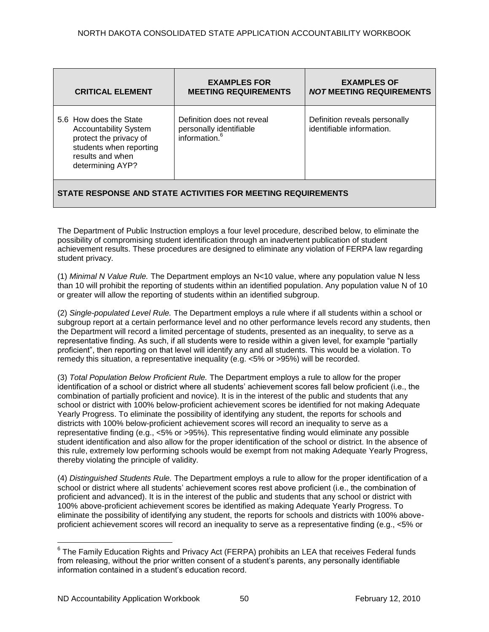| <b>CRITICAL ELEMENT</b>                                                                                                                             | <b>EXAMPLES FOR</b><br><b>MEETING REQUIREMENTS</b>                                 | <b>EXAMPLES OF</b><br><b>NOT MEETING REQUIREMENTS</b>      |  |
|-----------------------------------------------------------------------------------------------------------------------------------------------------|------------------------------------------------------------------------------------|------------------------------------------------------------|--|
| 5.6 How does the State<br><b>Accountability System</b><br>protect the privacy of<br>students when reporting<br>results and when<br>determining AYP? | Definition does not reveal<br>personally identifiable<br>information. <sup>6</sup> | Definition reveals personally<br>identifiable information. |  |
| STATE RESPONSE AND STATE ACTIVITIES FOR MEETING REQUIREMENTS                                                                                        |                                                                                    |                                                            |  |

The Department of Public Instruction employs a four level procedure, described below, to eliminate the possibility of compromising student identification through an inadvertent publication of student achievement results. These procedures are designed to eliminate any violation of FERPA law regarding student privacy.

(1) *Minimal N Value Rule.* The Department employs an N<10 value, where any population value N less than 10 will prohibit the reporting of students within an identified population. Any population value N of 10 or greater will allow the reporting of students within an identified subgroup.

(2) *Single-populated Level Rule.* The Department employs a rule where if all students within a school or subgroup report at a certain performance level and no other performance levels record any students, then the Department will record a limited percentage of students, presented as an inequality, to serve as a representative finding. As such, if all students were to reside within a given level, for example "partially proficient", then reporting on that level will identify any and all students. This would be a violation. To remedy this situation, a representative inequality (e.g. <5% or >95%) will be recorded.

(3) *Total Population Below Proficient Rule.* The Department employs a rule to allow for the proper identification of a school or district where all students' achievement scores fall below proficient (i.e., the combination of partially proficient and novice). It is in the interest of the public and students that any school or district with 100% below-proficient achievement scores be identified for not making Adequate Yearly Progress. To eliminate the possibility of identifying any student, the reports for schools and districts with 100% below-proficient achievement scores will record an inequality to serve as a representative finding (e.g., <5% or >95%). This representative finding would eliminate any possible student identification and also allow for the proper identification of the school or district. In the absence of this rule, extremely low performing schools would be exempt from not making Adequate Yearly Progress, thereby violating the principle of validity.

(4) *Distinguished Students Rule.* The Department employs a rule to allow for the proper identification of a school or district where all students' achievement scores rest above proficient (i.e., the combination of proficient and advanced). It is in the interest of the public and students that any school or district with 100% above-proficient achievement scores be identified as making Adequate Yearly Progress. To eliminate the possibility of identifying any student, the reports for schools and districts with 100% aboveproficient achievement scores will record an inequality to serve as a representative finding (e.g., <5% or

 $\overline{a}$ 

 $^6$  The Family Education Rights and Privacy Act (FERPA) prohibits an LEA that receives Federal funds from releasing, without the prior written consent of a student's parents, any personally identifiable information contained in a student's education record.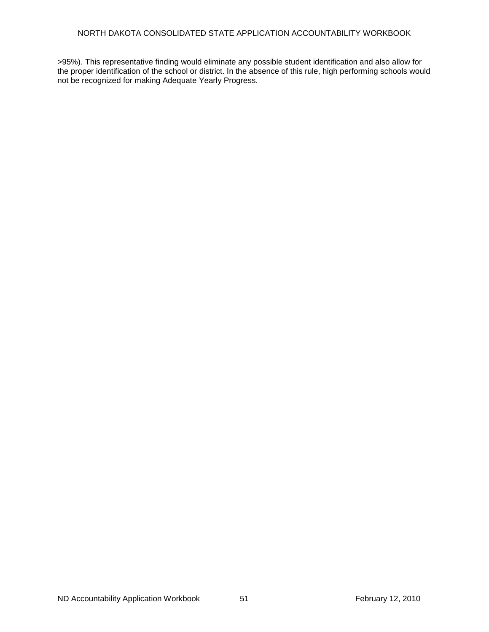>95%). This representative finding would eliminate any possible student identification and also allow for the proper identification of the school or district. In the absence of this rule, high performing schools would not be recognized for making Adequate Yearly Progress.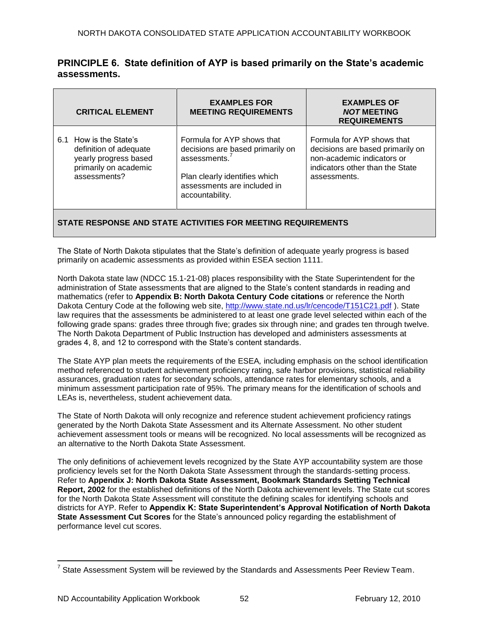# **PRINCIPLE 6. State definition of AYP is based primarily on the State's academic assessments.**

| <b>CRITICAL ELEMENT</b>                                                                                            | <b>EXAMPLES FOR</b><br><b>MEETING REQUIREMENTS</b>                                                                                                                    | <b>EXAMPLES OF</b><br><b>NOT MEETING</b><br><b>REQUIREMENTS</b>                                                                                 |
|--------------------------------------------------------------------------------------------------------------------|-----------------------------------------------------------------------------------------------------------------------------------------------------------------------|-------------------------------------------------------------------------------------------------------------------------------------------------|
| 6.1 How is the State's<br>definition of adequate<br>yearly progress based<br>primarily on academic<br>assessments? | Formula for AYP shows that<br>decisions are based primarily on<br>assessments. $7$<br>Plan clearly identifies which<br>assessments are included in<br>accountability. | Formula for AYP shows that<br>decisions are based primarily on<br>non-academic indicators or<br>indicators other than the State<br>assessments. |

## **STATE RESPONSE AND STATE ACTIVITIES FOR MEETING REQUIREMENTS**

The State of North Dakota stipulates that the State's definition of adequate yearly progress is based primarily on academic assessments as provided within ESEA section 1111.

North Dakota state law (NDCC 15.1-21-08) places responsibility with the State Superintendent for the administration of State assessments that are aligned to the State's content standards in reading and mathematics (refer to **Appendix B: North Dakota Century Code citations** or reference the North Dakota Century Code at the following web site,<http://www.state.nd.us/lr/cencode/T151C21.pdf> ). State law requires that the assessments be administered to at least one grade level selected within each of the following grade spans: grades three through five; grades six through nine; and grades ten through twelve. The North Dakota Department of Public Instruction has developed and administers assessments at grades 4, 8, and 12 to correspond with the State's content standards.

The State AYP plan meets the requirements of the ESEA*,* including emphasis on the school identification method referenced to student achievement proficiency rating, safe harbor provisions, statistical reliability assurances, graduation rates for secondary schools, attendance rates for elementary schools, and a minimum assessment participation rate of 95%. The primary means for the identification of schools and LEAs is, nevertheless, student achievement data.

The State of North Dakota will only recognize and reference student achievement proficiency ratings generated by the North Dakota State Assessment and its Alternate Assessment. No other student achievement assessment tools or means will be recognized. No local assessments will be recognized as an alternative to the North Dakota State Assessment.

The only definitions of achievement levels recognized by the State AYP accountability system are those proficiency levels set for the North Dakota State Assessment through the standards-setting process. Refer to **Appendix J: North Dakota State Assessment, Bookmark Standards Setting Technical Report, 2002** for the established definitions of the North Dakota achievement levels. The State cut scores for the North Dakota State Assessment will constitute the defining scales for identifying schools and districts for AYP. Refer to **Appendix K: State Superintendent's Approval Notification of North Dakota State Assessment Cut Scores** for the State's announced policy regarding the establishment of performance level cut scores.

 $\overline{a}$ 

 $^7$  State Assessment System will be reviewed by the Standards and Assessments Peer Review Team.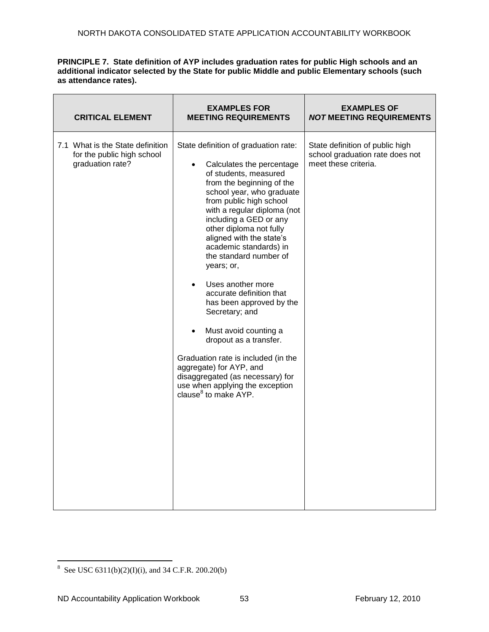### **PRINCIPLE 7. State definition of AYP includes graduation rates for public High schools and an additional indicator selected by the State for public Middle and public Elementary schools (such as attendance rates).**

| <b>CRITICAL ELEMENT</b>                                                            | <b>EXAMPLES FOR</b><br><b>MEETING REQUIREMENTS</b>                                                                                                                                                                                                                                                                                                                                                                                                                                                                                                                                                                                                                                                                                      | <b>EXAMPLES OF</b><br><b>NOT MEETING REQUIREMENTS</b>                                      |
|------------------------------------------------------------------------------------|-----------------------------------------------------------------------------------------------------------------------------------------------------------------------------------------------------------------------------------------------------------------------------------------------------------------------------------------------------------------------------------------------------------------------------------------------------------------------------------------------------------------------------------------------------------------------------------------------------------------------------------------------------------------------------------------------------------------------------------------|--------------------------------------------------------------------------------------------|
| 7.1 What is the State definition<br>for the public high school<br>graduation rate? | State definition of graduation rate:<br>Calculates the percentage<br>$\bullet$<br>of students, measured<br>from the beginning of the<br>school year, who graduate<br>from public high school<br>with a regular diploma (not<br>including a GED or any<br>other diploma not fully<br>aligned with the state's<br>academic standards) in<br>the standard number of<br>years; or,<br>Uses another more<br>$\bullet$<br>accurate definition that<br>has been approved by the<br>Secretary; and<br>Must avoid counting a<br>$\bullet$<br>dropout as a transfer.<br>Graduation rate is included (in the<br>aggregate) for AYP, and<br>disaggregated (as necessary) for<br>use when applying the exception<br>clause <sup>8</sup> to make AYP. | State definition of public high<br>school graduation rate does not<br>meet these criteria. |

<sup>8&</sup>lt;br>8 See USC 6311(b)(2)(I)(i), and 34 C.F.R. 200.20(b)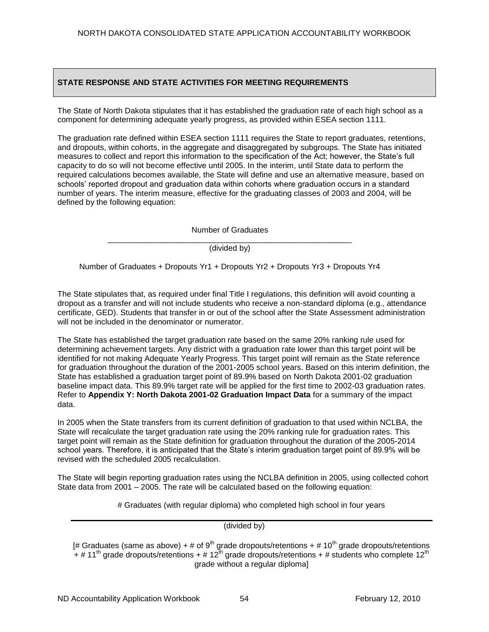## **STATE RESPONSE AND STATE ACTIVITIES FOR MEETING REQUIREMENTS**

The State of North Dakota stipulates that it has established the graduation rate of each high school as a component for determining adequate yearly progress, as provided within ESEA section 1111.

The graduation rate defined within ESEA section 1111 requires the State to report graduates, retentions, and dropouts, within cohorts, in the aggregate and disaggregated by subgroups. The State has initiated measures to collect and report this information to the specification of the Act; however, the State's full capacity to do so will not become effective until 2005. In the interim, until State data to perform the required calculations becomes available, the State will define and use an alternative measure, based on schools' reported dropout and graduation data within cohorts where graduation occurs in a standard number of years. The interim measure, effective for the graduating classes of 2003 and 2004, will be defined by the following equation:

> Number of Graduates \_\_\_\_\_\_\_\_\_\_\_\_\_\_\_\_\_\_\_\_\_\_\_\_\_\_\_\_\_\_\_\_\_\_\_\_\_\_\_\_\_\_\_\_\_\_\_\_\_\_\_\_\_\_\_

> > (divided by)

Number of Graduates + Dropouts Yr1 + Dropouts Yr2 + Dropouts Yr3 + Dropouts Yr4

The State stipulates that, as required under final Title I regulations, this definition will avoid counting a dropout as a transfer and will not include students who receive a non-standard diploma (e.g., attendance certificate, GED). Students that transfer in or out of the school after the State Assessment administration will not be included in the denominator or numerator.

The State has established the target graduation rate based on the same 20% ranking rule used for determining achievement targets. Any district with a graduation rate lower than this target point will be identified for not making Adequate Yearly Progress. This target point will remain as the State reference for graduation throughout the duration of the 2001-2005 school years. Based on this interim definition, the State has established a graduation target point of 89.9% based on North Dakota 2001-02 graduation baseline impact data. This 89.9% target rate will be applied for the first time to 2002-03 graduation rates. Refer to **Appendix Y: North Dakota 2001-02 Graduation Impact Data** for a summary of the impact data.

In 2005 when the State transfers from its current definition of graduation to that used within NCLBA, the State will recalculate the target graduation rate using the 20% ranking rule for graduation rates. This target point will remain as the State definition for graduation throughout the duration of the 2005-2014 school years. Therefore, it is anticipated that the State's interim graduation target point of 89.9% will be revised with the scheduled 2005 recalculation.

The State will begin reporting graduation rates using the NCLBA definition in 2005, using collected cohort State data from 2001 – 2005. The rate will be calculated based on the following equation:

# Graduates (with regular diploma) who completed high school in four years

(divided by)

[# Graduates (same as above) + # of  $9<sup>th</sup>$  grade dropouts/retentions + # 10<sup>th</sup> grade dropouts/retentions + # 11<sup>th</sup> grade dropouts/retentions + # 12<sup>th</sup> grade dropouts/retentions + # students who complete 12<sup>th</sup> grade without a regular diploma]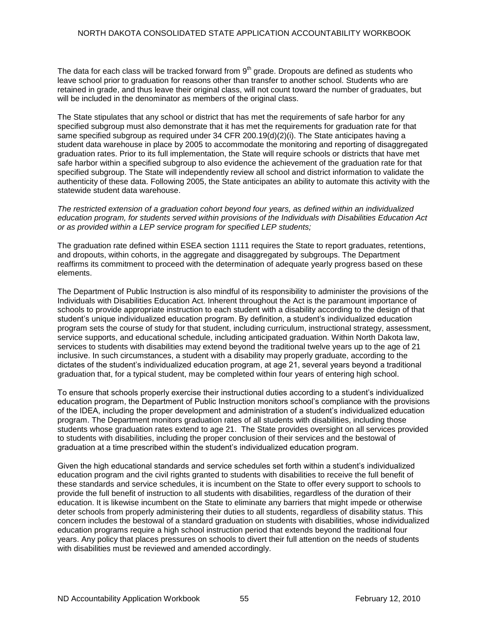The data for each class will be tracked forward from  $9<sup>th</sup>$  grade. Dropouts are defined as students who leave school prior to graduation for reasons other than transfer to another school. Students who are retained in grade, and thus leave their original class, will not count toward the number of graduates, but will be included in the denominator as members of the original class.

The State stipulates that any school or district that has met the requirements of safe harbor for any specified subgroup must also demonstrate that it has met the requirements for graduation rate for that same specified subgroup as required under 34 CFR 200.19(d)(2)(i). The State anticipates having a student data warehouse in place by 2005 to accommodate the monitoring and reporting of disaggregated graduation rates. Prior to its full implementation, the State will require schools or districts that have met safe harbor within a specified subgroup to also evidence the achievement of the graduation rate for that specified subgroup. The State will independently review all school and district information to validate the authenticity of these data. Following 2005, the State anticipates an ability to automate this activity with the statewide student data warehouse.

#### *The restricted extension of a graduation cohort beyond four years, as defined within an individualized education program, for students served within provisions of the Individuals with Disabilities Education Act or as provided within a LEP service program for specified LEP students;*

The graduation rate defined within ESEA section 1111 requires the State to report graduates, retentions, and dropouts, within cohorts, in the aggregate and disaggregated by subgroups. The Department reaffirms its commitment to proceed with the determination of adequate yearly progress based on these elements.

The Department of Public Instruction is also mindful of its responsibility to administer the provisions of the Individuals with Disabilities Education Act. Inherent throughout the Act is the paramount importance of schools to provide appropriate instruction to each student with a disability according to the design of that student's unique individualized education program. By definition, a student's individualized education program sets the course of study for that student, including curriculum, instructional strategy, assessment, service supports, and educational schedule, including anticipated graduation. Within North Dakota law, services to students with disabilities may extend beyond the traditional twelve years up to the age of 21 inclusive. In such circumstances, a student with a disability may properly graduate, according to the dictates of the student's individualized education program, at age 21, several years beyond a traditional graduation that, for a typical student, may be completed within four years of entering high school.

To ensure that schools properly exercise their instructional duties according to a student's individualized education program, the Department of Public Instruction monitors school's compliance with the provisions of the IDEA, including the proper development and administration of a student's individualized education program. The Department monitors graduation rates of all students with disabilities, including those students whose graduation rates extend to age 21. The State provides oversight on all services provided to students with disabilities, including the proper conclusion of their services and the bestowal of graduation at a time prescribed within the student's individualized education program.

Given the high educational standards and service schedules set forth within a student's individualized education program and the civil rights granted to students with disabilities to receive the full benefit of these standards and service schedules, it is incumbent on the State to offer every support to schools to provide the full benefit of instruction to all students with disabilities, regardless of the duration of their education. It is likewise incumbent on the State to eliminate any barriers that might impede or otherwise deter schools from properly administering their duties to all students, regardless of disability status. This concern includes the bestowal of a standard graduation on students with disabilities, whose individualized education programs require a high school instruction period that extends beyond the traditional four years. Any policy that places pressures on schools to divert their full attention on the needs of students with disabilities must be reviewed and amended accordingly.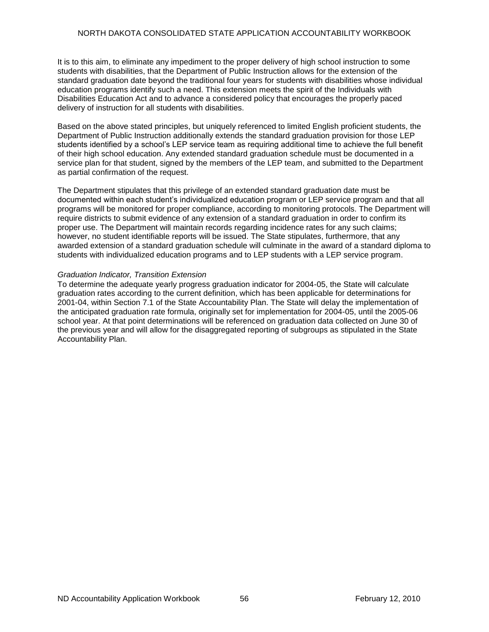### NORTH DAKOTA CONSOLIDATED STATE APPLICATION ACCOUNTABILITY WORKBOOK

It is to this aim, to eliminate any impediment to the proper delivery of high school instruction to some students with disabilities, that the Department of Public Instruction allows for the extension of the standard graduation date beyond the traditional four years for students with disabilities whose individual education programs identify such a need. This extension meets the spirit of the Individuals with Disabilities Education Act and to advance a considered policy that encourages the properly paced delivery of instruction for all students with disabilities.

Based on the above stated principles, but uniquely referenced to limited English proficient students, the Department of Public Instruction additionally extends the standard graduation provision for those LEP students identified by a school's LEP service team as requiring additional time to achieve the full benefit of their high school education. Any extended standard graduation schedule must be documented in a service plan for that student, signed by the members of the LEP team, and submitted to the Department as partial confirmation of the request.

The Department stipulates that this privilege of an extended standard graduation date must be documented within each student's individualized education program or LEP service program and that all programs will be monitored for proper compliance, according to monitoring protocols. The Department will require districts to submit evidence of any extension of a standard graduation in order to confirm its proper use. The Department will maintain records regarding incidence rates for any such claims; however, no student identifiable reports will be issued. The State stipulates, furthermore, that any awarded extension of a standard graduation schedule will culminate in the award of a standard diploma to students with individualized education programs and to LEP students with a LEP service program.

### *Graduation Indicator, Transition Extension*

To determine the adequate yearly progress graduation indicator for 2004-05, the State will calculate graduation rates according to the current definition, which has been applicable for determinations for 2001-04, within Section 7.1 of the State Accountability Plan. The State will delay the implementation of the anticipated graduation rate formula, originally set for implementation for 2004-05, until the 2005-06 school year. At that point determinations will be referenced on graduation data collected on June 30 of the previous year and will allow for the disaggregated reporting of subgroups as stipulated in the State Accountability Plan.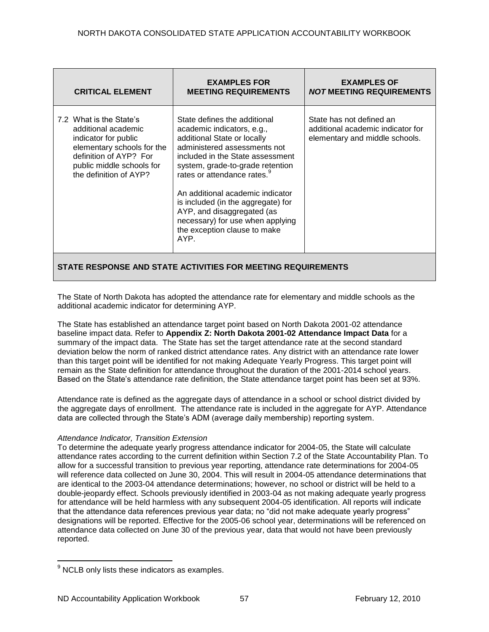| <b>CRITICAL ELEMENT</b>                                                                                                                                                               | <b>EXAMPLES FOR</b><br><b>MEETING REQUIREMENTS</b>                                                                                                                                                                                                                                                                                                                                                                               | <b>EXAMPLES OF</b><br><b>NOT MEETING REQUIREMENTS</b>                                           |
|---------------------------------------------------------------------------------------------------------------------------------------------------------------------------------------|----------------------------------------------------------------------------------------------------------------------------------------------------------------------------------------------------------------------------------------------------------------------------------------------------------------------------------------------------------------------------------------------------------------------------------|-------------------------------------------------------------------------------------------------|
| 7.2 What is the State's<br>additional academic<br>indicator for public<br>elementary schools for the<br>definition of AYP? For<br>public middle schools for<br>the definition of AYP? | State defines the additional<br>academic indicators, e.g.,<br>additional State or locally<br>administered assessments not<br>included in the State assessment<br>system, grade-to-grade retention<br>rates or attendance rates. <sup>9</sup><br>An additional academic indicator<br>is included (in the aggregate) for<br>AYP, and disaggregated (as<br>necessary) for use when applying<br>the exception clause to make<br>AYP. | State has not defined an<br>additional academic indicator for<br>elementary and middle schools. |
| STATE RESPONSE AND STATE ACTIVITIES FOR MEETING REQUIREMENTS                                                                                                                          |                                                                                                                                                                                                                                                                                                                                                                                                                                  |                                                                                                 |

The State of North Dakota has adopted the attendance rate for elementary and middle schools as the additional academic indicator for determining AYP.

The State has established an attendance target point based on North Dakota 2001-02 attendance baseline impact data. Refer to **Appendix Z: North Dakota 2001-02 Attendance Impact Data** for a summary of the impact data. The State has set the target attendance rate at the second standard deviation below the norm of ranked district attendance rates. Any district with an attendance rate lower than this target point will be identified for not making Adequate Yearly Progress. This target point will remain as the State definition for attendance throughout the duration of the 2001-2014 school years. Based on the State's attendance rate definition, the State attendance target point has been set at 93%.

Attendance rate is defined as the aggregate days of attendance in a school or school district divided by the aggregate days of enrollment. The attendance rate is included in the aggregate for AYP. Attendance data are collected through the State's ADM (average daily membership) reporting system.

## *Attendance Indicator, Transition Extension*

To determine the adequate yearly progress attendance indicator for 2004-05, the State will calculate attendance rates according to the current definition within Section 7.2 of the State Accountability Plan. To allow for a successful transition to previous year reporting, attendance rate determinations for 2004-05 will reference data collected on June 30, 2004. This will result in 2004-05 attendance determinations that are identical to the 2003-04 attendance determinations; however, no school or district will be held to a double-jeopardy effect. Schools previously identified in 2003-04 as not making adequate yearly progress for attendance will be held harmless with any subsequent 2004-05 identification. All reports will indicate that the attendance data references previous year data; no "did not make adequate yearly progress" designations will be reported. Effective for the 2005-06 school year, determinations will be referenced on attendance data collected on June 30 of the previous year, data that would not have been previously reported.

 $\overline{a}$  $9$  NCLB only lists these indicators as examples.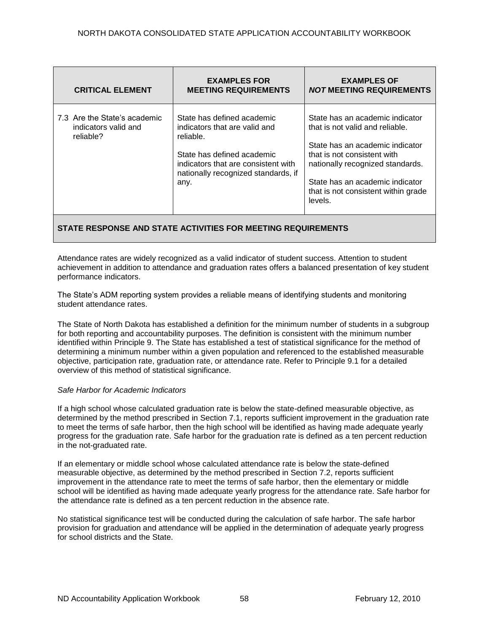| <b>CRITICAL ELEMENT</b>                                           | <b>EXAMPLES FOR</b><br><b>MEETING REQUIREMENTS</b>                                                                                                                                           | <b>EXAMPLES OF</b><br><b>NOT MEETING REQUIREMENTS</b>                                                                                                                                                                                                         |  |
|-------------------------------------------------------------------|----------------------------------------------------------------------------------------------------------------------------------------------------------------------------------------------|---------------------------------------------------------------------------------------------------------------------------------------------------------------------------------------------------------------------------------------------------------------|--|
| 7.3 Are the State's academic<br>indicators valid and<br>reliable? | State has defined academic<br>indicators that are valid and<br>reliable.<br>State has defined academic<br>indicators that are consistent with<br>nationally recognized standards, if<br>any. | State has an academic indicator<br>that is not valid and reliable.<br>State has an academic indicator<br>that is not consistent with<br>nationally recognized standards.<br>State has an academic indicator<br>that is not consistent within grade<br>levels. |  |
| STATE RESPONSE AND STATE ACTIVITIES FOR MEETING REQUIREMENTS      |                                                                                                                                                                                              |                                                                                                                                                                                                                                                               |  |

Attendance rates are widely recognized as a valid indicator of student success. Attention to student achievement in addition to attendance and graduation rates offers a balanced presentation of key student performance indicators.

The State's ADM reporting system provides a reliable means of identifying students and monitoring student attendance rates.

The State of North Dakota has established a definition for the minimum number of students in a subgroup for both reporting and accountability purposes. The definition is consistent with the minimum number identified within Principle 9. The State has established a test of statistical significance for the method of determining a minimum number within a given population and referenced to the established measurable objective, participation rate, graduation rate, or attendance rate. Refer to Principle 9.1 for a detailed overview of this method of statistical significance.

## *Safe Harbor for Academic Indicators*

If a high school whose calculated graduation rate is below the state-defined measurable objective, as determined by the method prescribed in Section 7.1, reports sufficient improvement in the graduation rate to meet the terms of safe harbor, then the high school will be identified as having made adequate yearly progress for the graduation rate. Safe harbor for the graduation rate is defined as a ten percent reduction in the not-graduated rate.

If an elementary or middle school whose calculated attendance rate is below the state-defined measurable objective, as determined by the method prescribed in Section 7.2, reports sufficient improvement in the attendance rate to meet the terms of safe harbor, then the elementary or middle school will be identified as having made adequate yearly progress for the attendance rate. Safe harbor for the attendance rate is defined as a ten percent reduction in the absence rate.

No statistical significance test will be conducted during the calculation of safe harbor. The safe harbor provision for graduation and attendance will be applied in the determination of adequate yearly progress for school districts and the State.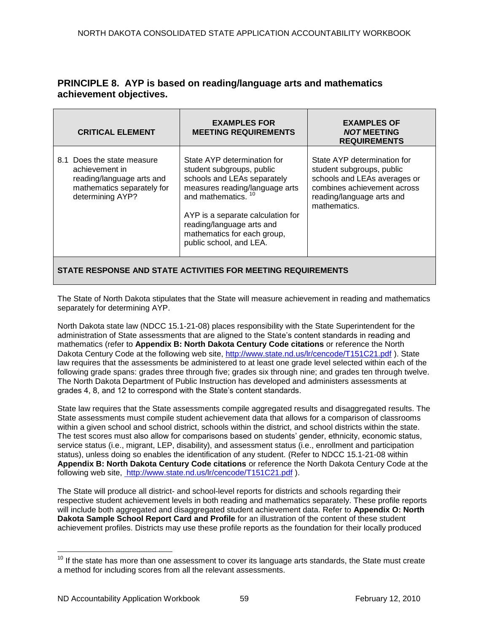# **PRINCIPLE 8. AYP is based on reading/language arts and mathematics achievement objectives.**

| <b>CRITICAL ELEMENT</b>                                                                                                     | <b>EXAMPLES FOR</b><br><b>MEETING REQUIREMENTS</b>                                                                                                                                                                                                                                      | <b>EXAMPLES OF</b><br><b>NOT MEETING</b><br><b>REQUIREMENTS</b>                                                                                                      |  |
|-----------------------------------------------------------------------------------------------------------------------------|-----------------------------------------------------------------------------------------------------------------------------------------------------------------------------------------------------------------------------------------------------------------------------------------|----------------------------------------------------------------------------------------------------------------------------------------------------------------------|--|
| 8.1 Does the state measure<br>achievement in<br>reading/language arts and<br>mathematics separately for<br>determining AYP? | State AYP determination for<br>student subgroups, public<br>schools and LEAs separately<br>measures reading/language arts<br>and mathematics. <sup>10</sup><br>AYP is a separate calculation for<br>reading/language arts and<br>mathematics for each group,<br>public school, and LEA. | State AYP determination for<br>student subgroups, public<br>schools and LEAs averages or<br>combines achievement across<br>reading/language arts and<br>mathematics. |  |
| STATE RESPONSE AND STATE ACTIVITIES FOR MEETING REQUIREMENTS                                                                |                                                                                                                                                                                                                                                                                         |                                                                                                                                                                      |  |

The State of North Dakota stipulates that the State will measure achievement in reading and mathematics separately for determining AYP.

North Dakota state law (NDCC 15.1-21-08) places responsibility with the State Superintendent for the administration of State assessments that are aligned to the State's content standards in reading and mathematics (refer to **Appendix B: North Dakota Century Code citations** or reference the North Dakota Century Code at the following web site,<http://www.state.nd.us/lr/cencode/T151C21.pdf> ). State law requires that the assessments be administered to at least one grade level selected within each of the following grade spans: grades three through five; grades six through nine; and grades ten through twelve. The North Dakota Department of Public Instruction has developed and administers assessments at grades 4, 8, and 12 to correspond with the State's content standards.

State law requires that the State assessments compile aggregated results and disaggregated results. The State assessments must compile student achievement data that allows for a comparison of classrooms within a given school and school district, schools within the district, and school districts within the state. The test scores must also allow for comparisons based on students' gender, ethnicity, economic status, service status (i.e., migrant, LEP, disability), and assessment status (i.e., enrollment and participation status), unless doing so enables the identification of any student. (Refer to NDCC 15.1-21-08 within **Appendix B: North Dakota Century Code citations** or reference the North Dakota Century Code at the following web site, [http://www.state.nd.us/lr/cencode/T151C21.pdf](http://www.state.nd.us/lr/assembly/57-2001/cencode/CCT15x1.pdf) ).

The State will produce all district- and school-level reports for districts and schools regarding their respective student achievement levels in both reading and mathematics separately. These profile reports will include both aggregated and disaggregated student achievement data. Refer to **Appendix O: North Dakota Sample School Report Card and Profile** for an illustration of the content of these student achievement profiles. Districts may use these profile reports as the foundation for their locally produced

 $\overline{a}$ 

 $10$  If the state has more than one assessment to cover its language arts standards, the State must create a method for including scores from all the relevant assessments.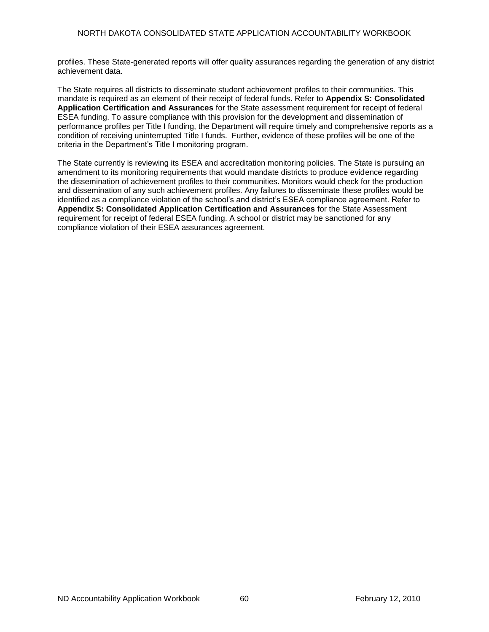profiles. These State-generated reports will offer quality assurances regarding the generation of any district achievement data.

The State requires all districts to disseminate student achievement profiles to their communities. This mandate is required as an element of their receipt of federal funds. Refer to **Appendix S: Consolidated Application Certification and Assurances** for the State assessment requirement for receipt of federal ESEA funding. To assure compliance with this provision for the development and dissemination of performance profiles per Title I funding, the Department will require timely and comprehensive reports as a condition of receiving uninterrupted Title I funds. Further, evidence of these profiles will be one of the criteria in the Department's Title I monitoring program.

The State currently is reviewing its ESEA and accreditation monitoring policies. The State is pursuing an amendment to its monitoring requirements that would mandate districts to produce evidence regarding the dissemination of achievement profiles to their communities. Monitors would check for the production and dissemination of any such achievement profiles. Any failures to disseminate these profiles would be identified as a compliance violation of the school's and district's ESEA compliance agreement. Refer to **Appendix S: Consolidated Application Certification and Assurances** for the State Assessment requirement for receipt of federal ESEA funding. A school or district may be sanctioned for any compliance violation of their ESEA assurances agreement.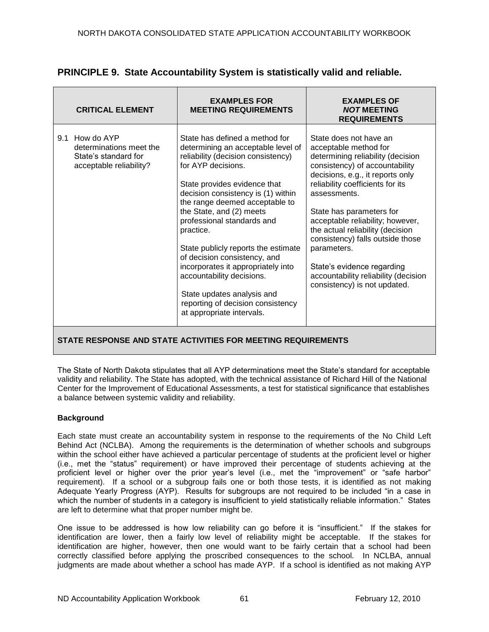| <b>CRITICAL ELEMENT</b>                                                                      | <b>EXAMPLES FOR</b><br><b>MEETING REQUIREMENTS</b>                                                                                                                                                                                                                                                                                                                                                                                                                                                                                                        | <b>EXAMPLES OF</b><br><b>NOT MEETING</b><br><b>REQUIREMENTS</b>                                                                                                                                                                                                                                                                                                                                                                                                             |
|----------------------------------------------------------------------------------------------|-----------------------------------------------------------------------------------------------------------------------------------------------------------------------------------------------------------------------------------------------------------------------------------------------------------------------------------------------------------------------------------------------------------------------------------------------------------------------------------------------------------------------------------------------------------|-----------------------------------------------------------------------------------------------------------------------------------------------------------------------------------------------------------------------------------------------------------------------------------------------------------------------------------------------------------------------------------------------------------------------------------------------------------------------------|
| 9.1 How do AYP<br>determinations meet the<br>State's standard for<br>acceptable reliability? | State has defined a method for<br>determining an acceptable level of<br>reliability (decision consistency)<br>for AYP decisions.<br>State provides evidence that<br>decision consistency is (1) within<br>the range deemed acceptable to<br>the State, and (2) meets<br>professional standards and<br>practice.<br>State publicly reports the estimate<br>of decision consistency, and<br>incorporates it appropriately into<br>accountability decisions.<br>State updates analysis and<br>reporting of decision consistency<br>at appropriate intervals. | State does not have an<br>acceptable method for<br>determining reliability (decision<br>consistency) of accountability<br>decisions, e.g., it reports only<br>reliability coefficients for its<br>assessments.<br>State has parameters for<br>acceptable reliability; however,<br>the actual reliability (decision<br>consistency) falls outside those<br>parameters.<br>State's evidence regarding<br>accountability reliability (decision<br>consistency) is not updated. |

# **PRINCIPLE 9. State Accountability System is statistically valid and reliable.**

## **STATE RESPONSE AND STATE ACTIVITIES FOR MEETING REQUIREMENTS**

The State of North Dakota stipulates that all AYP determinations meet the State's standard for acceptable validity and reliability. The State has adopted, with the technical assistance of Richard Hill of the National Center for the Improvement of Educational Assessments, a test for statistical significance that establishes a balance between systemic validity and reliability.

## **Background**

Each state must create an accountability system in response to the requirements of the No Child Left Behind Act (NCLBA). Among the requirements is the determination of whether schools and subgroups within the school either have achieved a particular percentage of students at the proficient level or higher (i.e., met the "status" requirement) or have improved their percentage of students achieving at the proficient level or higher over the prior year's level (i.e., met the "improvement" or "safe harbor" requirement). If a school or a subgroup fails one or both those tests, it is identified as not making Adequate Yearly Progress (AYP). Results for subgroups are not required to be included "in a case in which the number of students in a category is insufficient to yield statistically reliable information." States are left to determine what that proper number might be.

One issue to be addressed is how low reliability can go before it is "insufficient." If the stakes for identification are lower, then a fairly low level of reliability might be acceptable. If the stakes for identification are higher, however, then one would want to be fairly certain that a school had been correctly classified before applying the proscribed consequences to the school. In NCLBA, annual judgments are made about whether a school has made AYP. If a school is identified as not making AYP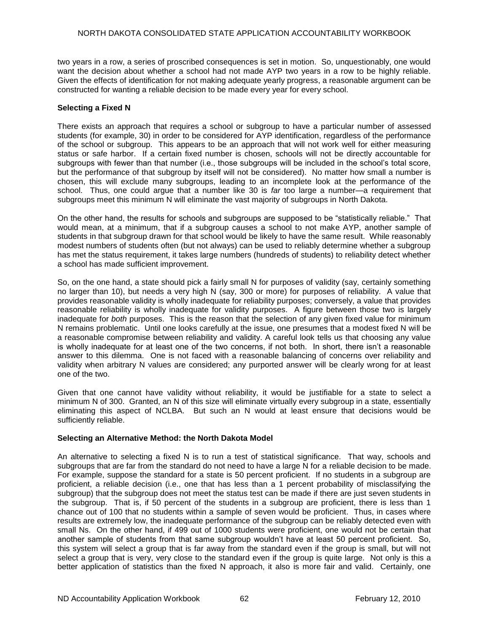two years in a row, a series of proscribed consequences is set in motion. So, unquestionably, one would want the decision about whether a school had not made AYP two years in a row to be highly reliable. Given the effects of identification for not making adequate yearly progress, a reasonable argument can be constructed for wanting a reliable decision to be made every year for every school.

### **Selecting a Fixed N**

There exists an approach that requires a school or subgroup to have a particular number of assessed students (for example, 30) in order to be considered for AYP identification, regardless of the performance of the school or subgroup. This appears to be an approach that will not work well for either measuring status or safe harbor. If a certain fixed number is chosen, schools will not be directly accountable for subgroups with fewer than that number (i.e., those subgroups will be included in the school's total score, but the performance of that subgroup by itself will not be considered). No matter how small a number is chosen, this will exclude many subgroups, leading to an incomplete look at the performance of the school. Thus, one could argue that a number like 30 is *far* too large a number—a requirement that subgroups meet this minimum N will eliminate the vast majority of subgroups in North Dakota.

On the other hand, the results for schools and subgroups are supposed to be "statistically reliable." That would mean, at a minimum, that if a subgroup causes a school to not make AYP, another sample of students in that subgroup drawn for that school would be likely to have the same result. While reasonably modest numbers of students often (but not always) can be used to reliably determine whether a subgroup has met the status requirement, it takes large numbers (hundreds of students) to reliability detect whether a school has made sufficient improvement.

So, on the one hand, a state should pick a fairly small N for purposes of validity (say, certainly something no larger than 10), but needs a very high N (say, 300 or more) for purposes of reliability. A value that provides reasonable validity is wholly inadequate for reliability purposes; conversely, a value that provides reasonable reliability is wholly inadequate for validity purposes. A figure between those two is largely inadequate for *both* purposes. This is the reason that the selection of any given fixed value for minimum N remains problematic. Until one looks carefully at the issue, one presumes that a modest fixed N will be a reasonable compromise between reliability and validity. A careful look tells us that choosing any value is wholly inadequate for at least one of the two concerns, if not both. In short, there isn't a reasonable answer to this dilemma. One is not faced with a reasonable balancing of concerns over reliability and validity when arbitrary N values are considered; any purported answer will be clearly wrong for at least one of the two.

Given that one cannot have validity without reliability, it would be justifiable for a state to select a minimum N of 300. Granted, an N of this size will eliminate virtually every subgroup in a state, essentially eliminating this aspect of NCLBA. But such an N would at least ensure that decisions would be sufficiently reliable.

### **Selecting an Alternative Method: the North Dakota Model**

An alternative to selecting a fixed N is to run a test of statistical significance. That way, schools and subgroups that are far from the standard do not need to have a large N for a reliable decision to be made. For example, suppose the standard for a state is 50 percent proficient. If no students in a subgroup are proficient, a reliable decision (i.e., one that has less than a 1 percent probability of misclassifying the subgroup) that the subgroup does not meet the status test can be made if there are just seven students in the subgroup. That is, if 50 percent of the students in a subgroup are proficient, there is less than 1 chance out of 100 that no students within a sample of seven would be proficient. Thus, in cases where results are extremely low, the inadequate performance of the subgroup can be reliably detected even with small Ns. On the other hand, if 499 out of 1000 students were proficient, one would not be certain that another sample of students from that same subgroup wouldn't have at least 50 percent proficient. So, this system will select a group that is far away from the standard even if the group is small, but will not select a group that is very, very close to the standard even if the group is quite large. Not only is this a better application of statistics than the fixed N approach, it also is more fair and valid. Certainly, one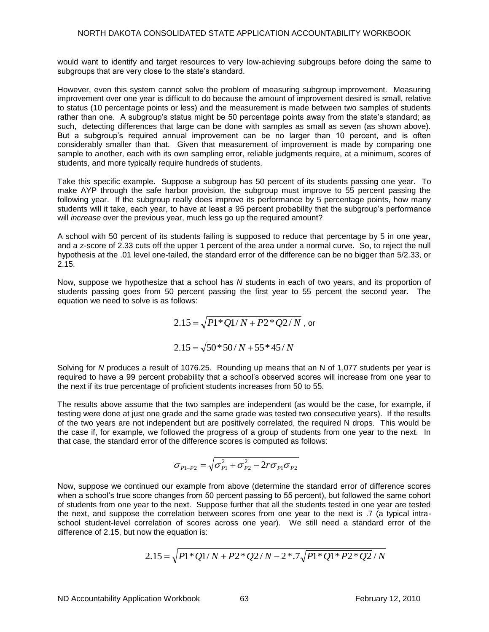would want to identify and target resources to very low-achieving subgroups before doing the same to subgroups that are very close to the state's standard.

However, even this system cannot solve the problem of measuring subgroup improvement. Measuring improvement over one year is difficult to do because the amount of improvement desired is small, relative to status (10 percentage points or less) and the measurement is made between two samples of students rather than one. A subgroup's status might be 50 percentage points away from the state's standard; as such, detecting differences that large can be done with samples as small as seven (as shown above). But a subgroup's required annual improvement can be no larger than 10 percent, and is often considerably smaller than that. Given that measurement of improvement is made by comparing one sample to another, each with its own sampling error, reliable judgments require, at a minimum, scores of students, and more typically require hundreds of students.

Take this specific example. Suppose a subgroup has 50 percent of its students passing one year. To make AYP through the safe harbor provision, the subgroup must improve to 55 percent passing the following year. If the subgroup really does improve its performance by 5 percentage points, how many students will it take, each year, to have at least a 95 percent probability that the subgroup's performance will *increase* over the previous year, much less go up the required amount?

A school with 50 percent of its students failing is supposed to reduce that percentage by 5 in one year, and a z-score of 2.33 cuts off the upper 1 percent of the area under a normal curve. So, to reject the null hypothesis at the .01 level one-tailed, the standard error of the difference can be no bigger than 5/2.33, or 2.15.

Now, suppose we hypothesize that a school has *N* students in each of two years, and its proportion of students passing goes from 50 percent passing the first year to 55 percent the second year. The equation we need to solve is as follows:

$$
2.15 = \sqrt{P1*Q1/N + P2*Q2/N}
$$
, or  

$$
2.15 = \sqrt{50*50/N + 55*45/N}
$$

Solving for *N* produces a result of 1076.25. Rounding up means that an N of 1,077 students per year is required to have a 99 percent probability that a school's observed scores will increase from one year to the next if its true percentage of proficient students increases from 50 to 55.

The results above assume that the two samples are independent (as would be the case, for example, if testing were done at just one grade and the same grade was tested two consecutive years). If the results of the two years are not independent but are positively correlated, the required N drops. This would be the case if, for example, we followed the progress of a group of students from one year to the next. In that case, the standard error of the difference scores is computed as follows:

$$
\sigma_{P1-P2} = \sqrt{\sigma_{P1}^2 + \sigma_{P2}^2 - 2r\sigma_{P1}\sigma_{P2}}
$$

Now, suppose we continued our example from above (determine the standard error of difference scores when a school's true score changes from 50 percent passing to 55 percent), but followed the same cohort of students from one year to the next. Suppose further that all the students tested in one year are tested the next, and suppose the correlation between scores from one year to the next is .7 (a typical intraschool student-level correlation of scores across one year). We still need a standard error of the difference of 2.15, but now the equation is:

$$
2.15 = \sqrt{P1^*Q1/N + P2^*Q2/N - 2^*.\frac{7}{P1^*Q1^*P2^*Q2}}/N
$$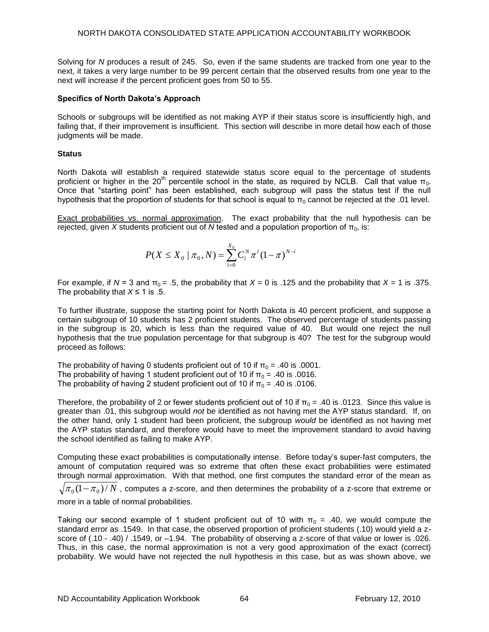Solving for *N* produces a result of 245. So, even if the same students are tracked from one year to the next, it takes a very large number to be 99 percent certain that the observed results from one year to the next will increase if the percent proficient goes from 50 to 55.

### **Specifics of North Dakota's Approach**

Schools or subgroups will be identified as not making AYP if their status score is insufficiently high, and failing that, if their improvement is insufficient. This section will describe in more detail how each of those judgments will be made.

### **Status**

North Dakota will establish a required statewide status score equal to the percentage of students proficient or higher in the 20<sup>th</sup> percentile school in the state, as required by NCLB. Call that value π<sub>0</sub>. Once that "starting point" has been established, each subgroup will pass the status test if the null hypothesis that the proportion of students for that school is equal to  $\pi_0$  cannot be rejected at the .01 level.

Exact probabilities vs. normal approximation. The exact probability that the null hypothesis can be rejected, given *X* students proficient out of *N* tested and a population proportion of  $\pi_0$ , is:

$$
P(X \leq X_0 \mid \pi_0, N) = \sum_{i=0}^{X_0} C_i^N \pi^i (1 - \pi)^{N - i}
$$

For example, if  $N = 3$  and  $\pi_0 = .5$ , the probability that  $X = 0$  is .125 and the probability that  $X = 1$  is .375. The probability that  $X \le 1$  is .5.

To further illustrate, suppose the starting point for North Dakota is 40 percent proficient, and suppose a certain subgroup of 10 students has 2 proficient students. The observed percentage of students passing in the subgroup is 20, which is less than the required value of 40. But would one reject the null hypothesis that the true population percentage for that subgroup is 40? The test for the subgroup would proceed as follows:

The probability of having 0 students proficient out of 10 if  $\pi_0 = .40$  is .0001. The probability of having 1 student proficient out of 10 if  $\pi_0 = .40$  is .0016. The probability of having 2 student proficient out of 10 if  $\pi_0 = .40$  is .0106.

Therefore, the probability of 2 or fewer students proficient out of 10 if  $\pi_0$  = .40 is .0123. Since this value is greater than .01, this subgroup would *not* be identified as not having met the AYP status standard. If, on the other hand, only 1 student had been proficient, the subgroup *would* be identified as not having met the AYP status standard, and therefore would have to meet the improvement standard to avoid having the school identified as failing to make AYP.

Computing these exact probabilities is computationally intense. Before today's super-fast computers, the amount of computation required was so extreme that often these exact probabilities were estimated through normal approximation. With that method, one first computes the standard error of the mean as

 $\pi_{0}(1-\pi_{0})/N$  , computes a z-score, and then determines the probability of a z-score that extreme or more in a table of normal probabilities.

Taking our second example of 1 student proficient out of 10 with  $\pi_0 = .40$ , we would compute the standard error as .1549. In that case, the observed proportion of proficient students (.10) would yield a zscore of (.10 - .40) / .1549, or –1.94. The probability of observing a z-score of that value or lower is .026. Thus, in this case, the normal approximation is not a very good approximation of the exact (correct) probability. We would have not rejected the null hypothesis in this case, but as was shown above, we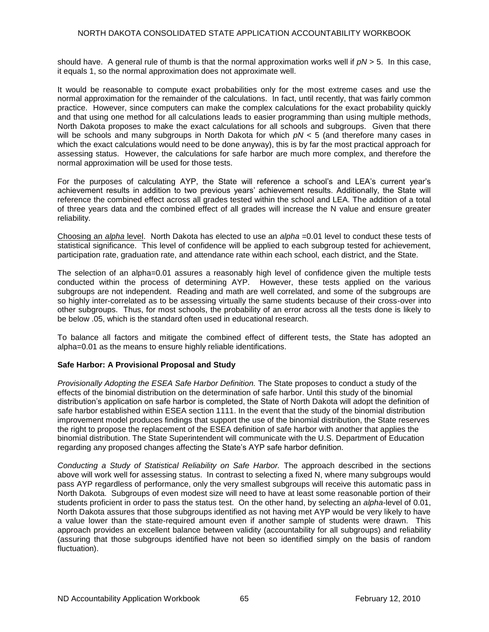should have. A general rule of thumb is that the normal approximation works well if *pN* > 5. In this case, it equals 1, so the normal approximation does not approximate well.

It would be reasonable to compute exact probabilities only for the most extreme cases and use the normal approximation for the remainder of the calculations. In fact, until recently, that was fairly common practice. However, since computers can make the complex calculations for the exact probability quickly and that using one method for all calculations leads to easier programming than using multiple methods, North Dakota proposes to make the exact calculations for all schools and subgroups. Given that there will be schools and many subgroups in North Dakota for which *pN* < 5 (and therefore many cases in which the exact calculations would need to be done anyway), this is by far the most practical approach for assessing status. However, the calculations for safe harbor are much more complex, and therefore the normal approximation will be used for those tests.

For the purposes of calculating AYP, the State will reference a school's and LEA's current year's achievement results in addition to two previous years' achievement results. Additionally, the State will reference the combined effect across all grades tested within the school and LEA. The addition of a total of three years data and the combined effect of all grades will increase the N value and ensure greater reliability.

Choosing an *alpha* level. North Dakota has elected to use an *alpha* =0.01 level to conduct these tests of statistical significance. This level of confidence will be applied to each subgroup tested for achievement, participation rate, graduation rate, and attendance rate within each school, each district, and the State.

The selection of an alpha=0.01 assures a reasonably high level of confidence given the multiple tests conducted within the process of determining AYP. However, these tests applied on the various subgroups are not independent. Reading and math are well correlated, and some of the subgroups are so highly inter-correlated as to be assessing virtually the same students because of their cross-over into other subgroups. Thus, for most schools, the probability of an error across all the tests done is likely to be below .05, which is the standard often used in educational research.

To balance all factors and mitigate the combined effect of different tests, the State has adopted an alpha=0.01 as the means to ensure highly reliable identifications.

## **Safe Harbor: A Provisional Proposal and Study**

*Provisionally Adopting the ESEA Safe Harbor Definition.* The State proposes to conduct a study of the effects of the binomial distribution on the determination of safe harbor. Until this study of the binomial distribution's application on safe harbor is completed, the State of North Dakota will adopt the definition of safe harbor established within ESEA section 1111. In the event that the study of the binomial distribution improvement model produces findings that support the use of the binomial distribution, the State reserves the right to propose the replacement of the ESEA definition of safe harbor with another that applies the binomial distribution. The State Superintendent will communicate with the U.S. Department of Education regarding any proposed changes affecting the State's AYP safe harbor definition.

*Conducting a Study of Statistical Reliability on Safe Harbor.* The approach described in the sections above will work well for assessing status. In contrast to selecting a fixed N, where many subgroups would pass AYP regardless of performance, only the very smallest subgroups will receive this automatic pass in North Dakota. Subgroups of even modest size will need to have at least some reasonable portion of their students proficient in order to pass the status test. On the other hand, by selecting an *alpha*-level of 0.01, North Dakota assures that those subgroups identified as not having met AYP would be very likely to have a value lower than the state-required amount even if another sample of students were drawn. This approach provides an excellent balance between validity (accountability for all subgroups) and reliability (assuring that those subgroups identified have not been so identified simply on the basis of random fluctuation).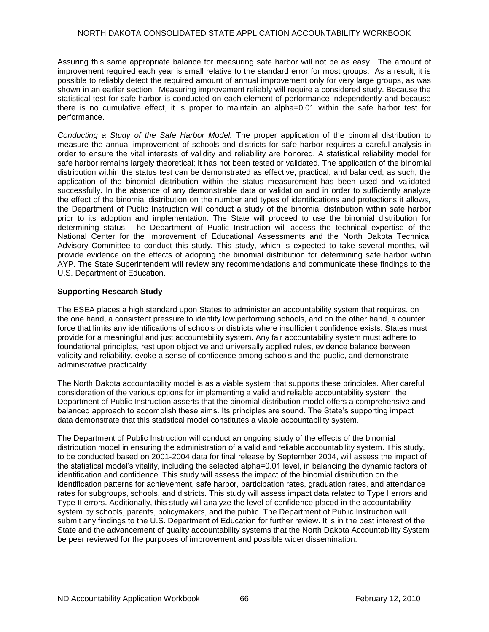Assuring this same appropriate balance for measuring safe harbor will not be as easy. The amount of improvement required each year is small relative to the standard error for most groups. As a result, it is possible to reliably detect the required amount of annual improvement only for very large groups, as was shown in an earlier section. Measuring improvement reliably will require a considered study. Because the statistical test for safe harbor is conducted on each element of performance independently and because there is no cumulative effect, it is proper to maintain an alpha=0.01 within the safe harbor test for performance.

*Conducting a Study of the Safe Harbor Model.* The proper application of the binomial distribution to measure the annual improvement of schools and districts for safe harbor requires a careful analysis in order to ensure the vital interests of validity and reliability are honored. A statistical reliability model for safe harbor remains largely theoretical; it has not been tested or validated. The application of the binomial distribution within the status test can be demonstrated as effective, practical, and balanced; as such, the application of the binomial distribution within the status measurement has been used and validated successfully. In the absence of any demonstrable data or validation and in order to sufficiently analyze the effect of the binomial distribution on the number and types of identifications and protections it allows, the Department of Public Instruction will conduct a study of the binomial distribution within safe harbor prior to its adoption and implementation. The State will proceed to use the binomial distribution for determining status. The Department of Public Instruction will access the technical expertise of the National Center for the Improvement of Educational Assessments and the North Dakota Technical Advisory Committee to conduct this study. This study, which is expected to take several months, will provide evidence on the effects of adopting the binomial distribution for determining safe harbor within AYP. The State Superintendent will review any recommendations and communicate these findings to the U.S. Department of Education.

## **Supporting Research Study**

The ESEA places a high standard upon States to administer an accountability system that requires, on the one hand, a consistent pressure to identify low performing schools, and on the other hand, a counter force that limits any identifications of schools or districts where insufficient confidence exists. States must provide for a meaningful and just accountability system. Any fair accountability system must adhere to foundational principles, rest upon objective and universally applied rules, evidence balance between validity and reliability, evoke a sense of confidence among schools and the public, and demonstrate administrative practicality.

The North Dakota accountability model is as a viable system that supports these principles. After careful consideration of the various options for implementing a valid and reliable accountability system, the Department of Public Instruction asserts that the binomial distribution model offers a comprehensive and balanced approach to accomplish these aims. Its principles are sound. The State's supporting impact data demonstrate that this statistical model constitutes a viable accountability system.

The Department of Public Instruction will conduct an ongoing study of the effects of the binomial distribution model in ensuring the administration of a valid and reliable accountability system. This study, to be conducted based on 2001-2004 data for final release by September 2004, will assess the impact of the statistical model's vitality, including the selected alpha=0.01 level, in balancing the dynamic factors of identification and confidence. This study will assess the impact of the binomial distribution on the identification patterns for achievement, safe harbor, participation rates, graduation rates, and attendance rates for subgroups, schools, and districts. This study will assess impact data related to Type I errors and Type II errors. Additionally, this study will analyze the level of confidence placed in the accountability system by schools, parents, policymakers, and the public. The Department of Public Instruction will submit any findings to the U.S. Department of Education for further review. It is in the best interest of the State and the advancement of quality accountability systems that the North Dakota Accountability System be peer reviewed for the purposes of improvement and possible wider dissemination.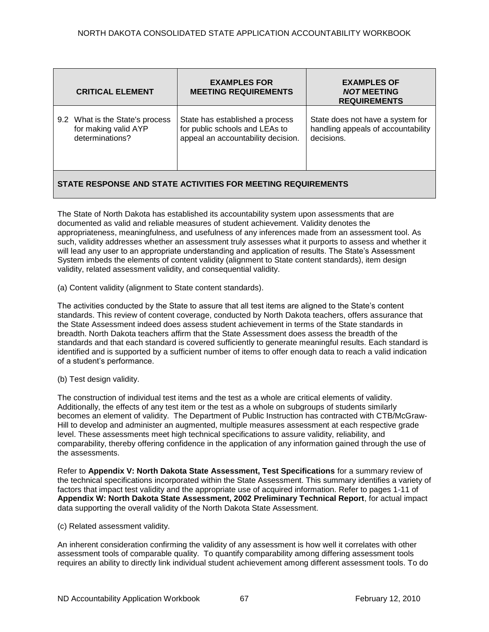|                                                              | <b>CRITICAL ELEMENT</b>                                                    | <b>EXAMPLES FOR</b><br><b>MEETING REQUIREMENTS</b>                                                      | <b>EXAMPLES OF</b><br><b>NOT MEETING</b><br><b>REQUIREMENTS</b>                      |
|--------------------------------------------------------------|----------------------------------------------------------------------------|---------------------------------------------------------------------------------------------------------|--------------------------------------------------------------------------------------|
|                                                              | 9.2 What is the State's process<br>for making valid AYP<br>determinations? | State has established a process<br>for public schools and LEAs to<br>appeal an accountability decision. | State does not have a system for<br>handling appeals of accountability<br>decisions. |
| STATE RESPONSE AND STATE ACTIVITIES FOR MEETING REQUIREMENTS |                                                                            |                                                                                                         |                                                                                      |

The State of North Dakota has established its accountability system upon assessments that are documented as valid and reliable measures of student achievement. Validity denotes the appropriateness, meaningfulness, and usefulness of any inferences made from an assessment tool. As such, validity addresses whether an assessment truly assesses what it purports to assess and whether it will lead any user to an appropriate understanding and application of results. The State's Assessment System imbeds the elements of content validity (alignment to State content standards), item design validity, related assessment validity, and consequential validity.

(a) Content validity (alignment to State content standards).

The activities conducted by the State to assure that all test items are aligned to the State's content standards. This review of content coverage, conducted by North Dakota teachers, offers assurance that the State Assessment indeed does assess student achievement in terms of the State standards in breadth. North Dakota teachers affirm that the State Assessment does assess the breadth of the standards and that each standard is covered sufficiently to generate meaningful results. Each standard is identified and is supported by a sufficient number of items to offer enough data to reach a valid indication of a student's performance.

(b) Test design validity.

The construction of individual test items and the test as a whole are critical elements of validity. Additionally, the effects of any test item or the test as a whole on subgroups of students similarly becomes an element of validity. The Department of Public Instruction has contracted with CTB/McGraw-Hill to develop and administer an augmented, multiple measures assessment at each respective grade level. These assessments meet high technical specifications to assure validity, reliability, and comparability, thereby offering confidence in the application of any information gained through the use of the assessments.

Refer to **Appendix V: North Dakota State Assessment, Test Specifications** for a summary review of the technical specifications incorporated within the State Assessment. This summary identifies a variety of factors that impact test validity and the appropriate use of acquired information. Refer to pages 1-11 of **Appendix W: North Dakota State Assessment, 2002 Preliminary Technical Report**, for actual impact data supporting the overall validity of the North Dakota State Assessment.

(c) Related assessment validity.

An inherent consideration confirming the validity of any assessment is how well it correlates with other assessment tools of comparable quality. To quantify comparability among differing assessment tools requires an ability to directly link individual student achievement among different assessment tools. To do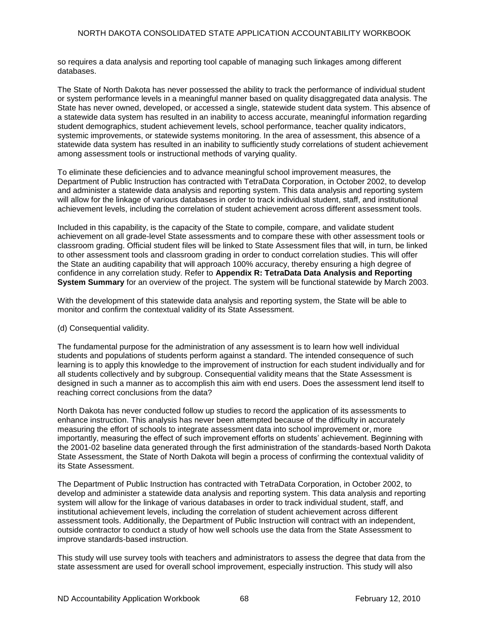so requires a data analysis and reporting tool capable of managing such linkages among different databases.

The State of North Dakota has never possessed the ability to track the performance of individual student or system performance levels in a meaningful manner based on quality disaggregated data analysis. The State has never owned, developed, or accessed a single, statewide student data system. This absence of a statewide data system has resulted in an inability to access accurate, meaningful information regarding student demographics, student achievement levels, school performance, teacher quality indicators, systemic improvements, or statewide systems monitoring. In the area of assessment, this absence of a statewide data system has resulted in an inability to sufficiently study correlations of student achievement among assessment tools or instructional methods of varying quality.

To eliminate these deficiencies and to advance meaningful school improvement measures, the Department of Public Instruction has contracted with TetraData Corporation, in October 2002, to develop and administer a statewide data analysis and reporting system. This data analysis and reporting system will allow for the linkage of various databases in order to track individual student, staff, and institutional achievement levels, including the correlation of student achievement across different assessment tools.

Included in this capability, is the capacity of the State to compile, compare, and validate student achievement on all grade-level State assessments and to compare these with other assessment tools or classroom grading. Official student files will be linked to State Assessment files that will, in turn, be linked to other assessment tools and classroom grading in order to conduct correlation studies. This will offer the State an auditing capability that will approach 100% accuracy, thereby ensuring a high degree of confidence in any correlation study. Refer to **Appendix R: TetraData Data Analysis and Reporting System Summary** for an overview of the project. The system will be functional statewide by March 2003.

With the development of this statewide data analysis and reporting system, the State will be able to monitor and confirm the contextual validity of its State Assessment.

### (d) Consequential validity.

The fundamental purpose for the administration of any assessment is to learn how well individual students and populations of students perform against a standard. The intended consequence of such learning is to apply this knowledge to the improvement of instruction for each student individually and for all students collectively and by subgroup. Consequential validity means that the State Assessment is designed in such a manner as to accomplish this aim with end users. Does the assessment lend itself to reaching correct conclusions from the data?

North Dakota has never conducted follow up studies to record the application of its assessments to enhance instruction. This analysis has never been attempted because of the difficulty in accurately measuring the effort of schools to integrate assessment data into school improvement or, more importantly, measuring the effect of such improvement efforts on students' achievement. Beginning with the 2001-02 baseline data generated through the first administration of the standards-based North Dakota State Assessment, the State of North Dakota will begin a process of confirming the contextual validity of its State Assessment.

The Department of Public Instruction has contracted with TetraData Corporation, in October 2002, to develop and administer a statewide data analysis and reporting system. This data analysis and reporting system will allow for the linkage of various databases in order to track individual student, staff, and institutional achievement levels, including the correlation of student achievement across different assessment tools. Additionally, the Department of Public Instruction will contract with an independent, outside contractor to conduct a study of how well schools use the data from the State Assessment to improve standards-based instruction.

This study will use survey tools with teachers and administrators to assess the degree that data from the state assessment are used for overall school improvement, especially instruction. This study will also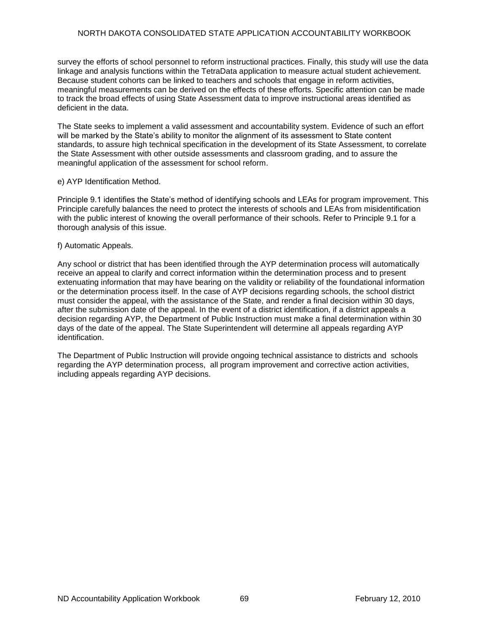### NORTH DAKOTA CONSOLIDATED STATE APPLICATION ACCOUNTABILITY WORKBOOK

survey the efforts of school personnel to reform instructional practices. Finally, this study will use the data linkage and analysis functions within the TetraData application to measure actual student achievement. Because student cohorts can be linked to teachers and schools that engage in reform activities, meaningful measurements can be derived on the effects of these efforts. Specific attention can be made to track the broad effects of using State Assessment data to improve instructional areas identified as deficient in the data.

The State seeks to implement a valid assessment and accountability system. Evidence of such an effort will be marked by the State's ability to monitor the alignment of its assessment to State content standards, to assure high technical specification in the development of its State Assessment, to correlate the State Assessment with other outside assessments and classroom grading, and to assure the meaningful application of the assessment for school reform.

#### e) AYP Identification Method.

Principle 9.1 identifies the State's method of identifying schools and LEAs for program improvement. This Principle carefully balances the need to protect the interests of schools and LEAs from misidentification with the public interest of knowing the overall performance of their schools. Refer to Principle 9.1 for a thorough analysis of this issue.

### f) Automatic Appeals.

Any school or district that has been identified through the AYP determination process will automatically receive an appeal to clarify and correct information within the determination process and to present extenuating information that may have bearing on the validity or reliability of the foundational information or the determination process itself. In the case of AYP decisions regarding schools, the school district must consider the appeal, with the assistance of the State, and render a final decision within 30 days, after the submission date of the appeal. In the event of a district identification, if a district appeals a decision regarding AYP, the Department of Public Instruction must make a final determination within 30 days of the date of the appeal. The State Superintendent will determine all appeals regarding AYP identification.

The Department of Public Instruction will provide ongoing technical assistance to districts and schools regarding the AYP determination process, all program improvement and corrective action activities, including appeals regarding AYP decisions.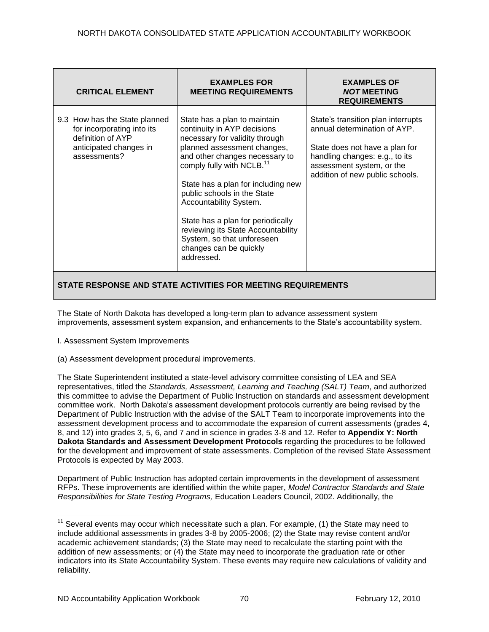| State's transition plan interrupts<br>9.3 How has the State planned<br>State has a plan to maintain<br>annual determination of AYP.<br>for incorporating into its<br>continuity in AYP decisions<br>definition of AYP<br>necessary for validity through<br>planned assessment changes,<br>anticipated changes in<br>State does not have a plan for<br>and other changes necessary to<br>assessments?<br>handling changes: e.g., to its<br>comply fully with NCLB. <sup>11</sup><br>assessment system, or the<br>addition of new public schools.<br>State has a plan for including new<br>public schools in the State<br>Accountability System.<br>State has a plan for periodically<br>reviewing its State Accountability<br>System, so that unforeseen | <b>CRITICAL ELEMENT</b> | <b>EXAMPLES FOR</b><br><b>MEETING REQUIREMENTS</b> | <b>EXAMPLES OF</b><br><b>NOT MEETING</b><br><b>REQUIREMENTS</b> |
|---------------------------------------------------------------------------------------------------------------------------------------------------------------------------------------------------------------------------------------------------------------------------------------------------------------------------------------------------------------------------------------------------------------------------------------------------------------------------------------------------------------------------------------------------------------------------------------------------------------------------------------------------------------------------------------------------------------------------------------------------------|-------------------------|----------------------------------------------------|-----------------------------------------------------------------|
| addressed.                                                                                                                                                                                                                                                                                                                                                                                                                                                                                                                                                                                                                                                                                                                                              |                         | changes can be quickly                             |                                                                 |

The State of North Dakota has developed a long-term plan to advance assessment system improvements, assessment system expansion, and enhancements to the State's accountability system.

- I. Assessment System Improvements
- (a) Assessment development procedural improvements.

The State Superintendent instituted a state-level advisory committee consisting of LEA and SEA representatives, titled the *Standards, Assessment, Learning and Teaching (SALT) Team*, and authorized this committee to advise the Department of Public Instruction on standards and assessment development committee work. North Dakota's assessment development protocols currently are being revised by the Department of Public Instruction with the advise of the SALT Team to incorporate improvements into the assessment development process and to accommodate the expansion of current assessments (grades 4, 8, and 12) into grades 3, 5, 6, and 7 and in science in grades 3-8 and 12. Refer to **Appendix Y: North Dakota Standards and Assessment Development Protocols** regarding the procedures to be followed for the development and improvement of state assessments. Completion of the revised State Assessment Protocols is expected by May 2003.

Department of Public Instruction has adopted certain improvements in the development of assessment RFPs. These improvements are identified within the white paper, *Model Contractor Standards and State Responsibilities for State Testing Programs,* Education Leaders Council, 2002. Additionally, the

 $\overline{a}$ 

 $11$  Several events may occur which necessitate such a plan. For example, (1) the State may need to include additional assessments in grades 3-8 by 2005-2006; (2) the State may revise content and/or academic achievement standards; (3) the State may need to recalculate the starting point with the addition of new assessments; or (4) the State may need to incorporate the graduation rate or other indicators into its State Accountability System. These events may require new calculations of validity and reliability.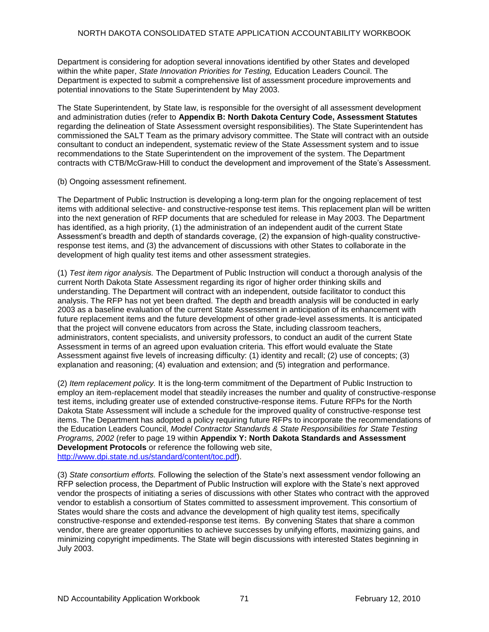Department is considering for adoption several innovations identified by other States and developed within the white paper, *State Innovation Priorities for Testing,* Education Leaders Council. The Department is expected to submit a comprehensive list of assessment procedure improvements and potential innovations to the State Superintendent by May 2003.

The State Superintendent, by State law, is responsible for the oversight of all assessment development and administration duties (refer to **Appendix B: North Dakota Century Code, Assessment Statutes**  regarding the delineation of State Assessment oversight responsibilities). The State Superintendent has commissioned the SALT Team as the primary advisory committee. The State will contract with an outside consultant to conduct an independent, systematic review of the State Assessment system and to issue recommendations to the State Superintendent on the improvement of the system. The Department contracts with CTB/McGraw-Hill to conduct the development and improvement of the State's Assessment.

(b) Ongoing assessment refinement.

The Department of Public Instruction is developing a long-term plan for the ongoing replacement of test items with additional selective- and constructive-response test items. This replacement plan will be written into the next generation of RFP documents that are scheduled for release in May 2003. The Department has identified, as a high priority, (1) the administration of an independent audit of the current State Assessment's breadth and depth of standards coverage, (2) the expansion of high-quality constructiveresponse test items, and (3) the advancement of discussions with other States to collaborate in the development of high quality test items and other assessment strategies.

(1) *Test item rigor analysis.* The Department of Public Instruction will conduct a thorough analysis of the current North Dakota State Assessment regarding its rigor of higher order thinking skills and understanding. The Department will contract with an independent, outside facilitator to conduct this analysis. The RFP has not yet been drafted. The depth and breadth analysis will be conducted in early 2003 as a baseline evaluation of the current State Assessment in anticipation of its enhancement with future replacement items and the future development of other grade-level assessments. It is anticipated that the project will convene educators from across the State, including classroom teachers, administrators, content specialists, and university professors, to conduct an audit of the current State Assessment in terms of an agreed upon evaluation criteria. This effort would evaluate the State Assessment against five levels of increasing difficulty: (1) identity and recall; (2) use of concepts; (3) explanation and reasoning; (4) evaluation and extension; and (5) integration and performance.

(2) *Item replacement policy.* It is the long-term commitment of the Department of Public Instruction to employ an item-replacement model that steadily increases the number and quality of constructive-response test items, including greater use of extended constructive-response items. Future RFPs for the North Dakota State Assessment will include a schedule for the improved quality of constructive-response test items. The Department has adopted a policy requiring future RFPs to incorporate the recommendations of the Education Leaders Council, *Model Contractor Standards & State Responsibilities for State Testing Programs, 2002* (refer to page 19 within **Appendix Y: North Dakota Standards and Assessment Development Protocols** or reference the following web site, [http://www.dpi.state.nd.us/standard/content/toc.pdf\)](http://www.dpi.state.nd.us/standard/content/toc.pdf).

(3) *State consortium efforts.* Following the selection of the State's next assessment vendor following an RFP selection process, the Department of Public Instruction will explore with the State's next approved vendor the prospects of initiating a series of discussions with other States who contract with the approved vendor to establish a consortium of States committed to assessment improvement. This consortium of States would share the costs and advance the development of high quality test items, specifically constructive-response and extended-response test items. By convening States that share a common vendor, there are greater opportunities to achieve successes by unifying efforts, maximizing gains, and minimizing copyright impediments. The State will begin discussions with interested States beginning in July 2003.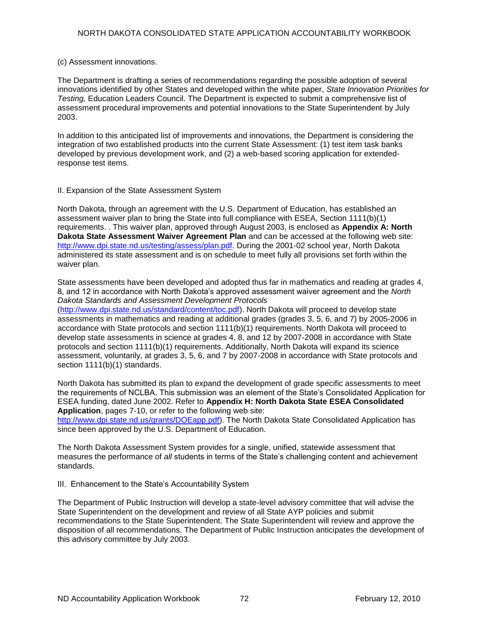### (c) Assessment innovations.

The Department is drafting a series of recommendations regarding the possible adoption of several innovations identified by other States and developed within the white paper, *State Innovation Priorities for Testing,* Education Leaders Council. The Department is expected to submit a comprehensive list of assessment procedural improvements and potential innovations to the State Superintendent by July 2003.

In addition to this anticipated list of improvements and innovations, the Department is considering the integration of two established products into the current State Assessment: (1) test item task banks developed by previous development work, and (2) a web-based scoring application for extendedresponse test items.

### II. Expansion of the State Assessment System

North Dakota, through an agreement with the U.S. Department of Education, has established an assessment waiver plan to bring the State into full compliance with ESEA, Section 1111(b)(1) requirements. . This waiver plan, approved through August 2003, is enclosed as **Appendix A: North Dakota State Assessment Waiver Agreement Plan** and can be accessed at the following web site: [http://www.dpi.state.nd.us/testing/assess/plan.pdf.](http://www.dpi.state.nd.us/testing/assess/plan.pdf) During the 2001-02 school year, North Dakota administered its state assessment and is on schedule to meet fully all provisions set forth within the waiver plan.

State assessments have been developed and adopted thus far in mathematics and reading at grades 4, 8, and 12 in accordance with North Dakota's approved assessment waiver agreement and the *North Dakota Standards and Assessment Development Protocols*

[\(http://www.dpi.state.nd.us/standard/content/toc.pdf\)](http://www.dpi.state.nd.us/standard/content/toc.pdf). North Dakota will proceed to develop state assessments in mathematics and reading at additional grades (grades 3, 5, 6, and 7) by 2005-2006 in accordance with State protocols and section 1111(b)(1) requirements. North Dakota will proceed to develop state assessments in science at grades 4, 8, and 12 by 2007-2008 in accordance with State protocols and section 1111(b)(1) requirements. Additionally, North Dakota will expand its science assessment, voluntarily, at grades 3, 5, 6, and 7 by 2007-2008 in accordance with State protocols and section 1111(b)(1) standards.

North Dakota has submitted its plan to expand the development of grade specific assessments to meet the requirements of NCLBA. This submission was an element of the State's Consolidated Application for ESEA funding, dated June 2002. Refer to **Appendix H: North Dakota State ESEA Consolidated Application**, pages 7-10, or refer to the following web site:

[http://www.dpi.state.nd.us/grants/DOEapp.pdf\)](http://www.dpi.state.nd.us/grants/DOEapp.pdf). The North Dakota State Consolidated Application has since been approved by the U.S. Department of Education.

The North Dakota Assessment System provides for a single, unified, statewide assessment that measures the performance of *all* students in terms of the State's challenging content and achievement standards.

III. Enhancement to the State's Accountability System

The Department of Public Instruction will develop a state-level advisory committee that will advise the State Superintendent on the development and review of all State AYP policies and submit recommendations to the State Superintendent. The State Superintendent will review and approve the disposition of all recommendations. The Department of Public Instruction anticipates the development of this advisory committee by July 2003.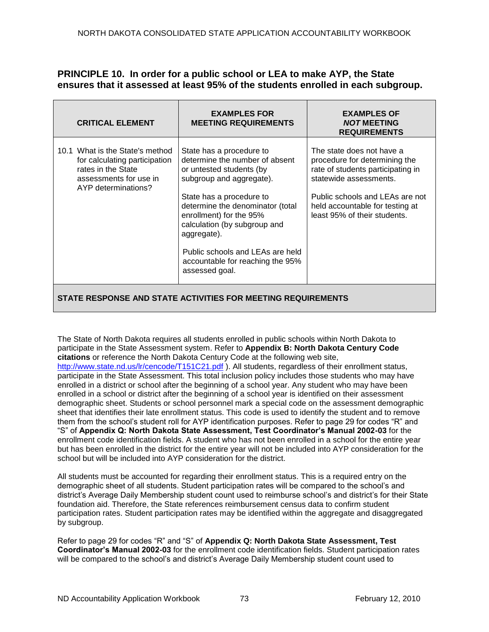# **PRINCIPLE 10. In order for a public school or LEA to make AYP, the State ensures that it assessed at least 95% of the students enrolled in each subgroup.**

| <b>CRITICAL ELEMENT</b>                                                                                                                 | <b>EXAMPLES FOR</b><br><b>MEETING REQUIREMENTS</b>                                                                                                                                                                                                                                                                                                     | <b>EXAMPLES OF</b><br><b>NOT MEETING</b><br><b>REQUIREMENTS</b>                                                                                                                                                                 |  |
|-----------------------------------------------------------------------------------------------------------------------------------------|--------------------------------------------------------------------------------------------------------------------------------------------------------------------------------------------------------------------------------------------------------------------------------------------------------------------------------------------------------|---------------------------------------------------------------------------------------------------------------------------------------------------------------------------------------------------------------------------------|--|
| 10.1 What is the State's method<br>for calculating participation<br>rates in the State<br>assessments for use in<br>AYP determinations? | State has a procedure to<br>determine the number of absent<br>or untested students (by<br>subgroup and aggregate).<br>State has a procedure to<br>determine the denominator (total<br>enrollment) for the 95%<br>calculation (by subgroup and<br>aggregate).<br>Public schools and LEAs are held<br>accountable for reaching the 95%<br>assessed goal. | The state does not have a<br>procedure for determining the<br>rate of students participating in<br>statewide assessments.<br>Public schools and LEAs are not<br>held accountable for testing at<br>least 95% of their students. |  |
| STATE RESPONSE AND STATE ACTIVITIES FOR MEETING REQUIREMENTS                                                                            |                                                                                                                                                                                                                                                                                                                                                        |                                                                                                                                                                                                                                 |  |

The State of North Dakota requires all students enrolled in public schools within North Dakota to participate in the State Assessment system. Refer to **Appendix B: North Dakota Century Code citations** or reference the North Dakota Century Code at the following web site, [http://www.state.nd.us/lr/cencode/T151C21.pdf](http://www.state.nd.us/lr/assembly/57-2001/cencode/CCT15x1.pdf)). All students, regardless of their enrollment status, participate in the State Assessment. This total inclusion policy includes those students who may have enrolled in a district or school after the beginning of a school year. Any student who may have been enrolled in a school or district after the beginning of a school year is identified on their assessment demographic sheet. Students or school personnel mark a special code on the assessment demographic sheet that identifies their late enrollment status. This code is used to identify the student and to remove them from the school's student roll for AYP identification purposes. Refer to page 29 for codes "R" and ―S‖ of **Appendix Q: North Dakota State Assessment, Test Coordinator's Manual 2002-03** for the enrollment code identification fields. A student who has not been enrolled in a school for the entire year but has been enrolled in the district for the entire year will not be included into AYP consideration for the school but will be included into AYP consideration for the district.

All students must be accounted for regarding their enrollment status. This is a required entry on the demographic sheet of all students. Student participation rates will be compared to the school's and district's Average Daily Membership student count used to reimburse school's and district's for their State foundation aid. Therefore, the State references reimbursement census data to confirm student participation rates. Student participation rates may be identified within the aggregate and disaggregated by subgroup.

Refer to page 29 for codes "R" and "S" of Appendix Q: North Dakota State Assessment, Test **Coordinator's Manual 2002-03** for the enrollment code identification fields. Student participation rates will be compared to the school's and district's Average Daily Membership student count used to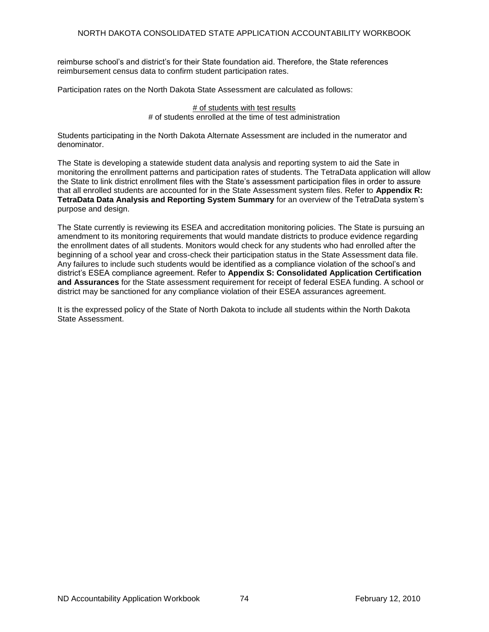reimburse school's and district's for their State foundation aid. Therefore, the State references reimbursement census data to confirm student participation rates.

Participation rates on the North Dakota State Assessment are calculated as follows:

# of students with test results # of students enrolled at the time of test administration

Students participating in the North Dakota Alternate Assessment are included in the numerator and denominator.

The State is developing a statewide student data analysis and reporting system to aid the Sate in monitoring the enrollment patterns and participation rates of students. The TetraData application will allow the State to link district enrollment files with the State's assessment participation files in order to assure that all enrolled students are accounted for in the State Assessment system files. Refer to **Appendix R: TetraData Data Analysis and Reporting System Summary** for an overview of the TetraData system's purpose and design.

The State currently is reviewing its ESEA and accreditation monitoring policies. The State is pursuing an amendment to its monitoring requirements that would mandate districts to produce evidence regarding the enrollment dates of all students. Monitors would check for any students who had enrolled after the beginning of a school year and cross-check their participation status in the State Assessment data file. Any failures to include such students would be identified as a compliance violation of the school's and district's ESEA compliance agreement. Refer to **Appendix S: Consolidated Application Certification and Assurances** for the State assessment requirement for receipt of federal ESEA funding. A school or district may be sanctioned for any compliance violation of their ESEA assurances agreement.

It is the expressed policy of the State of North Dakota to include all students within the North Dakota State Assessment.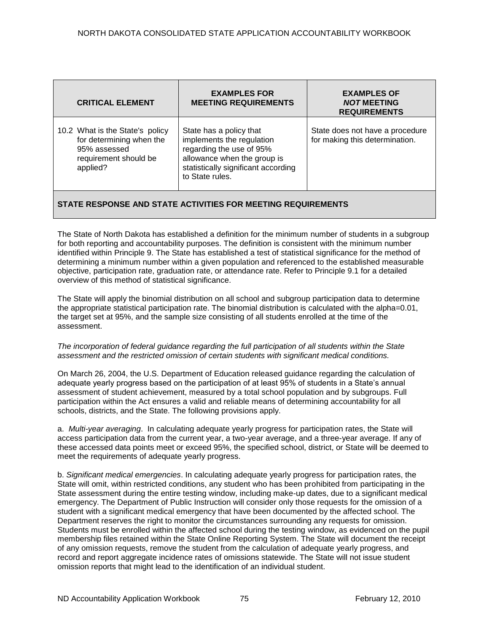| <b>CRITICAL ELEMENT</b>                                                                                          | <b>EXAMPLES FOR</b><br><b>MEETING REQUIREMENTS</b>                                                                                                                        | <b>EXAMPLES OF</b><br><b>NOT MEETING</b><br><b>REQUIREMENTS</b>   |  |
|------------------------------------------------------------------------------------------------------------------|---------------------------------------------------------------------------------------------------------------------------------------------------------------------------|-------------------------------------------------------------------|--|
| 10.2 What is the State's policy<br>for determining when the<br>95% assessed<br>requirement should be<br>applied? | State has a policy that<br>implements the regulation<br>regarding the use of 95%<br>allowance when the group is<br>statistically significant according<br>to State rules. | State does not have a procedure<br>for making this determination. |  |
| STATE RESPONSE AND STATE ACTIVITIES FOR MEETING REQUIREMENTS                                                     |                                                                                                                                                                           |                                                                   |  |

The State of North Dakota has established a definition for the minimum number of students in a subgroup for both reporting and accountability purposes. The definition is consistent with the minimum number identified within Principle 9. The State has established a test of statistical significance for the method of determining a minimum number within a given population and referenced to the established measurable objective, participation rate, graduation rate, or attendance rate. Refer to Principle 9.1 for a detailed overview of this method of statistical significance.

The State will apply the binomial distribution on all school and subgroup participation data to determine the appropriate statistical participation rate. The binomial distribution is calculated with the alpha=0.01, the target set at 95%, and the sample size consisting of all students enrolled at the time of the assessment.

#### *The incorporation of federal guidance regarding the full participation of all students within the State assessment and the restricted omission of certain students with significant medical conditions.*

On March 26, 2004, the U.S. Department of Education released guidance regarding the calculation of adequate yearly progress based on the participation of at least 95% of students in a State's annual assessment of student achievement, measured by a total school population and by subgroups. Full participation within the Act ensures a valid and reliable means of determining accountability for all schools, districts, and the State. The following provisions apply.

a. *Multi-year averaging*. In calculating adequate yearly progress for participation rates, the State will access participation data from the current year, a two-year average, and a three-year average. If any of these accessed data points meet or exceed 95%, the specified school, district, or State will be deemed to meet the requirements of adequate yearly progress.

b. *Significant medical emergencies*. In calculating adequate yearly progress for participation rates, the State will omit, within restricted conditions, any student who has been prohibited from participating in the State assessment during the entire testing window, including make-up dates, due to a significant medical emergency. The Department of Public Instruction will consider only those requests for the omission of a student with a significant medical emergency that have been documented by the affected school. The Department reserves the right to monitor the circumstances surrounding any requests for omission. Students must be enrolled within the affected school during the testing window, as evidenced on the pupil membership files retained within the State Online Reporting System. The State will document the receipt of any omission requests, remove the student from the calculation of adequate yearly progress, and record and report aggregate incidence rates of omissions statewide. The State will not issue student omission reports that might lead to the identification of an individual student.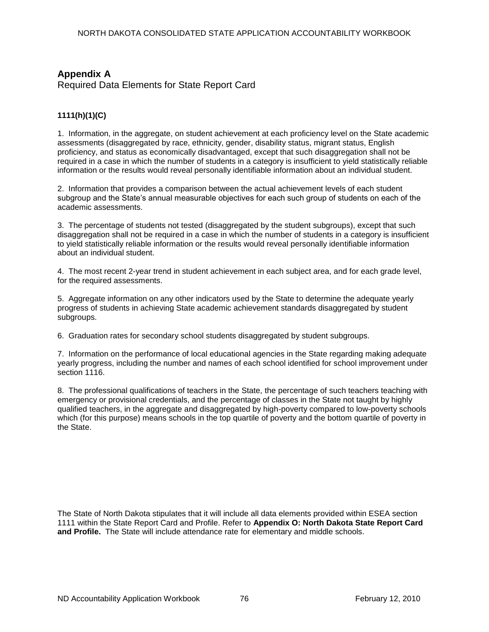# **Appendix A**

Required Data Elements for State Report Card

### **1111(h)(1)(C)**

1. Information, in the aggregate, on student achievement at each proficiency level on the State academic assessments (disaggregated by race, ethnicity, gender, disability status, migrant status, English proficiency, and status as economically disadvantaged, except that such disaggregation shall not be required in a case in which the number of students in a category is insufficient to yield statistically reliable information or the results would reveal personally identifiable information about an individual student.

2. Information that provides a comparison between the actual achievement levels of each student subgroup and the State's annual measurable objectives for each such group of students on each of the academic assessments.

3. The percentage of students not tested (disaggregated by the student subgroups), except that such disaggregation shall not be required in a case in which the number of students in a category is insufficient to yield statistically reliable information or the results would reveal personally identifiable information about an individual student.

4. The most recent 2-year trend in student achievement in each subject area, and for each grade level, for the required assessments.

5. Aggregate information on any other indicators used by the State to determine the adequate yearly progress of students in achieving State academic achievement standards disaggregated by student subgroups.

6. Graduation rates for secondary school students disaggregated by student subgroups.

7. Information on the performance of local educational agencies in the State regarding making adequate yearly progress, including the number and names of each school identified for school improvement under section 1116.

8. The professional qualifications of teachers in the State, the percentage of such teachers teaching with emergency or provisional credentials, and the percentage of classes in the State not taught by highly qualified teachers, in the aggregate and disaggregated by high-poverty compared to low-poverty schools which (for this purpose) means schools in the top quartile of poverty and the bottom quartile of poverty in the State.

The State of North Dakota stipulates that it will include all data elements provided within ESEA section 1111 within the State Report Card and Profile. Refer to **Appendix O: North Dakota State Report Card and Profile.** The State will include attendance rate for elementary and middle schools.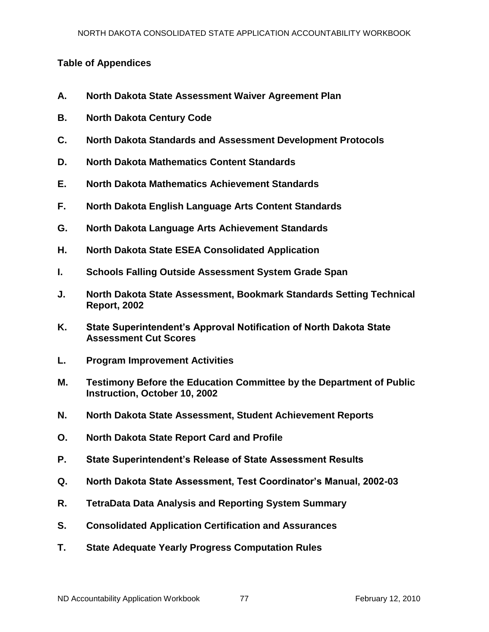# **Table of Appendices**

- **A. North Dakota State Assessment Waiver Agreement Plan**
- **B. North Dakota Century Code**
- **C. North Dakota Standards and Assessment Development Protocols**
- **D. North Dakota Mathematics Content Standards**
- **E. North Dakota Mathematics Achievement Standards**
- **F. North Dakota English Language Arts Content Standards**
- **G. North Dakota Language Arts Achievement Standards**
- **H. North Dakota State ESEA Consolidated Application**
- **I. Schools Falling Outside Assessment System Grade Span**
- **J. North Dakota State Assessment, Bookmark Standards Setting Technical Report, 2002**
- **K. State Superintendent's Approval Notification of North Dakota State Assessment Cut Scores**
- **L. Program Improvement Activities**
- **M. Testimony Before the Education Committee by the Department of Public Instruction, October 10, 2002**
- **N. North Dakota State Assessment, Student Achievement Reports**
- **O. North Dakota State Report Card and Profile**
- **P. State Superintendent's Release of State Assessment Results**
- **Q. North Dakota State Assessment, Test Coordinator's Manual, 2002-03**
- **R. TetraData Data Analysis and Reporting System Summary**
- **S. Consolidated Application Certification and Assurances**
- **T. State Adequate Yearly Progress Computation Rules**